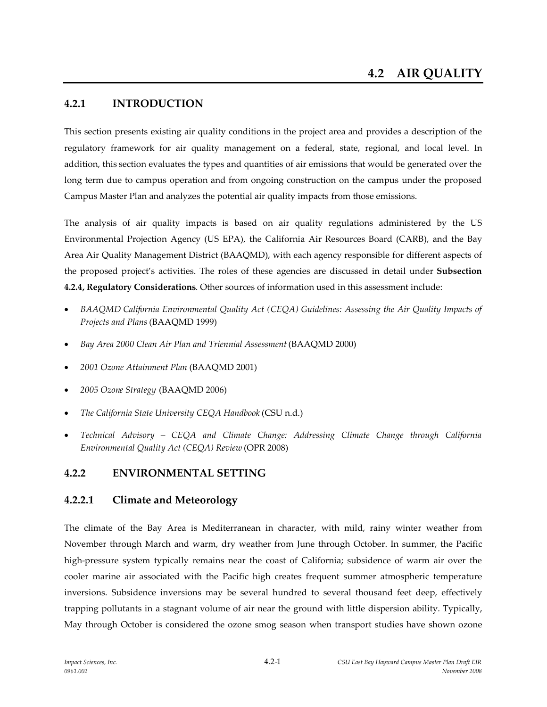# **4.2.1 INTRODUCTION**

This section presents existing air quality conditions in the project area and provides a description of the regulatory framework for air quality management on a federal, state, regional, and local level. In addition, this section evaluates the types and quantities of air emissions that would be generated over the long term due to campus operation and from ongoing construction on the campus under the proposed Campus Master Plan and analyzes the potential air quality impacts from those emissions.

The analysis of air quality impacts is based on air quality regulations administered by the US Environmental Projection Agency (US EPA), the California Air Resources Board (CARB), and the Bay Area Air Quality Management District (BAAQMD), with each agency responsible for different aspects of the proposed project's activities. The roles of these agencies are discussed in detail under **Subsection 4.2.4, Regulatory Considerations**. Other sources of information used in this assessment include:

- *BAAQMD California Environmental Quality Act (CEQA) Guidelines: Assessing the Air Quality Impacts of Projects and Plans*(BAAQMD 1999)
- *Bay Area 2000 Clean Air Plan and Triennial Assessment* (BAAQMD 2000)
- *2001 Ozone Attainment Plan* (BAAQMD 2001)
- *2005 Ozone Strategy* (BAAQMD 2006)
- *The California State University CEQA Handbook* (CSU n.d.)
- *Technical Advisory – CEQA and Climate Change: Addressing Climate Change through California Environmental Quality Act (CEQA) Review* (OPR 2008)

# **4.2.2 ENVIRONMENTAL SETTING**

# **4.2.2.1 Climate and Meteorology**

The climate of the Bay Area is Mediterranean in character, with mild, rainy winter weather from November through March and warm, dry weather from June through October. In summer, the Pacific high-pressure system typically remains near the coast of California; subsidence of warm air over the cooler marine air associated with the Pacific high creates frequent summer atmospheric temperature inversions. Subsidence inversions may be several hundred to several thousand feet deep, effectively trapping pollutants in a stagnant volume of air near the ground with little dispersion ability. Typically, May through October is considered the ozone smog season when transport studies have shown ozone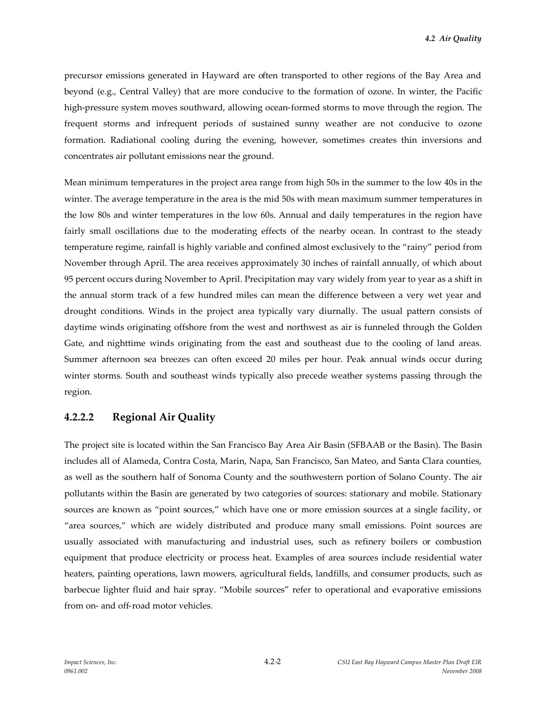precursor emissions generated in Hayward are often transported to other regions of the Bay Area and beyond (e.g., Central Valley) that are more conducive to the formation of ozone. In winter, the Pacific high-pressure system moves southward, allowing ocean-formed storms to move through the region. The frequent storms and infrequent periods of sustained sunny weather are not conducive to ozone formation. Radiational cooling during the evening, however, sometimes creates thin inversions and concentrates air pollutant emissions near the ground.

Mean minimum temperatures in the project area range from high 50s in the summer to the low 40s in the winter. The average temperature in the area is the mid 50s with mean maximum summer temperatures in the low 80s and winter temperatures in the low 60s. Annual and daily temperatures in the region have fairly small oscillations due to the moderating effects of the nearby ocean. In contrast to the steady temperature regime, rainfall is highly variable and confined almost exclusively to the "rainy" period from November through April. The area receives approximately 30 inches of rainfall annually, of which about 95 percent occurs during November to April. Precipitation may vary widely from year to year as a shift in the annual storm track of a few hundred miles can mean the difference between a very wet year and drought conditions. Winds in the project area typically vary diurnally. The usual pattern consists of daytime winds originating offshore from the west and northwest as air is funneled through the Golden Gate, and nighttime winds originating from the east and southeast due to the cooling of land areas. Summer afternoon sea breezes can often exceed 20 miles per hour. Peak annual winds occur during winter storms. South and southeast winds typically also precede weather systems passing through the region.

# **4.2.2.2 Regional Air Quality**

The project site is located within the San Francisco Bay Area Air Basin (SFBAAB or the Basin). The Basin includes all of Alameda, Contra Costa, Marin, Napa, San Francisco, San Mateo, and Santa Clara counties, as well as the southern half of Sonoma County and the southwestern portion of Solano County. The air pollutants within the Basin are generated by two categories of sources: stationary and mobile. Stationary sources are known as "point sources," which have one or more emission sources at a single facility, or "area sources," which are widely distributed and produce many small emissions. Point sources are usually associated with manufacturing and industrial uses, such as refinery boilers or combustion equipment that produce electricity or process heat. Examples of area sources include residential water heaters, painting operations, lawn mowers, agricultural fields, landfills, and consumer products, such as barbecue lighter fluid and hair spray. "Mobile sources" refer to operational and evaporative emissions from on- and off-road motor vehicles.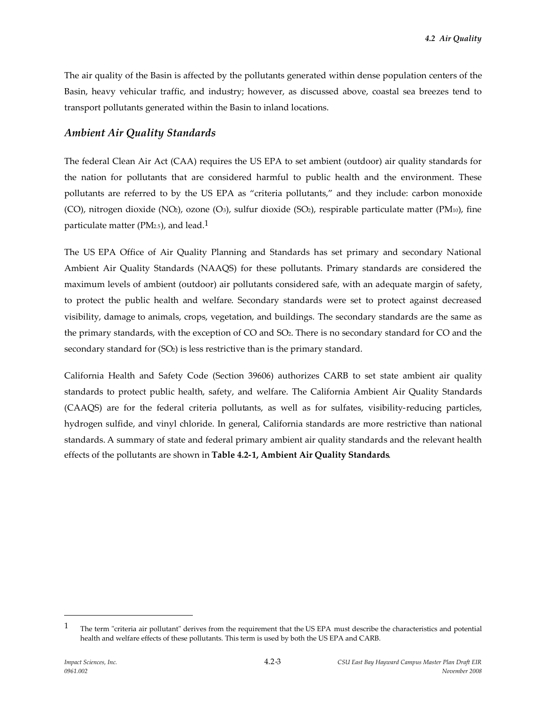The air quality of the Basin is affected by the pollutants generated within dense population centers of the Basin, heavy vehicular traffic, and industry; however, as discussed above, coastal sea breezes tend to transport pollutants generated within the Basin to inland locations.

## *Ambient Air Quality Standards*

The federal Clean Air Act (CAA) requires the US EPA to set ambient (outdoor) air quality standards for the nation for pollutants that are considered harmful to public health and the environment. These pollutants are referred to by the US EPA as "criteria pollutants," and they include: carbon monoxide (CO), nitrogen dioxide (NO<sub>2</sub>), ozone (O<sub>3</sub>), sulfur dioxide (SO<sub>2</sub>), respirable particulate matter (PM<sub>10</sub>), fine particulate matter ( $PM<sub>2.5</sub>$ ), and lead.<sup>1</sup>

The US EPA Office of Air Quality Planning and Standards has set primary and secondary National Ambient Air Quality Standards (NAAQS) for these pollutants. Primary standards are considered the maximum levels of ambient (outdoor) air pollutants considered safe, with an adequate margin of safety, to protect the public health and welfare. Secondary standards were set to protect against decreased visibility, damage to animals, crops, vegetation, and buildings. The secondary standards are the same as the primary standards, with the exception of CO and SO2. There is no secondary standard for CO and the secondary standard for  $(SO<sub>2</sub>)$  is less restrictive than is the primary standard.

California Health and Safety Code (Section 39606) authorizes CARB to set state ambient air quality standards to protect public health, safety, and welfare. The California Ambient Air Quality Standards (CAAQS) are for the federal criteria pollutants, as well as for sulfates, visibility-reducing particles, hydrogen sulfide, and vinyl chloride. In general, California standards are more restrictive than national standards. A summary of state and federal primary ambient air quality standards and the relevant health effects of the pollutants are shown in **Table 4.2-1, Ambient Air Quality Standards**.

 $1$  The term "criteria air pollutant" derives from the requirement that the US EPA must describe the characteristics and potential health and welfare effects of these pollutants. This term is used by both the US EPA and CARB.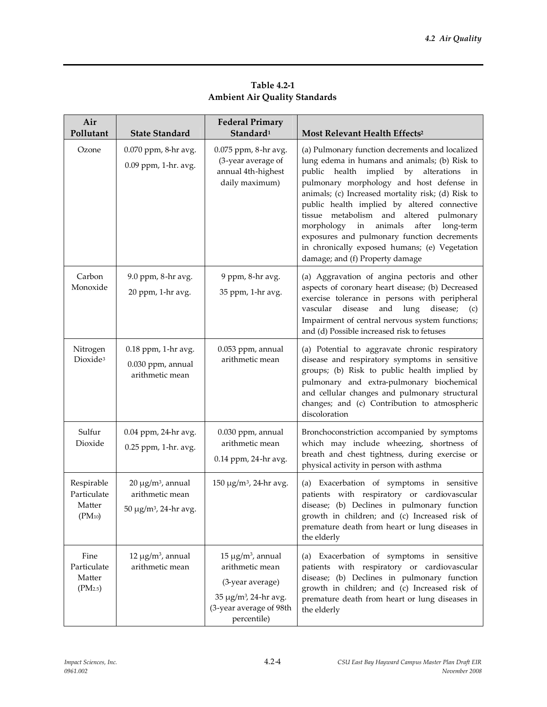| Air<br>Pollutant                                      | <b>State Standard</b>                                                           | <b>Federal Primary</b><br>Standard <sup>1</sup>                                                                                               | Most Relevant Health Effects <sup>2</sup>                                                                                                                                                                                                                                                                                                                                                                                                                                                                                       |
|-------------------------------------------------------|---------------------------------------------------------------------------------|-----------------------------------------------------------------------------------------------------------------------------------------------|---------------------------------------------------------------------------------------------------------------------------------------------------------------------------------------------------------------------------------------------------------------------------------------------------------------------------------------------------------------------------------------------------------------------------------------------------------------------------------------------------------------------------------|
| Ozone                                                 | 0.070 ppm, 8-hr avg.<br>0.09 ppm, 1-hr. avg.                                    | 0.075 ppm, 8-hr avg.<br>(3-year average of<br>annual 4th-highest<br>daily maximum)                                                            | (a) Pulmonary function decrements and localized<br>lung edema in humans and animals; (b) Risk to<br>public health implied by alterations<br>in<br>pulmonary morphology and host defense in<br>animals; (c) Increased mortality risk; (d) Risk to<br>public health implied by altered connective<br>tissue metabolism and altered pulmonary<br>morphology in<br>animals<br>after<br>long-term<br>exposures and pulmonary function decrements<br>in chronically exposed humans; (e) Vegetation<br>damage; and (f) Property damage |
| Carbon<br>Monoxide                                    | 9.0 ppm, 8-hr avg.<br>20 ppm, 1-hr avg.                                         | 9 ppm, 8-hr avg.<br>35 ppm, 1-hr avg.                                                                                                         | (a) Aggravation of angina pectoris and other<br>aspects of coronary heart disease; (b) Decreased<br>exercise tolerance in persons with peripheral<br>disease<br>disease;<br>vascular<br>and<br>lung<br>(c)<br>Impairment of central nervous system functions;<br>and (d) Possible increased risk to fetuses                                                                                                                                                                                                                     |
| Nitrogen<br>Dioxide <sup>3</sup>                      | 0.18 ppm, 1-hr avg.<br>0.030 ppm, annual<br>arithmetic mean                     | 0.053 ppm, annual<br>arithmetic mean                                                                                                          | (a) Potential to aggravate chronic respiratory<br>disease and respiratory symptoms in sensitive<br>groups; (b) Risk to public health implied by<br>pulmonary and extra-pulmonary biochemical<br>and cellular changes and pulmonary structural<br>changes; and (c) Contribution to atmospheric<br>discoloration                                                                                                                                                                                                                  |
| Sulfur<br>Dioxide                                     | 0.04 ppm, 24-hr avg.<br>0.25 ppm, 1-hr. avg.                                    | 0.030 ppm, annual<br>arithmetic mean<br>0.14 ppm, 24-hr avg.                                                                                  | Bronchoconstriction accompanied by symptoms<br>which may include wheezing, shortness of<br>breath and chest tightness, during exercise or<br>physical activity in person with asthma                                                                                                                                                                                                                                                                                                                                            |
| Respirable<br>Particulate<br>Matter<br>$(PM_{10})$    | $20 \mu g/m^3$ , annual<br>arithmetic mean<br>50 μg/m <sup>3</sup> , 24-hr avg. | 150 μg/m <sup>3</sup> , 24-hr avg.                                                                                                            | (a) Exacerbation of symptoms in sensitive<br>patients with respiratory or cardiovascular<br>disease; (b) Declines in pulmonary function<br>growth in children; and (c) Increased risk of<br>premature death from heart or lung diseases in<br>the elderly                                                                                                                                                                                                                                                                       |
| Fine<br>Particulate<br>Matter<br>(PM <sub>2.5</sub> ) | $12 \mu g/m^3$ , annual<br>arithmetic mean                                      | $15 \mu g/m^3$ , annual<br>arithmetic mean<br>(3-year average)<br>35 µg/m <sup>3</sup> , 24-hr avg.<br>(3-year average of 98th<br>percentile) | (a) Exacerbation of symptoms in sensitive<br>patients with respiratory or cardiovascular<br>disease; (b) Declines in pulmonary function<br>growth in children; and (c) Increased risk of<br>premature death from heart or lung diseases in<br>the elderly                                                                                                                                                                                                                                                                       |

**Table 4.2-1 Ambient Air Quality Standards**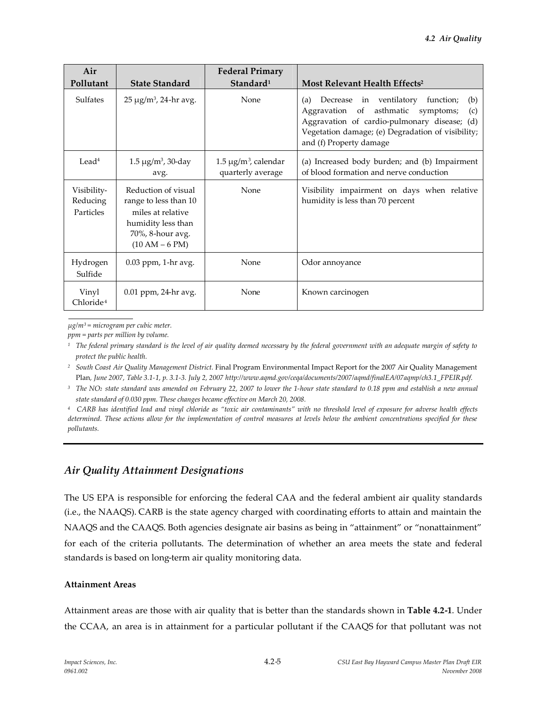| Air                                  |                                                                                                                                 | <b>Federal Primary</b>                          |                                                                                                                                                                                                                           |
|--------------------------------------|---------------------------------------------------------------------------------------------------------------------------------|-------------------------------------------------|---------------------------------------------------------------------------------------------------------------------------------------------------------------------------------------------------------------------------|
| Pollutant                            | <b>State Standard</b>                                                                                                           | Standard <sup>1</sup>                           | Most Relevant Health Effects <sup>2</sup>                                                                                                                                                                                 |
| Sulfates                             | $25 \mu g/m^3$ , 24-hr avg.                                                                                                     | None                                            | (a) Decrease in ventilatory function;<br>(b)<br>Aggravation of asthmatic symptoms;<br>(c)<br>Aggravation of cardio-pulmonary disease; (d)<br>Vegetation damage; (e) Degradation of visibility;<br>and (f) Property damage |
| Lead <sup>4</sup>                    | $1.5 \,\mu g/m^3$ , 30-day<br>avg.                                                                                              | $1.5 \mu g/m^3$ , calendar<br>quarterly average | (a) Increased body burden; and (b) Impairment<br>of blood formation and nerve conduction                                                                                                                                  |
| Visibility-<br>Reducing<br>Particles | Reduction of visual<br>range to less than 10<br>miles at relative<br>humidity less than<br>70%, 8-hour avg.<br>$(10 AM - 6 PM)$ | None                                            | Visibility impairment on days when relative<br>humidity is less than 70 percent                                                                                                                                           |
| Hydrogen<br>Sulfide                  | $0.03$ ppm, 1-hr avg.                                                                                                           | None                                            | Odor annoyance                                                                                                                                                                                                            |
| Vinyl<br>Chloride <sup>4</sup>       | 0.01 ppm, 24-hr avg.                                                                                                            | None                                            | Known carcinogen                                                                                                                                                                                                          |

*µg/m<sup>3</sup> = microgram per cubic meter.*

*ppm = parts per million by volume.*

*<sup>1</sup> The federal primary standard is the level of air quality deemed necessary by the federal government with an adequate margin of safety to protect the public health.*

*<sup>2</sup> South Coast Air Quality Management District.* Final Program Environmental Impact Report for the 2007 Air Quality Management Plan*, June 2007, Table 3.1-1, p. 3.1-3. July 2, 2007 http://www.aqmd.gov/ceqa/documents/2007/aqmd/finalEA/07aqmp/ch3.1\_FPEIR.pdf.*

*<sup>3</sup> The NO<sup>2</sup> state standard was amended on February 22, 2007 to lower the 1-hour state standard to 0.18 ppm and establish a new annual state standard of 0.030 ppm. These changes became effective on March 20, 2008.*

*<sup>4</sup> CARB has identified lead and vinyl chloride as "toxic air contaminants" with no threshold level of exposure for adverse health effects determined. These actions allow for the implementation of control measures at levels below the ambient concentrations specified for these pollutants.*

# *Air Quality Attainment Designations*

The US EPA is responsible for enforcing the federal CAA and the federal ambient air quality standards (i.e., the NAAQS). CARB is the state agency charged with coordinating efforts to attain and maintain the NAAQS and the CAAQS. Both agencies designate air basins as being in "attainment" or "nonattainment" for each of the criteria pollutants. The determination of whether an area meets the state and federal standards is based on long-term air quality monitoring data.

### **Attainment Areas**

Attainment areas are those with air quality that is better than the standards shown in **Table 4.2-1**. Under the CCAA, an area is in attainment for a particular pollutant if the CAAQS for that pollutant was not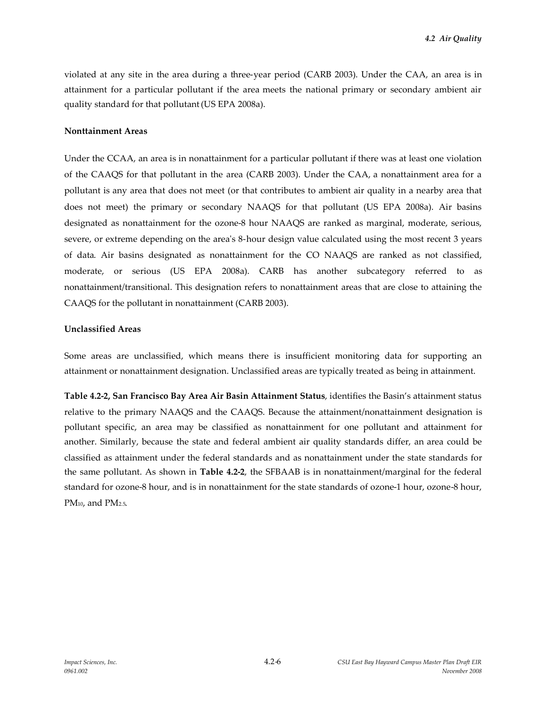violated at any site in the area during a three-year period (CARB 2003). Under the CAA, an area is in attainment for a particular pollutant if the area meets the national primary or secondary ambient air quality standard for that pollutant(US EPA 2008a).

#### **Nonttainment Areas**

Under the CCAA, an area is in nonattainment for a particular pollutant if there was at least one violation of the CAAQS for that pollutant in the area (CARB 2003). Under the CAA, a nonattainment area for a pollutant is any area that does not meet (or that contributes to ambient air quality in a nearby area that does not meet) the primary or secondary NAAQS for that pollutant (US EPA 2008a). Air basins designated as nonattainment for the ozone-8 hour NAAQS are ranked as marginal, moderate, serious, severe, or extreme depending on the area's 8-hour design value calculated using the most recent 3 years of data. Air basins designated as nonattainment for the CO NAAQS are ranked as not classified, moderate, or serious (US EPA 2008a). CARB has another subcategory referred to as nonattainment/transitional. This designation refers to nonattainment areas that are close to attaining the CAAQS for the pollutant in nonattainment (CARB 2003).

### **Unclassified Areas**

Some areas are unclassified, which means there is insufficient monitoring data for supporting an attainment or nonattainment designation. Unclassified areas are typically treated as being in attainment.

**Table 4.2-2, San Francisco Bay Area Air Basin Attainment Status**, identifies the Basin's attainment status relative to the primary NAAQS and the CAAQS. Because the attainment/nonattainment designation is pollutant specific, an area may be classified as nonattainment for one pollutant and attainment for another. Similarly, because the state and federal ambient air quality standards differ, an area could be classified as attainment under the federal standards and as nonattainment under the state standards for the same pollutant. As shown in **Table 4.2-2**, the SFBAAB is in nonattainment/marginal for the federal standard for ozone-8 hour, and is in nonattainment for the state standards of ozone-1 hour, ozone-8 hour, PM<sub>10</sub>, and PM<sub>2.5</sub>.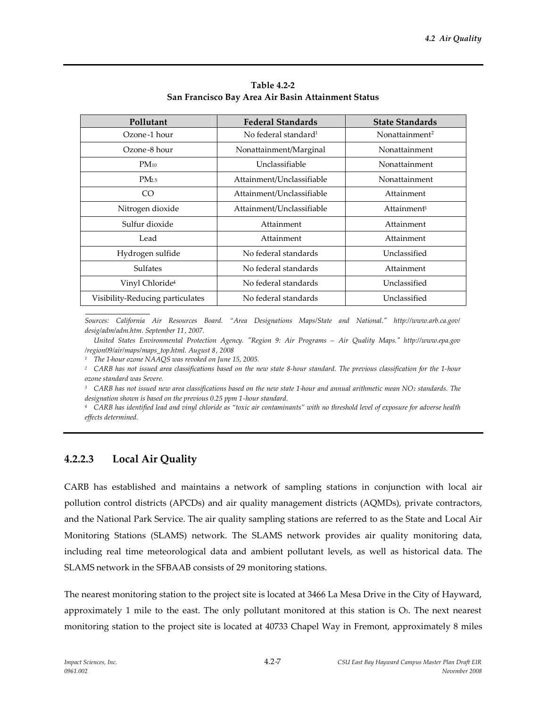| Pollutant                        | <b>Federal Standards</b>         | <b>State Standards</b>     |
|----------------------------------|----------------------------------|----------------------------|
| Ozone-1 hour                     | No federal standard <sup>1</sup> | Nonattainment <sup>2</sup> |
| Ozone-8 hour                     | Nonattainment/Marginal           | Nonattainment              |
| $PM_{10}$                        | Unclassifiable                   | Nonattainment              |
| PM <sub>2.5</sub>                | Attainment/Unclassifiable        | Nonattainment              |
| CO                               | Attainment/Unclassifiable        | Attainment                 |
| Nitrogen dioxide                 | Attainment/Unclassifiable        | Attainment <sup>3</sup>    |
| Sulfur dioxide                   | Attainment                       | Attainment                 |
| Lead                             | Attainment                       | Attainment                 |
| Hydrogen sulfide                 | No federal standards             | Unclassified               |
| <b>Sulfates</b>                  | No federal standards             | Attainment                 |
| Vinyl Chloride <sup>4</sup>      | No federal standards             | Unclassified               |
| Visibility-Reducing particulates | No federal standards             | Unclassified               |

**Table 4.2-2 San Francisco Bay Area Air Basin Attainment Status**

*Sources: California Air Resources Board. "Area Designations Maps/State and National." http://www.arb.ca.gov/ desig/adm/adm.htm. September 11, 2007.*

*United States Environmental Protection Agency. "Region 9: Air Programs – Air Quality Maps." http://www.epa.gov /region09/air/maps/maps\_top.html. August 8, 2008*

*<sup>1</sup> The 1-hour ozone NAAQS was revoked on June 15, 2005.*

*<sup>2</sup> CARB has not issued area classifications based on the new state 8-hour standard. The previous classification for the 1-hour ozone standard was Severe.*

*<sup>3</sup> CARB has not issued new area classifications based on the new state 1-hour and annual arithmetic mean NO<sup>2</sup> standards. The designation shown is based on the previous 0.25 ppm 1-hour standard.*

*<sup>4</sup> CARB has identified lead and vinyl chloride as "toxic air contaminants" with no threshold level of exposure for adverse health effects determined.*

# **4.2.2.3 Local Air Quality**

CARB has established and maintains a network of sampling stations in conjunction with local air pollution control districts (APCDs) and air quality management districts (AQMDs), private contractors, and the National Park Service. The air quality sampling stations are referred to as the State and Local Air Monitoring Stations (SLAMS) network. The SLAMS network provides air quality monitoring data, including real time meteorological data and ambient pollutant levels, as well as historical data. The SLAMS network in the SFBAAB consists of 29 monitoring stations.

The nearest monitoring station to the project site is located at 3466 La Mesa Drive in the City of Hayward, approximately 1 mile to the east. The only pollutant monitored at this station is  $O<sub>3</sub>$ . The next nearest monitoring station to the project site is located at 40733 Chapel Way in Fremont, approximately 8 miles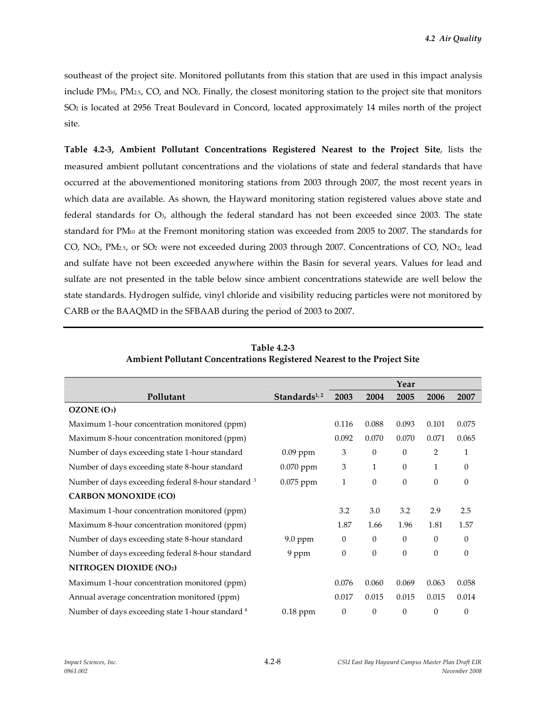southeast of the project site. Monitored pollutants from this station that are used in this impact analysis include PM10, PM2.5, CO, and NO2. Finally, the closest monitoring station to the project site that monitors SO<sup>2</sup> is located at 2956 Treat Boulevard in Concord, located approximately 14 miles north of the project site.

**Table 4.2-3, Ambient Pollutant Concentrations Registered Nearest to the Project Site**, lists the measured ambient pollutant concentrations and the violations of state and federal standards that have occurred at the abovementioned monitoring stations from 2003 through 2007, the most recent years in which data are available. As shown, the Hayward monitoring station registered values above state and federal standards for O3, although the federal standard has not been exceeded since 2003. The state standard for PM<sup>10</sup> at the Fremont monitoring station was exceeded from 2005 to 2007. The standards for CO, NO2, PM2.5, or SO<sup>2</sup> were not exceeded during 2003 through 2007. Concentrations of CO, NO2, lead and sulfate have not been exceeded anywhere within the Basin for several years. Values for lead and sulfate are not presented in the table below since ambient concentrations statewide are well below the state standards. Hydrogen sulfide, vinyl chloride and visibility reducing particles were not monitored by CARB or the BAAQMD in the SFBAAB during the period of 2003 to 2007.

|                                                             |                          |                  |                  | Year     |              |              |
|-------------------------------------------------------------|--------------------------|------------------|------------------|----------|--------------|--------------|
| Pollutant                                                   | Standards <sup>1,2</sup> | 2003             | 2004             | 2005     | 2006         | 2007         |
| OZONE (O <sub>3</sub> )                                     |                          |                  |                  |          |              |              |
| Maximum 1-hour concentration monitored (ppm)                |                          | 0.116            | 0.088            | 0.093    | 0.101        | 0.075        |
| Maximum 8-hour concentration monitored (ppm)                |                          | 0.092            | 0.070            | 0.070    | 0.071        | 0.065        |
| Number of days exceeding state 1-hour standard              | $0.09$ ppm               | 3                | $\mathbf{0}$     | $\theta$ | 2            | 1            |
| Number of days exceeding state 8-hour standard              | 0.070 ppm                | 3                | $\mathbf{1}$     | $\theta$ | 1            | 0            |
| Number of days exceeding federal 8-hour standard 3          | 0.075 ppm                | 1                | $\theta$         | $\theta$ | $\theta$     | $\mathbf{0}$ |
| <b>CARBON MONOXIDE (CO)</b>                                 |                          |                  |                  |          |              |              |
| Maximum 1-hour concentration monitored (ppm)                |                          | 3.2              | 3.0              | 3.2      | 2.9          | 2.5          |
| Maximum 8-hour concentration monitored (ppm)                |                          | 1.87             | 1.66             | 1.96     | 1.81         | 1.57         |
| Number of days exceeding state 8-hour standard              | 9.0 ppm                  | $\theta$         | $\theta$         | $\Omega$ | $\theta$     | $\mathbf{0}$ |
| Number of days exceeding federal 8-hour standard            | 9 ppm                    | $\boldsymbol{0}$ | $\mathbf{0}$     | $\theta$ | $\mathbf{0}$ | $\theta$     |
| NITROGEN DIOXIDE (NO2)                                      |                          |                  |                  |          |              |              |
| Maximum 1-hour concentration monitored (ppm)                |                          | 0.076            | 0.060            | 0.069    | 0.063        | 0.058        |
| Annual average concentration monitored (ppm)                |                          | 0.017            | 0.015            | 0.015    | 0.015        | 0.014        |
| Number of days exceeding state 1-hour standard <sup>4</sup> | $0.18$ ppm               | $\boldsymbol{0}$ | $\boldsymbol{0}$ | $\theta$ | $\theta$     | 0            |

**Table 4.2-3 Ambient Pollutant Concentrations Registered Nearest to the Project Site**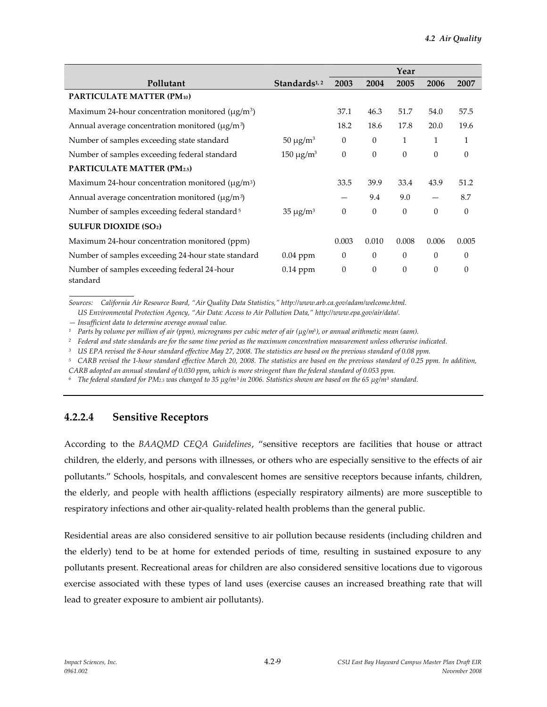|                                                                    |                          |              |                  | Year         |          |          |
|--------------------------------------------------------------------|--------------------------|--------------|------------------|--------------|----------|----------|
| Pollutant                                                          | Standards <sup>1,2</sup> | 2003         | 2004             | 2005         | 2006     | 2007     |
| PARTICULATE MATTER (PM10)                                          |                          |              |                  |              |          |          |
| Maximum 24-hour concentration monitored ( $\mu$ g/m <sup>3</sup> ) |                          | 37.1         | 46.3             | 51.7         | 54.0     | 57.5     |
| Annual average concentration monitored ( $\mu$ g/m <sup>3</sup> )  |                          | 18.2         | 18.6             | 17.8         | 20.0     | 19.6     |
| Number of samples exceeding state standard                         | $50 \mu g/m^3$           | $\mathbf{0}$ | $\boldsymbol{0}$ | $\mathbf{1}$ | 1        | 1        |
| Number of samples exceeding federal standard                       | $150 \mu g/m^3$          | $\theta$     | $\theta$         | $\theta$     | $\theta$ | $\theta$ |
| <b>PARTICULATE MATTER (PM2.5)</b>                                  |                          |              |                  |              |          |          |
| Maximum 24-hour concentration monitored ( $\mu$ g/m <sup>3</sup> ) |                          | 33.5         | 39.9             | 33.4         | 43.9     | 51.2     |
| Annual average concentration monitored $(\mu g/m^3)$               |                          |              | 9.4              | 9.0          |          | 8.7      |
| Number of samples exceeding federal standard <sup>5</sup>          | $35 \mu g/m^3$           | $\theta$     | $\theta$         | $\theta$     | $\theta$ | $\theta$ |
| <b>SULFUR DIOXIDE (SO2)</b>                                        |                          |              |                  |              |          |          |
| Maximum 24-hour concentration monitored (ppm)                      |                          | 0.003        | 0.010            | 0.008        | 0.006    | 0.005    |
| Number of samples exceeding 24 hour state standard                 | $0.04$ ppm               | $\theta$     | $\theta$         | $\theta$     | $\theta$ | $\theta$ |
| Number of samples exceeding federal 24-hour<br>standard            | $0.14$ ppm               | $\theta$     | $\theta$         | $\mathbf{0}$ | $\theta$ | $\theta$ |

*Sources: California Air Resource Board, "Air Quality Data Statistics," http://www.arb.ca.gov/adam/welcome.html.*

*US Environmental Protection Agency, "Air Data: Access to Air Pollution Data," http://www.epa.gov/air/data/.*

*— Insufficient data to determine average annual value.*

*<sup>1</sup> Parts by volume per million of air (ppm), micrograms per cubic meter of air (µg/m3), or annual arithmetic mean (aam).*

*<sup>2</sup> Federal and state standards are for the same time period as the maximum concentration measurement unless otherwise indicated.*

*<sup>3</sup> US EPA revised the 8-hour standard effective May 27, 2008. The statistics are based on the previous standard of 0.08 ppm.*

*<sup>5</sup> CARB revised the 1-hour standard effective March 20, 2008. The statistics are based on the previous standard of 0.25 ppm. In addition,*

*CARB adopted an annual standard of 0.030 ppm, which is more stringent than the federal standard of 0.053 ppm.*

*<sup>6</sup> The federal standard for PM2.5 was changed to 35 µg/m<sup>3</sup> in 2006. Statistics shown are based on the 65 µg/m<sup>3</sup> standard.*

# **4.2.2.4 Sensitive Receptors**

According to the *BAAQMD CEQA Guidelines*, "sensitive receptors are facilities that house or attract children, the elderly, and persons with illnesses, or others who are especially sensitive to the effects of air pollutants." Schools, hospitals, and convalescent homes are sensitive receptors because infants, children, the elderly, and people with health afflictions (especially respiratory ailments) are more susceptible to respiratory infections and other air-quality-related health problems than the general public.

Residential areas are also considered sensitive to air pollution because residents (including children and the elderly) tend to be at home for extended periods of time, resulting in sustained exposure to any pollutants present. Recreational areas for children are also considered sensitive locations due to vigorous exercise associated with these types of land uses (exercise causes an increased breathing rate that will lead to greater exposure to ambient air pollutants).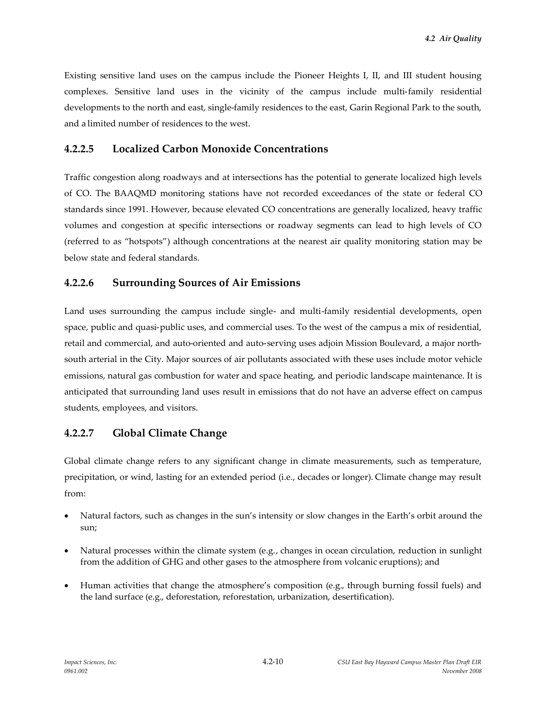Existing sensitive land uses on the campus include the Pioneer Heights I, II, and III student housing complexes. Sensitive land uses in the vicinity of the campus include multi-family residential developments to the north and east, single-family residences to the east, Garin Regional Park to the south, and a limited number of residences to the west.

# **4.2.2.5 Localized Carbon Monoxide Concentrations**

Traffic congestion along roadways and at intersections has the potential to generate localized high levels of CO. The BAAQMD monitoring stations have not recorded exceedances of the state or federal CO standards since 1991. However, because elevated CO concentrations are generally localized, heavy traffic volumes and congestion at specific intersections or roadway segments can lead to high levels of CO (referred to as "hotspots") although concentrations at the nearest air quality monitoring station may be below state and federal standards.

# **4.2.2.6 Surrounding Sources of Air Emissions**

Land uses surrounding the campus include single- and multi-family residential developments, open space, public and quasi-public uses, and commercial uses. To the west of the campus a mix of residential, retail and commercial, and auto-oriented and auto-serving uses adjoin Mission Boulevard, a major northsouth arterial in the City. Major sources of air pollutants associated with these uses include motor vehicle emissions, natural gas combustion for water and space heating, and periodic landscape maintenance. It is anticipated that surrounding land uses result in emissions that do not have an adverse effect on campus students, employees, and visitors.

# **4.2.2.7 Global Climate Change**

Global climate change refers to any significant change in climate measurements, such as temperature, precipitation, or wind, lasting for an extended period (i.e., decades or longer). Climate change may result from:

- Natural factors, such as changes in the sun's intensity or slow changes in the Earth's orbit around the sun;
- Natural processes within the climate system (e.g., changes in ocean circulation, reduction in sunlight from the addition of GHG and other gases to the atmosphere from volcanic eruptions); and
- Human activities that change the atmosphere's composition (e.g., through burning fossil fuels) and the land surface (e.g., deforestation, reforestation, urbanization, desertification).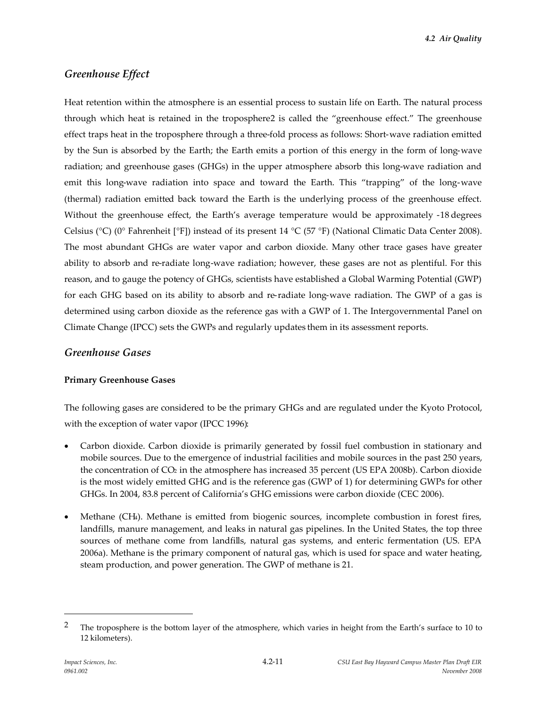*4.2 Air Quality*

# *Greenhouse Effect*

Heat retention within the atmosphere is an essential process to sustain life on Earth. The natural process through which heat is retained in the troposphere2 is called the "greenhouse effect." The greenhouse effect traps heat in the troposphere through a three-fold process as follows: Short-wave radiation emitted by the Sun is absorbed by the Earth; the Earth emits a portion of this energy in the form of long-wave radiation; and greenhouse gases (GHGs) in the upper atmosphere absorb this long-wave radiation and emit this long-wave radiation into space and toward the Earth. This "trapping" of the long-wave (thermal) radiation emitted back toward the Earth is the underlying process of the greenhouse effect. Without the greenhouse effect, the Earth's average temperature would be approximately -18 degrees Celsius (°C) (0° Fahrenheit [°F]) instead of its present 14 °C (57 °F) (National Climatic Data Center 2008). The most abundant GHGs are water vapor and carbon dioxide. Many other trace gases have greater ability to absorb and re-radiate long-wave radiation; however, these gases are not as plentiful. For this reason, and to gauge the potency of GHGs, scientists have established a Global Warming Potential (GWP) for each GHG based on its ability to absorb and re-radiate long-wave radiation. The GWP of a gas is determined using carbon dioxide as the reference gas with a GWP of 1. The Intergovernmental Panel on Climate Change (IPCC) sets the GWPs and regularly updates them in its assessment reports.

### *Greenhouse Gases*

### **Primary Greenhouse Gases**

The following gases are considered to be the primary GHGs and are regulated under the Kyoto Protocol, with the exception of water vapor (IPCC 1996):

- Carbon dioxide. Carbon dioxide is primarily generated by fossil fuel combustion in stationary and mobile sources. Due to the emergence of industrial facilities and mobile sources in the past 250 years, the concentration of CO<sub>2</sub> in the atmosphere has increased 35 percent (US EPA 2008b). Carbon dioxide is the most widely emitted GHG and is the reference gas (GWP of 1) for determining GWPs for other GHGs. In 2004, 83.8 percent of California's GHG emissions were carbon dioxide (CEC 2006).
- Methane (CH4). Methane is emitted from biogenic sources, incomplete combustion in forest fires, landfills, manure management, and leaks in natural gas pipelines. In the United States, the top three sources of methane come from landfills, natural gas systems, and enteric fermentation (US. EPA 2006a). Methane is the primary component of natural gas, which is used for space and water heating, steam production, and power generation. The GWP of methane is 21.

<sup>&</sup>lt;sup>2</sup> The troposphere is the bottom layer of the atmosphere, which varies in height from the Earth's surface to 10 to 12 kilometers).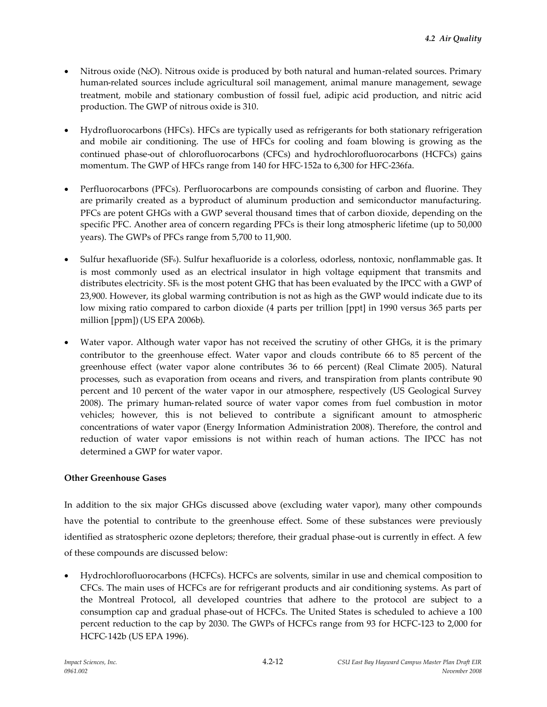- Nitrous oxide (N2O). Nitrous oxide is produced by both natural and human-related sources. Primary human-related sources include agricultural soil management, animal manure management, sewage treatment, mobile and stationary combustion of fossil fuel, adipic acid production, and nitric acid production. The GWP of nitrous oxide is 310.
- Hydrofluorocarbons (HFCs). HFCs are typically used as refrigerants for both stationary refrigeration and mobile air conditioning. The use of HFCs for cooling and foam blowing is growing as the continued phase-out of chlorofluorocarbons (CFCs) and hydrochlorofluorocarbons (HCFCs) gains momentum. The GWP of HFCs range from 140 for HFC-152a to 6,300 for HFC-236fa.
- Perfluorocarbons (PFCs). Perfluorocarbons are compounds consisting of carbon and fluorine. They are primarily created as a byproduct of aluminum production and semiconductor manufacturing. PFCs are potent GHGs with a GWP several thousand times that of carbon dioxide, depending on the specific PFC. Another area of concern regarding PFCs is their long atmospheric lifetime (up to 50,000 years). The GWPs of PFCs range from 5,700 to 11,900.
- Sulfur hexafluoride (SF6). Sulfur hexafluoride is a colorless, odorless, nontoxic, nonflammable gas. It is most commonly used as an electrical insulator in high voltage equipment that transmits and distributes electricity. SF<sup>6</sup> is the most potent GHG that has been evaluated by the IPCC with a GWP of 23,900. However, its global warming contribution is not as high as the GWP would indicate due to its low mixing ratio compared to carbon dioxide (4 parts per trillion [ppt] in 1990 versus 365 parts per million [ppm]) (US EPA 2006b).
- Water vapor. Although water vapor has not received the scrutiny of other GHGs, it is the primary contributor to the greenhouse effect. Water vapor and clouds contribute 66 to 85 percent of the greenhouse effect (water vapor alone contributes 36 to 66 percent) (Real Climate 2005). Natural processes, such as evaporation from oceans and rivers, and transpiration from plants contribute 90 percent and 10 percent of the water vapor in our atmosphere, respectively (US Geological Survey 2008). The primary human-related source of water vapor comes from fuel combustion in motor vehicles; however, this is not believed to contribute a significant amount to atmospheric concentrations of water vapor (Energy Information Administration 2008). Therefore, the control and reduction of water vapor emissions is not within reach of human actions. The IPCC has not determined a GWP for water vapor.

### **Other Greenhouse Gases**

In addition to the six major GHGs discussed above (excluding water vapor), many other compounds have the potential to contribute to the greenhouse effect. Some of these substances were previously identified as stratospheric ozone depletors; therefore, their gradual phase-out is currently in effect. A few of these compounds are discussed below:

 Hydrochlorofluorocarbons (HCFCs). HCFCs are solvents, similar in use and chemical composition to CFCs. The main uses of HCFCs are for refrigerant products and air conditioning systems. As part of the Montreal Protocol, all developed countries that adhere to the protocol are subject to a consumption cap and gradual phase-out of HCFCs. The United States is scheduled to achieve a 100 percent reduction to the cap by 2030. The GWPs of HCFCs range from 93 for HCFC-123 to 2,000 for HCFC-142b (US EPA 1996).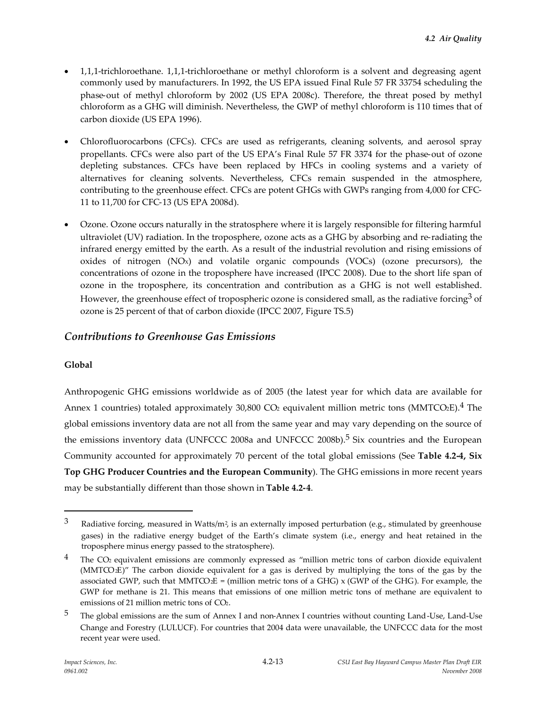- 1,1,1-trichloroethane. 1,1,1-trichloroethane or methyl chloroform is a solvent and degreasing agent commonly used by manufacturers. In 1992, the US EPA issued Final Rule 57 FR 33754 scheduling the phase-out of methyl chloroform by 2002 (US EPA 2008c). Therefore, the threat posed by methyl chloroform as a GHG will diminish. Nevertheless, the GWP of methyl chloroform is 110 times that of carbon dioxide (US EPA 1996).
- Chlorofluorocarbons (CFCs). CFCs are used as refrigerants, cleaning solvents, and aerosol spray propellants. CFCs were also part of the US EPA's Final Rule 57 FR 3374 for the phase-out of ozone depleting substances. CFCs have been replaced by HFCs in cooling systems and a variety of alternatives for cleaning solvents. Nevertheless, CFCs remain suspended in the atmosphere, contributing to the greenhouse effect. CFCs are potent GHGs with GWPs ranging from 4,000 for CFC-11 to 11,700 for CFC-13 (US EPA 2008d).
- Ozone. Ozone occurs naturally in the stratosphere where it is largely responsible for filtering harmful ultraviolet (UV) radiation. In the troposphere, ozone acts as a GHG by absorbing and re-radiating the infrared energy emitted by the earth. As a result of the industrial revolution and rising emissions of oxides of nitrogen  $(NOx)$  and volatile organic compounds  $(VOCs)$  (ozone precursors), the concentrations of ozone in the troposphere have increased (IPCC 2008). Due to the short life span of ozone in the troposphere, its concentration and contribution as a GHG is not well established. However, the greenhouse effect of tropospheric ozone is considered small, as the radiative forcing<sup>3</sup> of ozone is 25 percent of that of carbon dioxide (IPCC 2007, Figure TS.5)

# *Contributions to Greenhouse Gas Emissions*

### **Global**

Anthropogenic GHG emissions worldwide as of 2005 (the latest year for which data are available for Annex 1 countries) totaled approximately 30,800 CO<sub>2</sub> equivalent million metric tons (MMTCO<sub>2</sub>E).<sup>4</sup> The global emissions inventory data are not all from the same year and may vary depending on the source of the emissions inventory data (UNFCCC 2008a and UNFCCC 2008b).<sup>5</sup> Six countries and the European Community accounted for approximately 70 percent of the total global emissions (See **Table 4.2-4, Six Top GHG Producer Countries and the European Community**). The GHG emissions in more recent years may be substantially different than those shown in **Table 4.2-4**.

<sup>3</sup> Radiative forcing, measured in Watts/m<sup>2</sup>, is an externally imposed perturbation (e.g., stimulated by greenhouse gases) in the radiative energy budget of the Earth's climate system (i.e., energy and heat retained in the troposphere minus energy passed to the stratosphere).

 $4$  The CO<sub>2</sub> equivalent emissions are commonly expressed as "million metric tons of carbon dioxide equivalent (MMTCO2E)" The carbon dioxide equivalent for a gas is derived by multiplying the tons of the gas by the associated GWP, such that MMTCO $E =$  (million metric tons of a GHG) x (GWP of the GHG). For example, the GWP for methane is 21. This means that emissions of one million metric tons of methane are equivalent to emissions of 21 million metric tons of CO2.

<sup>5</sup> The global emissions are the sum of Annex I and non-Annex I countries without counting Land-Use, Land-Use Change and Forestry (LULUCF). For countries that 2004 data were unavailable, the UNFCCC data for the most recent year were used.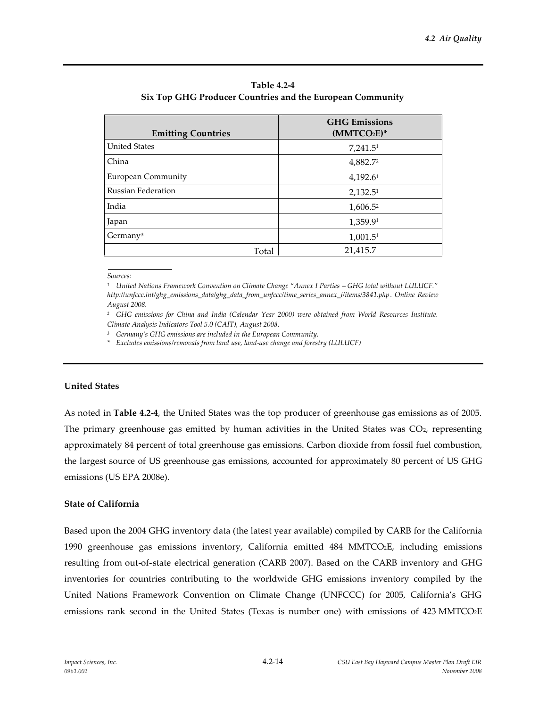| <b>Emitting Countries</b> | <b>GHG</b> Emissions<br>$(MMTCO2E)*$ |
|---------------------------|--------------------------------------|
| <b>United States</b>      | 7,241.5 <sup>1</sup>                 |
| China                     | 4,882.72                             |
| <b>European Community</b> | 4,192.61                             |
| <b>Russian Federation</b> | 2,132.5 <sup>1</sup>                 |
| India                     | 1,606.52                             |
| Japan                     | 1,359.91                             |
| Germany <sup>3</sup>      | 1,001.5 <sup>1</sup>                 |
| Total                     | 21,415.7                             |

**Table 4.2-4 Six Top GHG Producer Countries and the European Community**

*Sources:*

*<sup>1</sup> United Nations Framework Convention on Climate Change "Annex I Parties – GHG total without LULUCF." http://unfccc.int/ghg\_emissions\_data/ghg\_data\_from\_unfccc/time\_series\_annex\_i/items/3841.php. Online Review August 2008.*

*<sup>2</sup> GHG emissions for China and India (Calendar Year 2000) were obtained from World Resources Institute. Climate Analysis Indicators Tool 5.0 (CAIT), August 2008.*

*<sup>3</sup> Germany's GHG emissions are included in the European Community.*

*\* Excludes emissions/removals from land use, land-use change and forestry (LULUCF)*

#### **United States**

As noted in **Table 4.2-4**, the United States was the top producer of greenhouse gas emissions as of 2005. The primary greenhouse gas emitted by human activities in the United States was  $CO<sub>2</sub>$ , representing approximately 84 percent of total greenhouse gas emissions. Carbon dioxide from fossil fuel combustion, the largest source of US greenhouse gas emissions, accounted for approximately 80 percent of US GHG emissions (US EPA 2008e).

#### **State of California**

Based upon the 2004 GHG inventory data (the latest year available) compiled by CARB for the California 1990 greenhouse gas emissions inventory, California emitted 484 MMTCO2E, including emissions resulting from out-of-state electrical generation (CARB 2007). Based on the CARB inventory and GHG inventories for countries contributing to the worldwide GHG emissions inventory compiled by the United Nations Framework Convention on Climate Change (UNFCCC) for 2005, California's GHG emissions rank second in the United States (Texas is number one) with emissions of 423 MMTCO2E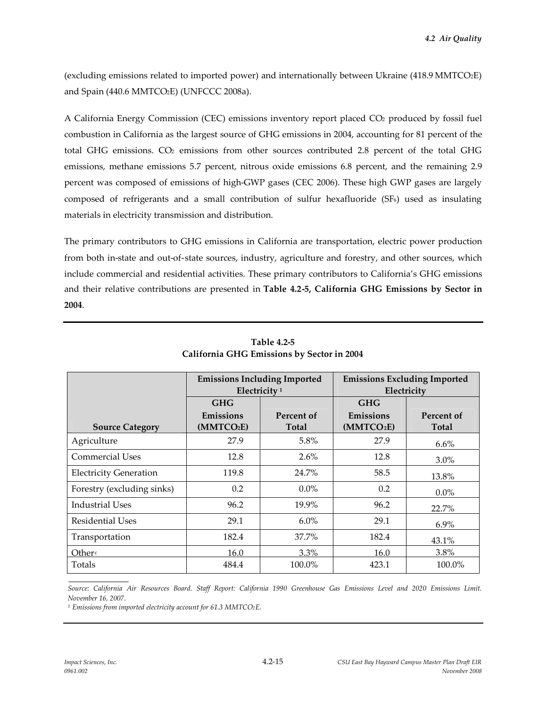(excluding emissions related to imported power) and internationally between Ukraine (418.9 MMTCO2E) and Spain (440.6 MMTCO2E) (UNFCCC 2008a).

A California Energy Commission (CEC) emissions inventory report placed CO<sup>2</sup> produced by fossil fuel combustion in California as the largest source of GHG emissions in 2004, accounting for 81 percent of the total GHG emissions. CO<sup>2</sup> emissions from other sources contributed 2.8 percent of the total GHG emissions, methane emissions 5.7 percent, nitrous oxide emissions 6.8 percent, and the remaining 2.9 percent was composed of emissions of high-GWP gases (CEC 2006). These high GWP gases are largely composed of refrigerants and a small contribution of sulfur hexafluoride (SF6) used as insulating materials in electricity transmission and distribution.

The primary contributors to GHG emissions in California are transportation, electric power production from both in-state and out-of-state sources, industry, agriculture and forestry, and other sources, which include commercial and residential activities. These primary contributors to California's GHG emissions and their relative contributions are presented in **Table 4.2-5, California GHG Emissions by Sector in 2004**.

|                               | <b>Emissions Including Imported</b><br>Electricity <sup>1</sup> |              | <b>Emissions Excluding Imported</b><br>Electricity |              |  |
|-------------------------------|-----------------------------------------------------------------|--------------|----------------------------------------------------|--------------|--|
|                               | GHG<br>Emissions<br>Percent of                                  |              | <b>GHG</b><br>Emissions                            | Percent of   |  |
| <b>Source Category</b>        | (MMTCO <sub>2</sub> E)                                          | <b>Total</b> | (MMTCO <sub>2</sub> E)                             | <b>Total</b> |  |
| Agriculture                   | 27.9                                                            | 5.8%         | 27.9                                               | $6.6\%$      |  |
| <b>Commercial Uses</b>        | 12.8                                                            | 2.6%         | 12.8                                               | $3.0\%$      |  |
| <b>Electricity Generation</b> | 119.8                                                           | 24.7%        | 58.5                                               | 13.8%        |  |
| Forestry (excluding sinks)    | 0.2                                                             | $0.0\%$      | 0.2                                                | $0.0\%$      |  |
| <b>Industrial Uses</b>        | 96.2                                                            | 19.9%        | 96.2                                               | 22.7%        |  |
| <b>Residential Uses</b>       | 29.1                                                            | $6.0\%$      | 29.1                                               | $6.9\%$      |  |
| Transportation                | 182.4                                                           | 37.7%        | 182.4                                              | 43.1%        |  |
| Other                         | 16.0                                                            | $3.3\%$      | 16.0                                               | 3.8%         |  |
| Totals                        | 484.4                                                           | 100.0%       | 423.1                                              | 100.0%       |  |

**Table 4.2-5 California GHG Emissions by Sector in 2004**

*Source: California Air Resources Board. Staff Report: California 1990 Greenhouse Gas Emissions Level and 2020 Emissions Limit. November 16, 2007.*

*<sup>1</sup> Emissions from imported electricity account for 61.3 MMTCO2E.*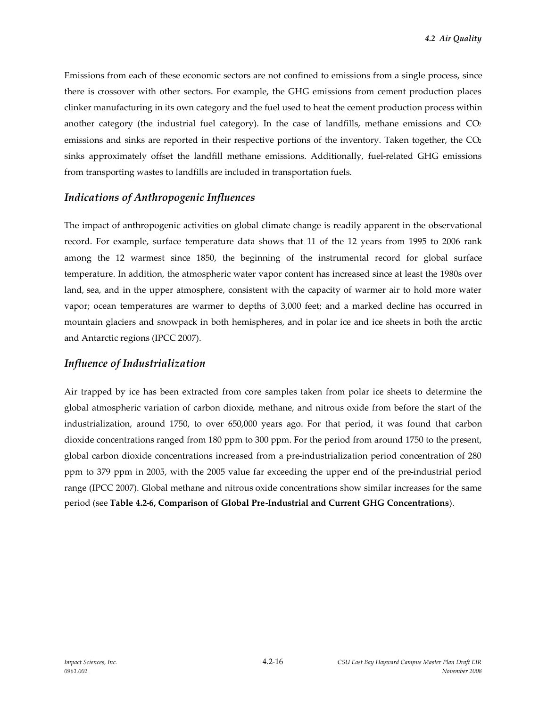Emissions from each of these economic sectors are not confined to emissions from a single process, since there is crossover with other sectors. For example, the GHG emissions from cement production places clinker manufacturing in its own category and the fuel used to heat the cement production process within another category (the industrial fuel category). In the case of landfills, methane emissions and  $CO<sub>2</sub>$ emissions and sinks are reported in their respective portions of the inventory. Taken together, the  $CO<sub>2</sub>$ sinks approximately offset the landfill methane emissions. Additionally, fuel-related GHG emissions from transporting wastes to landfills are included in transportation fuels.

# *Indications of Anthropogenic Influences*

The impact of anthropogenic activities on global climate change is readily apparent in the observational record. For example, surface temperature data shows that 11 of the 12 years from 1995 to 2006 rank among the 12 warmest since 1850, the beginning of the instrumental record for global surface temperature. In addition, the atmospheric water vapor content has increased since at least the 1980s over land, sea, and in the upper atmosphere, consistent with the capacity of warmer air to hold more water vapor; ocean temperatures are warmer to depths of 3,000 feet; and a marked decline has occurred in mountain glaciers and snowpack in both hemispheres, and in polar ice and ice sheets in both the arctic and Antarctic regions (IPCC 2007).

# *Influence of Industrialization*

Air trapped by ice has been extracted from core samples taken from polar ice sheets to determine the global atmospheric variation of carbon dioxide, methane, and nitrous oxide from before the start of the industrialization, around 1750, to over 650,000 years ago. For that period, it was found that carbon dioxide concentrations ranged from 180 ppm to 300 ppm. For the period from around 1750 to the present, global carbon dioxide concentrations increased from a pre-industrialization period concentration of 280 ppm to 379 ppm in 2005, with the 2005 value far exceeding the upper end of the pre-industrial period range (IPCC 2007). Global methane and nitrous oxide concentrations show similar increases for the same period (see **Table 4.2-6, Comparison of Global Pre-Industrial and Current GHG Concentrations**).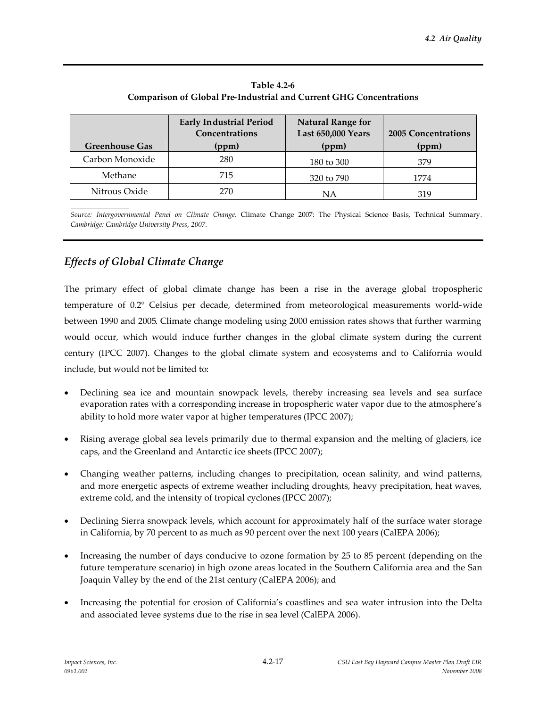| <b>Greenhouse Gas</b> | <b>Early Industrial Period</b><br>Concentrations<br>(ppm) | <b>Natural Range for</b><br><b>Last 650,000 Years</b><br>(ppm) | <b>2005 Concentrations</b><br>(ppm) |
|-----------------------|-----------------------------------------------------------|----------------------------------------------------------------|-------------------------------------|
| Carbon Monoxide       | 280                                                       | 180 to 300                                                     | 379                                 |
| Methane               | 715                                                       | 320 to 790                                                     | 1774                                |
| Nitrous Oxide         | 270                                                       | <b>NA</b>                                                      | 319                                 |

**Table 4.2-6 Comparison of Global Pre-Industrial and Current GHG Concentrations**

*Source: Intergovernmental Panel on Climate Change*. Climate Change 2007: The Physical Science Basis, Technical Summary*. Cambridge: Cambridge University Press, 2007.*

# *Effects of Global Climate Change*

The primary effect of global climate change has been a rise in the average global tropospheric temperature of 0.2° Celsius per decade, determined from meteorological measurements world-wide between 1990 and 2005. Climate change modeling using 2000 emission rates shows that further warming would occur, which would induce further changes in the global climate system during the current century (IPCC 2007). Changes to the global climate system and ecosystems and to California would include, but would not be limited to:

- Declining sea ice and mountain snowpack levels, thereby increasing sea levels and sea surface evaporation rates with a corresponding increase in tropospheric water vapor due to the atmosphere's ability to hold more water vapor at higher temperatures (IPCC 2007);
- Rising average global sea levels primarily due to thermal expansion and the melting of glaciers, ice caps, and the Greenland and Antarctic ice sheets (IPCC 2007);
- Changing weather patterns, including changes to precipitation, ocean salinity, and wind patterns, and more energetic aspects of extreme weather including droughts, heavy precipitation, heat waves, extreme cold, and the intensity of tropical cyclones (IPCC 2007);
- Declining Sierra snowpack levels, which account for approximately half of the surface water storage in California, by 70 percent to as much as 90 percent over the next 100 years (CalEPA 2006);
- Increasing the number of days conducive to ozone formation by 25 to 85 percent (depending on the future temperature scenario) in high ozone areas located in the Southern California area and the San Joaquin Valley by the end of the 21st century (CalEPA 2006); and
- Increasing the potential for erosion of California's coastlines and sea water intrusion into the Delta and associated levee systems due to the rise in sea level (CalEPA 2006).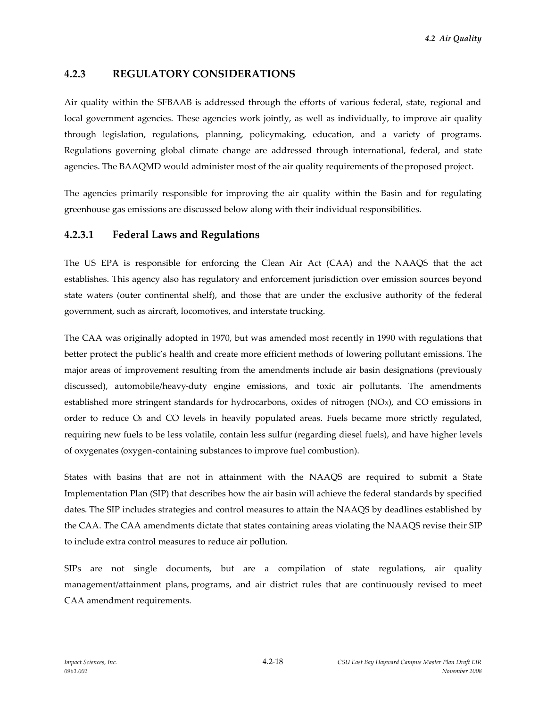# **4.2.3 REGULATORY CONSIDERATIONS**

Air quality within the SFBAAB is addressed through the efforts of various federal, state, regional and local government agencies. These agencies work jointly, as well as individually, to improve air quality through legislation, regulations, planning, policymaking, education, and a variety of programs. Regulations governing global climate change are addressed through international, federal, and state agencies. The BAAQMD would administer most of the air quality requirements of the proposed project.

The agencies primarily responsible for improving the air quality within the Basin and for regulating greenhouse gas emissions are discussed below along with their individual responsibilities.

### **4.2.3.1 Federal Laws and Regulations**

The US EPA is responsible for enforcing the Clean Air Act (CAA) and the NAAQS that the act establishes. This agency also has regulatory and enforcement jurisdiction over emission sources beyond state waters (outer continental shelf), and those that are under the exclusive authority of the federal government, such as aircraft, locomotives, and interstate trucking.

The CAA was originally adopted in 1970, but was amended most recently in 1990 with regulations that better protect the public's health and create more efficient methods of lowering pollutant emissions. The major areas of improvement resulting from the amendments include air basin designations (previously discussed), automobile/heavy-duty engine emissions, and toxic air pollutants. The amendments established more stringent standards for hydrocarbons, oxides of nitrogen (NOx), and CO emissions in order to reduce O<sub>3</sub> and CO levels in heavily populated areas. Fuels became more strictly regulated, requiring new fuels to be less volatile, contain less sulfur (regarding diesel fuels), and have higher levels of oxygenates (oxygen-containing substances to improve fuel combustion).

States with basins that are not in attainment with the NAAQS are required to submit a State Implementation Plan (SIP) that describes how the air basin will achieve the federal standards by specified dates. The SIP includes strategies and control measures to attain the NAAQS by deadlines established by the CAA. The CAA amendments dictate that states containing areas violating the NAAQS revise their SIP to include extra control measures to reduce air pollution.

SIPs are not single documents, but are a compilation of state regulations, air quality management/attainment plans, programs, and air district rules that are continuously revised to meet CAA amendment requirements.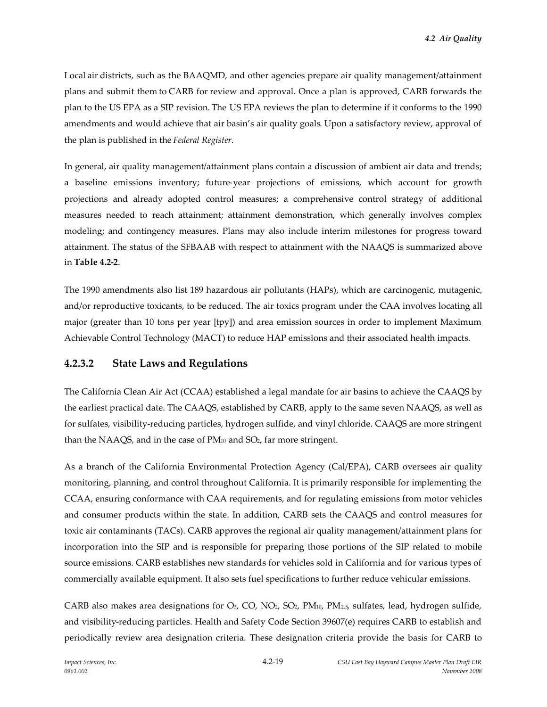Local air districts, such as the BAAQMD, and other agencies prepare air quality management/attainment plans and submit them to CARB for review and approval. Once a plan is approved, CARB forwards the plan to the US EPA as a SIP revision. The US EPA reviews the plan to determine if it conforms to the 1990 amendments and would achieve that air basin's air quality goals. Upon a satisfactory review, approval of the plan is published in the *Federal Register*.

In general, air quality management/attainment plans contain a discussion of ambient air data and trends; a baseline emissions inventory; future-year projections of emissions, which account for growth projections and already adopted control measures; a comprehensive control strategy of additional measures needed to reach attainment; attainment demonstration, which generally involves complex modeling; and contingency measures. Plans may also include interim milestones for progress toward attainment. The status of the SFBAAB with respect to attainment with the NAAQS is summarized above in **Table 4.2-2**.

The 1990 amendments also list 189 hazardous air pollutants (HAPs), which are carcinogenic, mutagenic, and/or reproductive toxicants, to be reduced. The air toxics program under the CAA involves locating all major (greater than 10 tons per year [tpy]) and area emission sources in order to implement Maximum Achievable Control Technology (MACT) to reduce HAP emissions and their associated health impacts.

# **4.2.3.2 State Laws and Regulations**

The California Clean Air Act (CCAA) established a legal mandate for air basins to achieve the CAAQS by the earliest practical date. The CAAQS, established by CARB, apply to the same seven NAAQS, as well as for sulfates, visibility-reducing particles, hydrogen sulfide, and vinyl chloride. CAAQS are more stringent than the NAAQS, and in the case of PM<sup>10</sup> and SO2, far more stringent.

As a branch of the California Environmental Protection Agency (Cal/EPA), CARB oversees air quality monitoring, planning, and control throughout California. It is primarily responsible for implementing the CCAA, ensuring conformance with CAA requirements, and for regulating emissions from motor vehicles and consumer products within the state. In addition, CARB sets the CAAQS and control measures for toxic air contaminants (TACs). CARB approves the regional air quality management/attainment plans for incorporation into the SIP and is responsible for preparing those portions of the SIP related to mobile source emissions. CARB establishes new standards for vehicles sold in California and for various types of commercially available equipment. It also sets fuel specifications to further reduce vehicular emissions.

CARB also makes area designations for O<sub>3</sub>, CO, NO<sub>2</sub>, SO<sub>2</sub>, PM<sub>10</sub>, PM<sub>2.5</sub>, sulfates, lead, hydrogen sulfide, and visibility-reducing particles. Health and Safety Code Section 39607(e) requires CARB to establish and periodically review area designation criteria. These designation criteria provide the basis for CARB to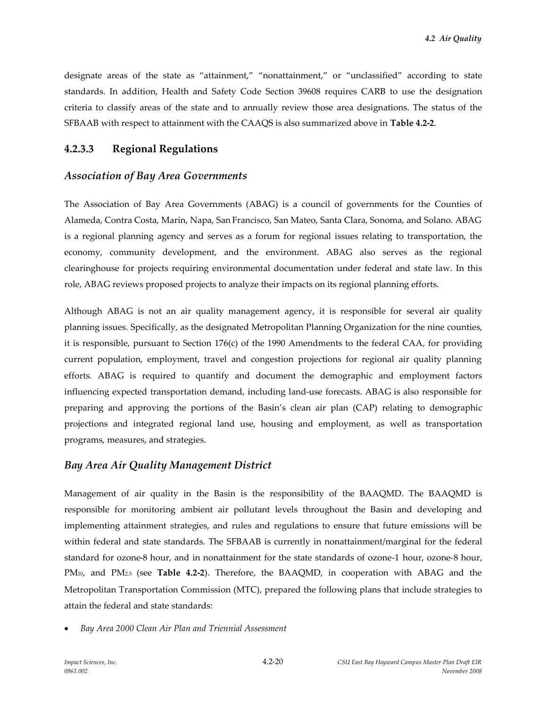designate areas of the state as "attainment," "nonattainment," or "unclassified" according to state standards. In addition, Health and Safety Code Section 39608 requires CARB to use the designation criteria to classify areas of the state and to annually review those area designations. The status of the SFBAAB with respect to attainment with the CAAQS is also summarized above in **Table 4.2-2**.

## **4.2.3.3 Regional Regulations**

### *Association of Bay Area Governments*

The Association of Bay Area Governments (ABAG) is a council of governments for the Counties of Alameda, Contra Costa, Marin, Napa, San Francisco, San Mateo, Santa Clara, Sonoma, and Solano. ABAG is a regional planning agency and serves as a forum for regional issues relating to transportation, the economy, community development, and the environment. ABAG also serves as the regional clearinghouse for projects requiring environmental documentation under federal and state law. In this role, ABAG reviews proposed projects to analyze their impacts on its regional planning efforts.

Although ABAG is not an air quality management agency, it is responsible for several air quality planning issues. Specifically, as the designated Metropolitan Planning Organization for the nine counties, it is responsible, pursuant to Section 176(c) of the 1990 Amendments to the federal CAA, for providing current population, employment, travel and congestion projections for regional air quality planning efforts. ABAG is required to quantify and document the demographic and employment factors influencing expected transportation demand, including land-use forecasts. ABAG is also responsible for preparing and approving the portions of the Basin's clean air plan (CAP) relating to demographic projections and integrated regional land use, housing and employment, as well as transportation programs, measures, and strategies.

### *Bay Area Air Quality Management District*

Management of air quality in the Basin is the responsibility of the BAAQMD. The BAAQMD is responsible for monitoring ambient air pollutant levels throughout the Basin and developing and implementing attainment strategies, and rules and regulations to ensure that future emissions will be within federal and state standards. The SFBAAB is currently in nonattainment/marginal for the federal standard for ozone-8 hour, and in nonattainment for the state standards of ozone-1 hour, ozone-8 hour, PM10, and PM2.5 (see **Table 4.2-2**). Therefore, the BAAQMD, in cooperation with ABAG and the Metropolitan Transportation Commission (MTC), prepared the following plans that include strategies to attain the federal and state standards:

*Bay Area 2000 Clean Air Plan and Triennial Assessment*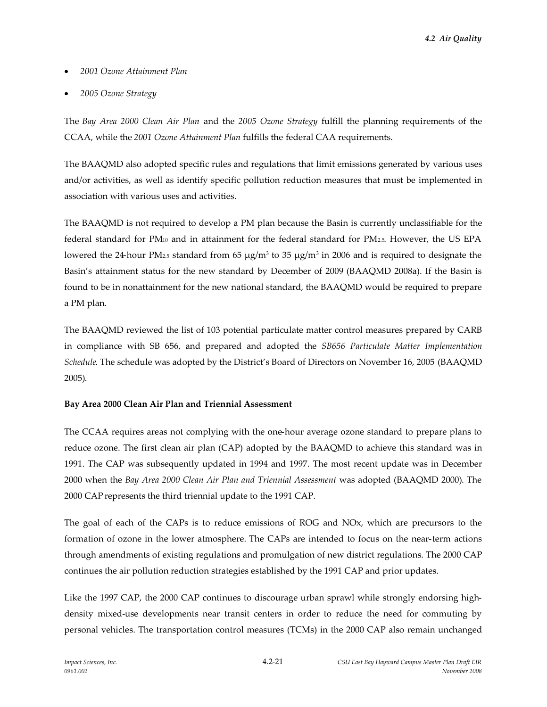*4.2 Air Quality*

- *2001 Ozone Attainment Plan*
- *2005 Ozone Strategy*

The *Bay Area 2000 Clean Air Plan* and the *2005 Ozone Strategy* fulfill the planning requirements of the CCAA, while the *2001 Ozone Attainment Plan* fulfills the federal CAA requirements.

The BAAQMD also adopted specific rules and regulations that limit emissions generated by various uses and/or activities, as well as identify specific pollution reduction measures that must be implemented in association with various uses and activities.

The BAAQMD is not required to develop a PM plan because the Basin is currently unclassifiable for the federal standard for PM<sup>10</sup> and in attainment for the federal standard for PM2.5. However, the US EPA lowered the 24-hour PM<sub>2.5</sub> standard from 65  $\mu$ g/m<sup>3</sup> to 35  $\mu$ g/m<sup>3</sup> in 2006 and is required to designate the Basin's attainment status for the new standard by December of 2009 (BAAQMD 2008a). If the Basin is found to be in nonattainment for the new national standard, the BAAQMD would be required to prepare a PM plan.

The BAAQMD reviewed the list of 103 potential particulate matter control measures prepared by CARB in compliance with SB 656, and prepared and adopted the *SB656 Particulate Matter Implementation Schedule*. The schedule was adopted by the District's Board of Directors on November 16, 2005 (BAAQMD 2005).

### **Bay Area 2000 Clean Air Plan and Triennial Assessment**

The CCAA requires areas not complying with the one-hour average ozone standard to prepare plans to reduce ozone. The first clean air plan (CAP) adopted by the BAAQMD to achieve this standard was in 1991. The CAP was subsequently updated in 1994 and 1997. The most recent update was in December 2000 when the *Bay Area 2000 Clean Air Plan and Triennial Assessment* was adopted (BAAQMD 2000). The 2000 CAP represents the third triennial update to the 1991 CAP.

The goal of each of the CAPs is to reduce emissions of ROG and NOx, which are precursors to the formation of ozone in the lower atmosphere. The CAPs are intended to focus on the near-term actions through amendments of existing regulations and promulgation of new district regulations. The 2000 CAP continues the air pollution reduction strategies established by the 1991 CAP and prior updates.

Like the 1997 CAP, the 2000 CAP continues to discourage urban sprawl while strongly endorsing highdensity mixed-use developments near transit centers in order to reduce the need for commuting by personal vehicles. The transportation control measures (TCMs) in the 2000 CAP also remain unchanged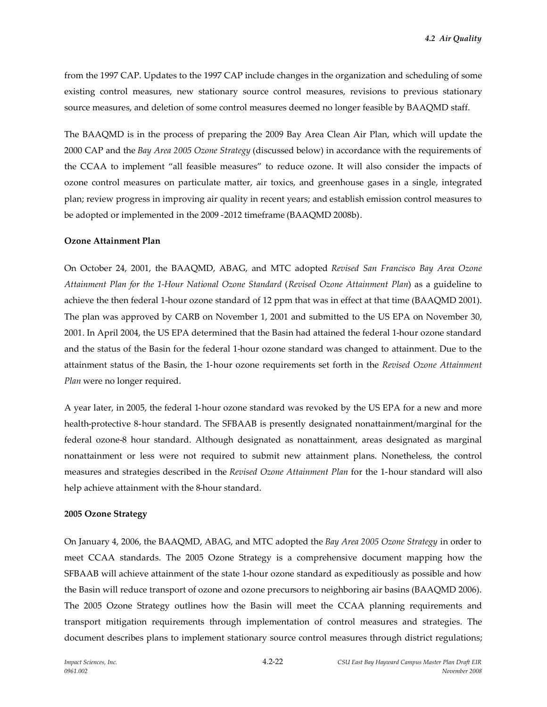from the 1997 CAP. Updates to the 1997 CAP include changes in the organization and scheduling of some existing control measures, new stationary source control measures, revisions to previous stationary source measures, and deletion of some control measures deemed no longer feasible by BAAQMD staff.

The BAAQMD is in the process of preparing the 2009 Bay Area Clean Air Plan, which will update the 2000 CAP and the *Bay Area 2005 Ozone Strategy* (discussed below) in accordance with the requirements of the CCAA to implement "all feasible measures" to reduce ozone. It will also consider the impacts of ozone control measures on particulate matter, air toxics, and greenhouse gases in a single, integrated plan; review progress in improving air quality in recent years; and establish emission control measures to be adopted or implemented in the 2009 -2012 timeframe (BAAQMD 2008b).

#### **Ozone Attainment Plan**

On October 24, 2001, the BAAQMD, ABAG, and MTC adopted *Revised San Francisco Bay Area Ozone Attainment Plan for the 1-Hour National Ozone Standard* (*Revised Ozone Attainment Plan*) as a guideline to achieve the then federal 1-hour ozone standard of 12 ppm that was in effect at that time (BAAQMD 2001). The plan was approved by CARB on November 1, 2001 and submitted to the US EPA on November 30, 2001. In April 2004, the US EPA determined that the Basin had attained the federal 1-hour ozone standard and the status of the Basin for the federal 1-hour ozone standard was changed to attainment. Due to the attainment status of the Basin, the 1-hour ozone requirements set forth in the *Revised Ozone Attainment Plan* were no longer required.

A year later, in 2005, the federal 1-hour ozone standard was revoked by the US EPA for a new and more health-protective 8-hour standard. The SFBAAB is presently designated nonattainment/marginal for the federal ozone-8 hour standard. Although designated as nonattainment, areas designated as marginal nonattainment or less were not required to submit new attainment plans. Nonetheless, the control measures and strategies described in the *Revised Ozone Attainment Plan* for the 1-hour standard will also help achieve attainment with the 8-hour standard.

#### **2005 Ozone Strategy**

On January 4, 2006, the BAAQMD, ABAG, and MTC adopted the *Bay Area 2005 Ozone Strategy* in order to meet CCAA standards. The 2005 Ozone Strategy is a comprehensive document mapping how the SFBAAB will achieve attainment of the state 1-hour ozone standard as expeditiously as possible and how the Basin will reduce transport of ozone and ozone precursors to neighboring air basins (BAAQMD 2006). The 2005 Ozone Strategy outlines how the Basin will meet the CCAA planning requirements and transport mitigation requirements through implementation of control measures and strategies. The document describes plans to implement stationary source control measures through district regulations;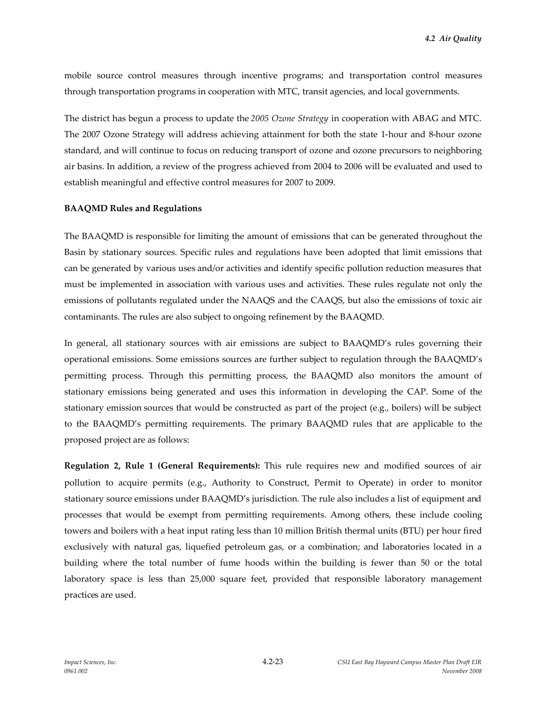mobile source control measures through incentive programs; and transportation control measures through transportation programs in cooperation with MTC, transit agencies, and local governments.

The district has begun a process to update the *2005 Ozone Strategy* in cooperation with ABAG and MTC. The 2007 Ozone Strategy will address achieving attainment for both the state 1-hour and 8-hour ozone standard, and will continue to focus on reducing transport of ozone and ozone precursors to neighboring air basins. In addition, a review of the progress achieved from 2004 to 2006 will be evaluated and used to establish meaningful and effective control measures for 2007 to 2009.

#### **BAAQMD Rules and Regulations**

The BAAQMD is responsible for limiting the amount of emissions that can be generated throughout the Basin by stationary sources. Specific rules and regulations have been adopted that limit emissions that can be generated by various uses and/or activities and identify specific pollution reduction measures that must be implemented in association with various uses and activities. These rules regulate not only the emissions of pollutants regulated under the NAAQS and the CAAQS, but also the emissions of toxic air contaminants. The rules are also subject to ongoing refinement by the BAAQMD.

In general, all stationary sources with air emissions are subject to BAAQMD's rules governing their operational emissions. Some emissions sources are further subject to regulation through the BAAQMD's permitting process. Through this permitting process, the BAAQMD also monitors the amount of stationary emissions being generated and uses this information in developing the CAP. Some of the stationary emission sources that would be constructed as part of the project (e.g., boilers) will be subject to the BAAQMD's permitting requirements. The primary BAAQMD rules that are applicable to the proposed project are as follows:

**Regulation 2, Rule 1 (General Requirements):** This rule requires new and modified sources of air pollution to acquire permits (e.g., Authority to Construct, Permit to Operate) in order to monitor stationary source emissions under BAAQMD's jurisdiction. The rule also includes a list of equipment and processes that would be exempt from permitting requirements. Among others, these include cooling towers and boilers with a heat input rating less than 10 million British thermal units (BTU) per hour fired exclusively with natural gas, liquefied petroleum gas, or a combination; and laboratories located in a building where the total number of fume hoods within the building is fewer than 50 or the total laboratory space is less than 25,000 square feet, provided that responsible laboratory management practices are used.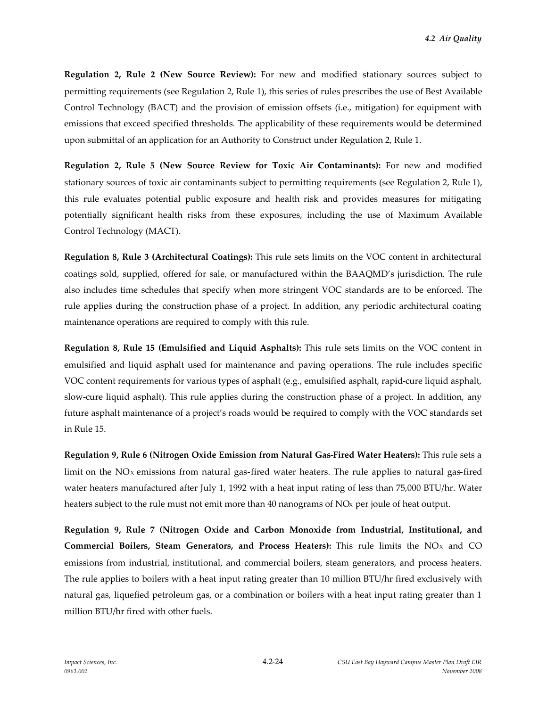**Regulation 2, Rule 2 (New Source Review):** For new and modified stationary sources subject to permitting requirements (see Regulation 2, Rule 1), this series of rules prescribes the use of Best Available Control Technology (BACT) and the provision of emission offsets (i.e., mitigation) for equipment with emissions that exceed specified thresholds. The applicability of these requirements would be determined upon submittal of an application for an Authority to Construct under Regulation 2, Rule 1.

**Regulation 2, Rule 5 (New Source Review for Toxic Air Contaminants):** For new and modified stationary sources of toxic air contaminants subject to permitting requirements (see Regulation 2, Rule 1), this rule evaluates potential public exposure and health risk and provides measures for mitigating potentially significant health risks from these exposures, including the use of Maximum Available Control Technology (MACT).

**Regulation 8, Rule 3 (Architectural Coatings):** This rule sets limits on the VOC content in architectural coatings sold, supplied, offered for sale, or manufactured within the BAAQMD's jurisdiction. The rule also includes time schedules that specify when more stringent VOC standards are to be enforced. The rule applies during the construction phase of a project. In addition, any periodic architectural coating maintenance operations are required to comply with this rule.

**Regulation 8, Rule 15 (Emulsified and Liquid Asphalts):** This rule sets limits on the VOC content in emulsified and liquid asphalt used for maintenance and paving operations. The rule includes specific VOC content requirements for various types of asphalt (e.g., emulsified asphalt, rapid-cure liquid asphalt, slow-cure liquid asphalt). This rule applies during the construction phase of a project. In addition, any future asphalt maintenance of a project's roads would be required to comply with the VOC standards set in Rule 15.

**Regulation 9, Rule 6 (Nitrogen Oxide Emission from Natural Gas-Fired Water Heaters):** This rule sets a limit on the  $NOx$  emissions from natural gas-fired water heaters. The rule applies to natural gas-fired water heaters manufactured after July 1, 1992 with a heat input rating of less than 75,000 BTU/hr. Water heaters subject to the rule must not emit more than 40 nanograms of NO<sub>x</sub> per joule of heat output.

**Regulation 9, Rule 7 (Nitrogen Oxide and Carbon Monoxide from Industrial, Institutional, and Commercial Boilers, Steam Generators, and Process Heaters):** This rule limits the NO<sup>X</sup> and CO emissions from industrial, institutional, and commercial boilers, steam generators, and process heaters. The rule applies to boilers with a heat input rating greater than 10 million BTU/hr fired exclusively with natural gas, liquefied petroleum gas, or a combination or boilers with a heat input rating greater than 1 million BTU/hr fired with other fuels.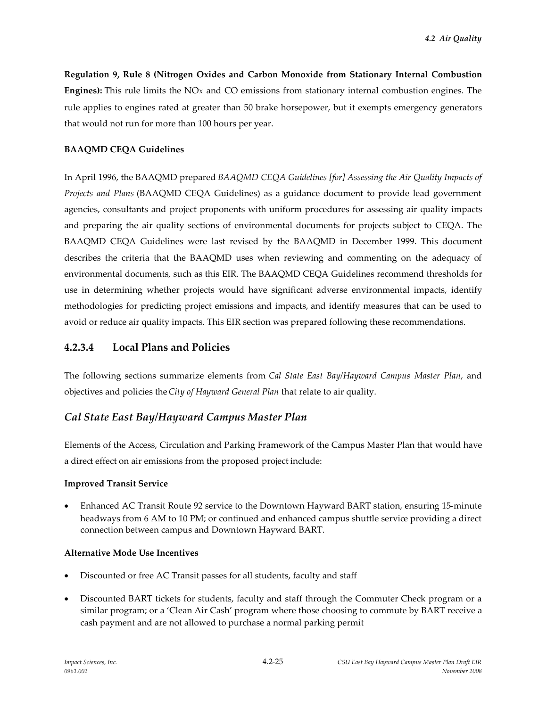**Regulation 9, Rule 8 (Nitrogen Oxides and Carbon Monoxide from Stationary Internal Combustion Engines):** This rule limits the NO<sub>x</sub> and CO emissions from stationary internal combustion engines. The rule applies to engines rated at greater than 50 brake horsepower, but it exempts emergency generators that would not run for more than 100 hours per year.

## **BAAQMD CEQA Guidelines**

In April 1996, the BAAQMD prepared *BAAQMD CEQA Guidelines [for] Assessing the Air Quality Impacts of Projects and Plans* (BAAQMD CEQA Guidelines) as a guidance document to provide lead government agencies, consultants and project proponents with uniform procedures for assessing air quality impacts and preparing the air quality sections of environmental documents for projects subject to CEQA. The BAAQMD CEQA Guidelines were last revised by the BAAQMD in December 1999. This document describes the criteria that the BAAQMD uses when reviewing and commenting on the adequacy of environmental documents, such as this EIR. The BAAQMD CEQA Guidelines recommend thresholds for use in determining whether projects would have significant adverse environmental impacts, identify methodologies for predicting project emissions and impacts, and identify measures that can be used to avoid or reduce air quality impacts. This EIR section was prepared following these recommendations.

# **4.2.3.4 Local Plans and Policies**

The following sections summarize elements from *Cal State East Bay/Hayward Campus Master Plan*, and objectives and policies the*City of Hayward General Plan* that relate to air quality.

# *Cal State East Bay/Hayward Campus Master Plan*

Elements of the Access, Circulation and Parking Framework of the Campus Master Plan that would have a direct effect on air emissions from the proposed project include:

### **Improved Transit Service**

 Enhanced AC Transit Route 92 service to the Downtown Hayward BART station, ensuring 15-minute headways from 6 AM to 10 PM; or continued and enhanced campus shuttle service providing a direct connection between campus and Downtown Hayward BART.

### **Alternative Mode Use Incentives**

- Discounted or free AC Transit passes for all students, faculty and staff
- Discounted BART tickets for students, faculty and staff through the Commuter Check program or a similar program; or a 'Clean Air Cash' program where those choosing to commute by BART receive a cash payment and are not allowed to purchase a normal parking permit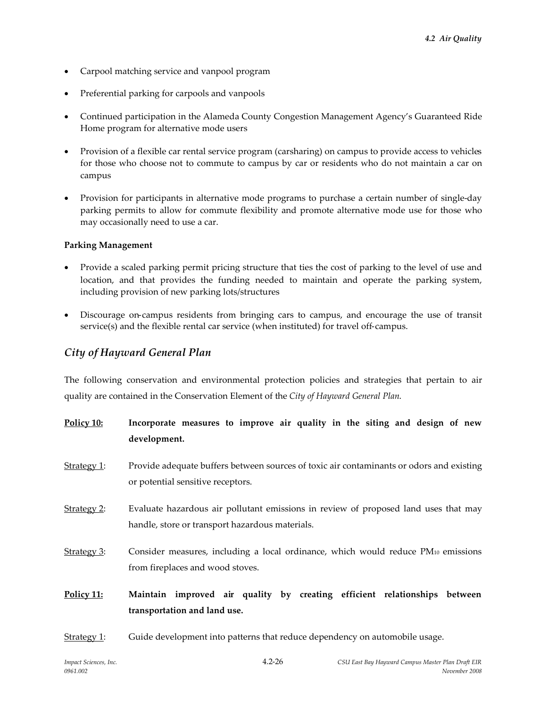- Carpool matching service and vanpool program
- Preferential parking for carpools and vanpools
- Continued participation in the Alameda County Congestion Management Agency's Guaranteed Ride Home program for alternative mode users
- Provision of a flexible car rental service program (carsharing) on campus to provide access to vehicles for those who choose not to commute to campus by car or residents who do not maintain a car on campus
- Provision for participants in alternative mode programs to purchase a certain number of single-day parking permits to allow for commute flexibility and promote alternative mode use for those who may occasionally need to use a car.

### **Parking Management**

- Provide a scaled parking permit pricing structure that ties the cost of parking to the level of use and location, and that provides the funding needed to maintain and operate the parking system, including provision of new parking lots/structures
- Discourage on-campus residents from bringing cars to campus, and encourage the use of transit service(s) and the flexible rental car service (when instituted) for travel off-campus.

# *City of Hayward General Plan*

The following conservation and environmental protection policies and strategies that pertain to air quality are contained in the Conservation Element of the *City of Hayward General Plan*.

- **Policy 10: Incorporate measures to improve air quality in the siting and design of new development.**
- Strategy 1: Provide adequate buffers between sources of toxic air contaminants or odors and existing or potential sensitive receptors.
- Strategy 2: Evaluate hazardous air pollutant emissions in review of proposed land uses that may handle, store or transport hazardous materials.
- Strategy 3: Consider measures, including a local ordinance, which would reduce  $PM_{10}$  emissions from fireplaces and wood stoves.
- **Policy 11: Maintain improved air quality by creating efficient relationships between transportation and land use.**
- Strategy 1: Guide development into patterns that reduce dependency on automobile usage.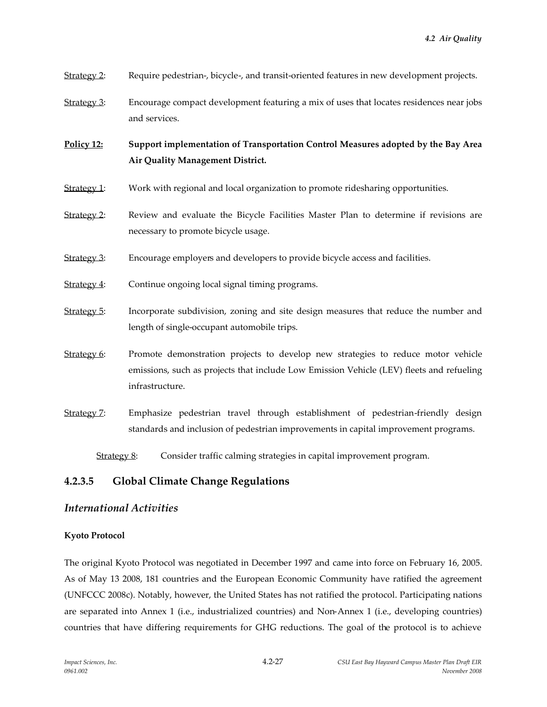- Strategy 2: Require pedestrian-, bicycle-, and transit-oriented features in new development projects.
- Strategy 3: Encourage compact development featuring a mix of uses that locates residences near jobs and services.

**Policy 12: Support implementation of Transportation Control Measures adopted by the Bay Area Air Quality Management District.**

- Strategy 1: Work with regional and local organization to promote ridesharing opportunities.
- Strategy 2: Review and evaluate the Bicycle Facilities Master Plan to determine if revisions are necessary to promote bicycle usage.
- Strategy 3: Encourage employers and developers to provide bicycle access and facilities.
- Strategy 4: Continue ongoing local signal timing programs.
- Strategy 5: Incorporate subdivision, zoning and site design measures that reduce the number and length of single-occupant automobile trips.
- Strategy 6: Promote demonstration projects to develop new strategies to reduce motor vehicle emissions, such as projects that include Low Emission Vehicle (LEV) fleets and refueling infrastructure.
- Strategy 7: Emphasize pedestrian travel through establishment of pedestrian-friendly design standards and inclusion of pedestrian improvements in capital improvement programs.

Strategy 8: Consider traffic calming strategies in capital improvement program.

# **4.2.3.5 Global Climate Change Regulations**

### *International Activities*

### **Kyoto Protocol**

The original Kyoto Protocol was negotiated in December 1997 and came into force on February 16, 2005. As of May 13 2008, 181 countries and the European Economic Community have ratified the agreement (UNFCCC 2008c). Notably, however, the United States has not ratified the protocol. Participating nations are separated into Annex 1 (i.e., industrialized countries) and Non-Annex 1 (i.e., developing countries) countries that have differing requirements for GHG reductions. The goal of the protocol is to achieve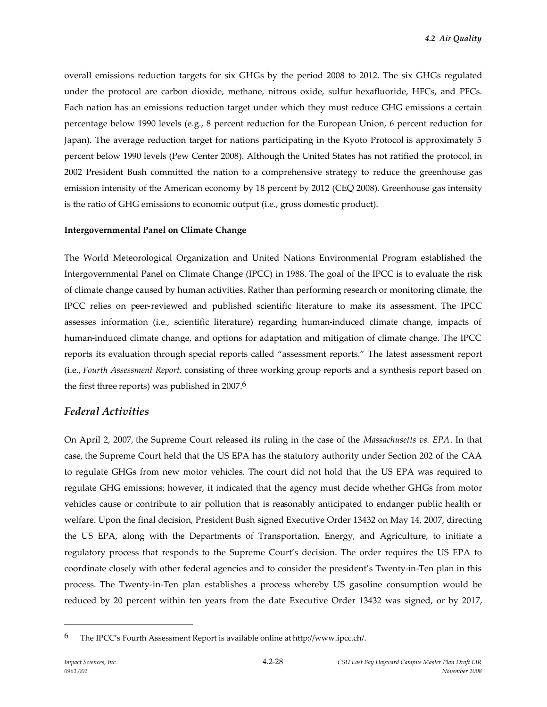overall emissions reduction targets for six GHGs by the period 2008 to 2012. The six GHGs regulated under the protocol are carbon dioxide, methane, nitrous oxide, sulfur hexafluoride, HFCs, and PFCs. Each nation has an emissions reduction target under which they must reduce GHG emissions a certain percentage below 1990 levels (e.g., 8 percent reduction for the European Union, 6 percent reduction for Japan). The average reduction target for nations participating in the Kyoto Protocol is approximately 5 percent below 1990 levels (Pew Center 2008). Although the United States has not ratified the protocol, in 2002 President Bush committed the nation to a comprehensive strategy to reduce the greenhouse gas emission intensity of the American economy by 18 percent by 2012 (CEQ 2008). Greenhouse gas intensity is the ratio of GHG emissions to economic output (i.e., gross domestic product).

#### **Intergovernmental Panel on Climate Change**

The World Meteorological Organization and United Nations Environmental Program established the Intergovernmental Panel on Climate Change (IPCC) in 1988. The goal of the IPCC is to evaluate the risk of climate change caused by human activities. Rather than performing research or monitoring climate, the IPCC relies on peer-reviewed and published scientific literature to make its assessment. The IPCC assesses information (i.e., scientific literature) regarding human-induced climate change, impacts of human-induced climate change, and options for adaptation and mitigation of climate change. The IPCC reports its evaluation through special reports called "assessment reports." The latest assessment report (i.e., *Fourth Assessment Report*, consisting of three working group reports and a synthesis report based on the first three reports) was published in 2007.<sup>6</sup>

### *Federal Activities*

On April 2, 2007, the Supreme Court released its ruling in the case of the *Massachusetts vs. EPA*. In that case, the Supreme Court held that the US EPA has the statutory authority under Section 202 of the CAA to regulate GHGs from new motor vehicles. The court did not hold that the US EPA was required to regulate GHG emissions; however, it indicated that the agency must decide whether GHGs from motor vehicles cause or contribute to air pollution that is reasonably anticipated to endanger public health or welfare. Upon the final decision, President Bush signed Executive Order 13432 on May 14, 2007, directing the US EPA, along with the Departments of Transportation, Energy, and Agriculture, to initiate a regulatory process that responds to the Supreme Court's decision. The order requires the US EPA to coordinate closely with other federal agencies and to consider the president's Twenty-in-Ten plan in this process. The Twenty-in-Ten plan establishes a process whereby US gasoline consumption would be reduced by 20 percent within ten years from the date Executive Order 13432 was signed, or by 2017,

<sup>6</sup> The IPCC's Fourth Assessment Report is available online at http://www.ipcc.ch/.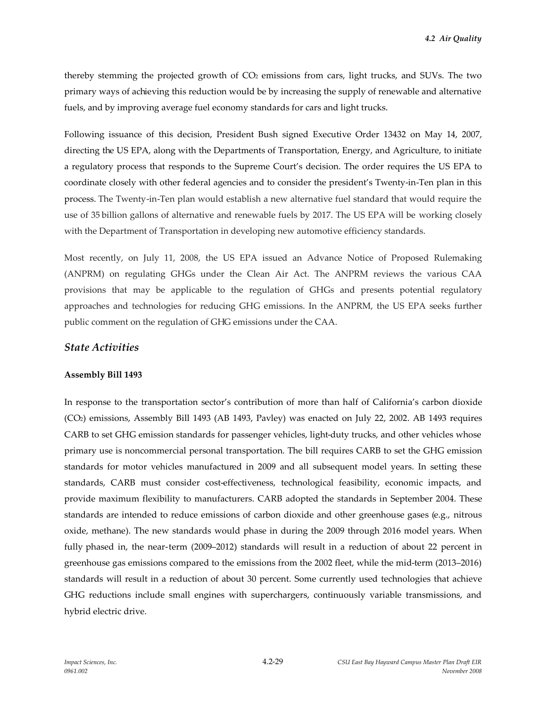thereby stemming the projected growth of  $CO<sub>2</sub>$  emissions from cars, light trucks, and SUVs. The two primary ways of achieving this reduction would be by increasing the supply of renewable and alternative fuels, and by improving average fuel economy standards for cars and light trucks.

Following issuance of this decision, President Bush signed Executive Order 13432 on May 14, 2007, directing the US EPA, along with the Departments of Transportation, Energy, and Agriculture, to initiate a regulatory process that responds to the Supreme Court's decision. The order requires the US EPA to coordinate closely with other federal agencies and to consider the president's Twenty-in-Ten plan in this process. The Twenty-in-Ten plan would establish a new alternative fuel standard that would require the use of 35 billion gallons of alternative and renewable fuels by 2017. The US EPA will be working closely with the Department of Transportation in developing new automotive efficiency standards.

Most recently, on July 11, 2008, the US EPA issued an Advance Notice of Proposed Rulemaking (ANPRM) on regulating GHGs under the Clean Air Act. The ANPRM reviews the various CAA provisions that may be applicable to the regulation of GHGs and presents potential regulatory approaches and technologies for reducing GHG emissions. In the ANPRM, the US EPA seeks further public comment on the regulation of GHG emissions under the CAA.

### *State Activities*

#### **Assembly Bill 1493**

In response to the transportation sector's contribution of more than half of California's carbon dioxide (CO2) emissions, Assembly Bill 1493 (AB 1493, Pavley) was enacted on July 22, 2002. AB 1493 requires CARB to set GHG emission standards for passenger vehicles, light-duty trucks, and other vehicles whose primary use is noncommercial personal transportation. The bill requires CARB to set the GHG emission standards for motor vehicles manufactured in 2009 and all subsequent model years. In setting these standards, CARB must consider cost-effectiveness, technological feasibility, economic impacts, and provide maximum flexibility to manufacturers. CARB adopted the standards in September 2004. These standards are intended to reduce emissions of carbon dioxide and other greenhouse gases (e.g., nitrous oxide, methane). The new standards would phase in during the 2009 through 2016 model years. When fully phased in, the near-term (2009–2012) standards will result in a reduction of about 22 percent in greenhouse gas emissions compared to the emissions from the 2002 fleet, while the mid-term (2013–2016) standards will result in a reduction of about 30 percent. Some currently used technologies that achieve GHG reductions include small engines with superchargers, continuously variable transmissions, and hybrid electric drive.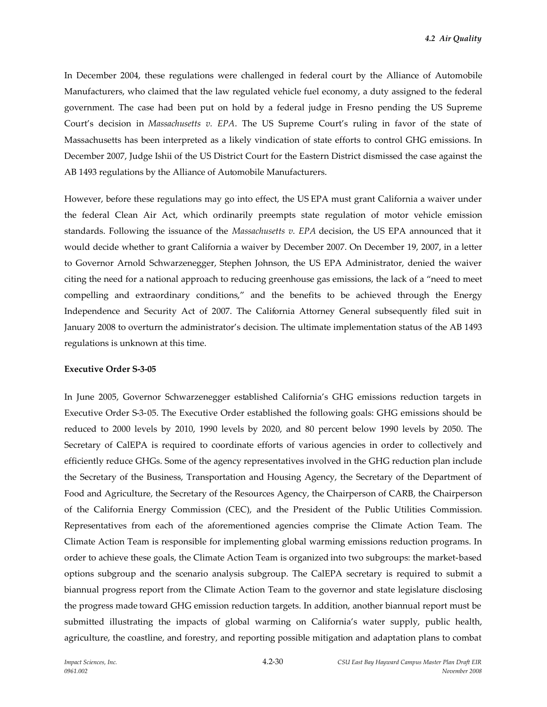In December 2004, these regulations were challenged in federal court by the Alliance of Automobile Manufacturers, who claimed that the law regulated vehicle fuel economy, a duty assigned to the federal government. The case had been put on hold by a federal judge in Fresno pending the US Supreme Court's decision in *Massachusetts v. EPA*. The US Supreme Court's ruling in favor of the state of Massachusetts has been interpreted as a likely vindication of state efforts to control GHG emissions. In December 2007, Judge Ishii of the US District Court for the Eastern District dismissed the case against the AB 1493 regulations by the Alliance of Automobile Manufacturers.

However, before these regulations may go into effect, the US EPA must grant California a waiver under the federal Clean Air Act, which ordinarily preempts state regulation of motor vehicle emission standards. Following the issuance of the *Massachusetts v. EPA* decision, the US EPA announced that it would decide whether to grant California a waiver by December 2007. On December 19, 2007, in a letter to Governor Arnold Schwarzenegger, Stephen Johnson, the US EPA Administrator, denied the waiver citing the need for a national approach to reducing greenhouse gas emissions, the lack of a "need to meet compelling and extraordinary conditions," and the benefits to be achieved through the Energy Independence and Security Act of 2007. The California Attorney General subsequently filed suit in January 2008 to overturn the administrator's decision. The ultimate implementation status of the AB 1493 regulations is unknown at this time.

#### **Executive Order S-3-05**

In June 2005, Governor Schwarzenegger established California's GHG emissions reduction targets in Executive Order S-3-05. The Executive Order established the following goals: GHG emissions should be reduced to 2000 levels by 2010, 1990 levels by 2020, and 80 percent below 1990 levels by 2050. The Secretary of CalEPA is required to coordinate efforts of various agencies in order to collectively and efficiently reduce GHGs. Some of the agency representatives involved in the GHG reduction plan include the Secretary of the Business, Transportation and Housing Agency, the Secretary of the Department of Food and Agriculture, the Secretary of the Resources Agency, the Chairperson of CARB, the Chairperson of the California Energy Commission (CEC), and the President of the Public Utilities Commission. Representatives from each of the aforementioned agencies comprise the Climate Action Team. The Climate Action Team is responsible for implementing global warming emissions reduction programs. In order to achieve these goals, the Climate Action Team is organized into two subgroups: the market-based options subgroup and the scenario analysis subgroup. The CalEPA secretary is required to submit a biannual progress report from the Climate Action Team to the governor and state legislature disclosing the progress made toward GHG emission reduction targets. In addition, another biannual report must be submitted illustrating the impacts of global warming on California's water supply, public health, agriculture, the coastline, and forestry, and reporting possible mitigation and adaptation plans to combat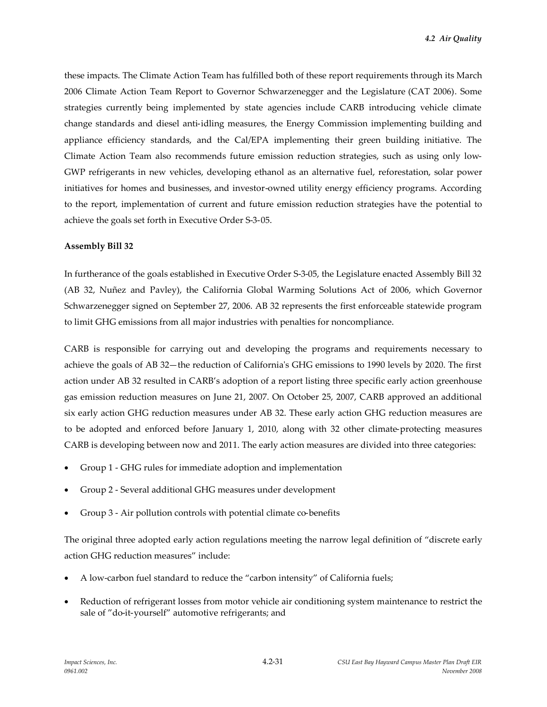these impacts. The Climate Action Team has fulfilled both of these report requirements through its March 2006 Climate Action Team Report to Governor Schwarzenegger and the Legislature (CAT 2006). Some strategies currently being implemented by state agencies include CARB introducing vehicle climate change standards and diesel anti-idling measures, the Energy Commission implementing building and appliance efficiency standards, and the Cal/EPA implementing their green building initiative. The Climate Action Team also recommends future emission reduction strategies, such as using only low-GWP refrigerants in new vehicles, developing ethanol as an alternative fuel, reforestation, solar power initiatives for homes and businesses, and investor-owned utility energy efficiency programs. According to the report, implementation of current and future emission reduction strategies have the potential to achieve the goals set forth in Executive Order S-3-05.

#### **Assembly Bill 32**

In furtherance of the goals established in Executive Order S-3-05, the Legislature enacted Assembly Bill 32 (AB 32, Nuñez and Pavley), the California Global Warming Solutions Act of 2006, which Governor Schwarzenegger signed on September 27, 2006. AB 32 represents the first enforceable statewide program to limit GHG emissions from all major industries with penalties for noncompliance.

CARB is responsible for carrying out and developing the programs and requirements necessary to achieve the goals of AB 32—the reduction of California's GHG emissions to 1990 levels by 2020. The first action under AB 32 resulted in CARB's adoption of a report listing three specific early action greenhouse gas emission reduction measures on June 21, 2007. On October 25, 2007, CARB approved an additional six early action GHG reduction measures under AB 32. These early action GHG reduction measures are to be adopted and enforced before January 1, 2010, along with 32 other climate-protecting measures CARB is developing between now and 2011. The early action measures are divided into three categories:

- Group 1 GHG rules for immediate adoption and implementation
- Group 2 Several additional GHG measures under development
- Group 3 Air pollution controls with potential climate co-benefits

The original three adopted early action regulations meeting the narrow legal definition of "discrete early action GHG reduction measures" include:

- A low-carbon fuel standard to reduce the "carbon intensity" of California fuels;
- Reduction of refrigerant losses from motor vehicle air conditioning system maintenance to restrict the sale of "do-it-yourself" automotive refrigerants; and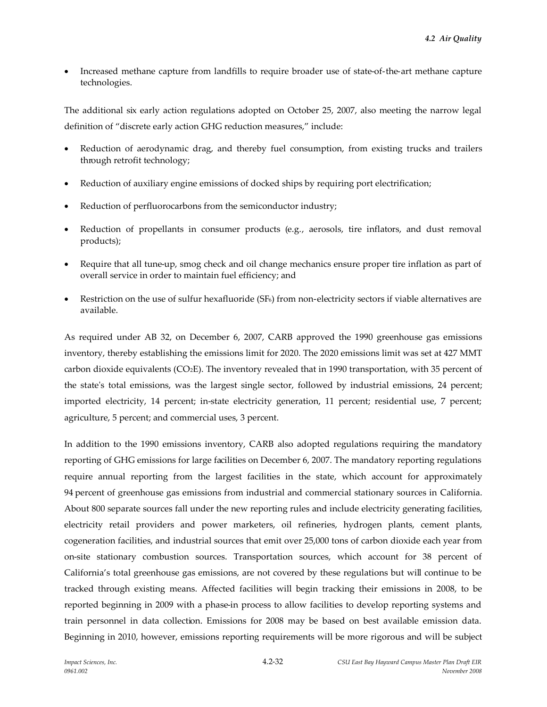Increased methane capture from landfills to require broader use of state-of-the-art methane capture technologies.

The additional six early action regulations adopted on October 25, 2007, also meeting the narrow legal definition of "discrete early action GHG reduction measures," include:

- Reduction of aerodynamic drag, and thereby fuel consumption, from existing trucks and trailers through retrofit technology;
- Reduction of auxiliary engine emissions of docked ships by requiring port electrification;
- Reduction of perfluorocarbons from the semiconductor industry;
- Reduction of propellants in consumer products (e.g., aerosols, tire inflators, and dust removal products);
- Require that all tune-up, smog check and oil change mechanics ensure proper tire inflation as part of overall service in order to maintain fuel efficiency; and
- Restriction on the use of sulfur hexafluoride  $(SF_6)$  from non-electricity sectors if viable alternatives are available.

As required under AB 32, on December 6, 2007, CARB approved the 1990 greenhouse gas emissions inventory, thereby establishing the emissions limit for 2020. The 2020 emissions limit was set at 427 MMT carbon dioxide equivalents ( $CO<sub>2</sub>E$ ). The inventory revealed that in 1990 transportation, with 35 percent of the state's total emissions, was the largest single sector, followed by industrial emissions, 24 percent; imported electricity, 14 percent; in-state electricity generation, 11 percent; residential use, 7 percent; agriculture, 5 percent; and commercial uses, 3 percent.

In addition to the 1990 emissions inventory, CARB also adopted regulations requiring the mandatory reporting of GHG emissions for large facilities on December 6, 2007. The mandatory reporting regulations require annual reporting from the largest facilities in the state, which account for approximately 94 percent of greenhouse gas emissions from industrial and commercial stationary sources in California. About 800 separate sources fall under the new reporting rules and include electricity generating facilities, electricity retail providers and power marketers, oil refineries, hydrogen plants, cement plants, cogeneration facilities, and industrial sources that emit over 25,000 tons of carbon dioxide each year from on-site stationary combustion sources. Transportation sources, which account for 38 percent of California's total greenhouse gas emissions, are not covered by these regulations but will continue to be tracked through existing means. Affected facilities will begin tracking their emissions in 2008, to be reported beginning in 2009 with a phase-in process to allow facilities to develop reporting systems and train personnel in data collection. Emissions for 2008 may be based on best available emission data. Beginning in 2010, however, emissions reporting requirements will be more rigorous and will be subject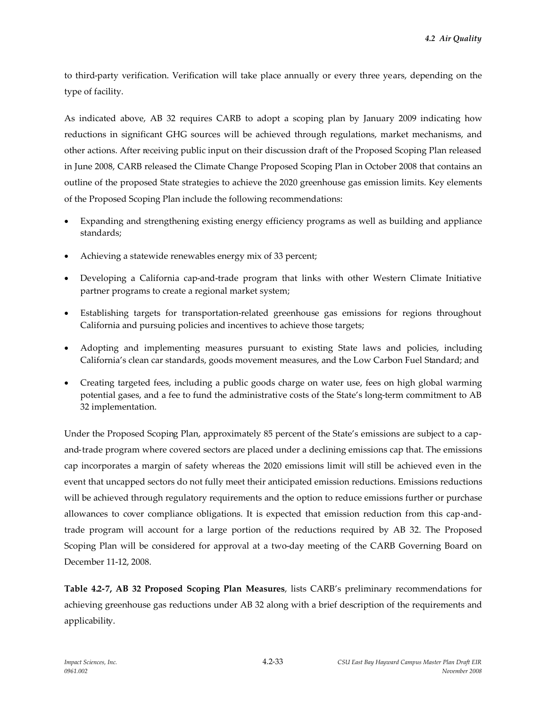to third-party verification. Verification will take place annually or every three years, depending on the type of facility.

As indicated above, AB 32 requires CARB to adopt a scoping plan by January 2009 indicating how reductions in significant GHG sources will be achieved through regulations, market mechanisms, and other actions. After receiving public input on their discussion draft of the Proposed Scoping Plan released in June 2008, CARB released the Climate Change Proposed Scoping Plan in October 2008 that contains an outline of the proposed State strategies to achieve the 2020 greenhouse gas emission limits. Key elements of the Proposed Scoping Plan include the following recommendations:

- Expanding and strengthening existing energy efficiency programs as well as building and appliance standards;
- Achieving a statewide renewables energy mix of 33 percent;
- Developing a California cap-and-trade program that links with other Western Climate Initiative partner programs to create a regional market system;
- Establishing targets for transportation-related greenhouse gas emissions for regions throughout California and pursuing policies and incentives to achieve those targets;
- Adopting and implementing measures pursuant to existing State laws and policies, including California's clean car standards, goods movement measures, and the Low Carbon Fuel Standard; and
- Creating targeted fees, including a public goods charge on water use, fees on high global warming potential gases, and a fee to fund the administrative costs of the State's long-term commitment to AB 32 implementation.

Under the Proposed Scoping Plan, approximately 85 percent of the State's emissions are subject to a capand-trade program where covered sectors are placed under a declining emissions cap that. The emissions cap incorporates a margin of safety whereas the 2020 emissions limit will still be achieved even in the event that uncapped sectors do not fully meet their anticipated emission reductions. Emissions reductions will be achieved through regulatory requirements and the option to reduce emissions further or purchase allowances to cover compliance obligations. It is expected that emission reduction from this cap-andtrade program will account for a large portion of the reductions required by AB 32. The Proposed Scoping Plan will be considered for approval at a two-day meeting of the CARB Governing Board on December 11-12, 2008.

**Table 4.2-7, AB 32 Proposed Scoping Plan Measures**, lists CARB's preliminary recommendations for achieving greenhouse gas reductions under AB 32 along with a brief description of the requirements and applicability.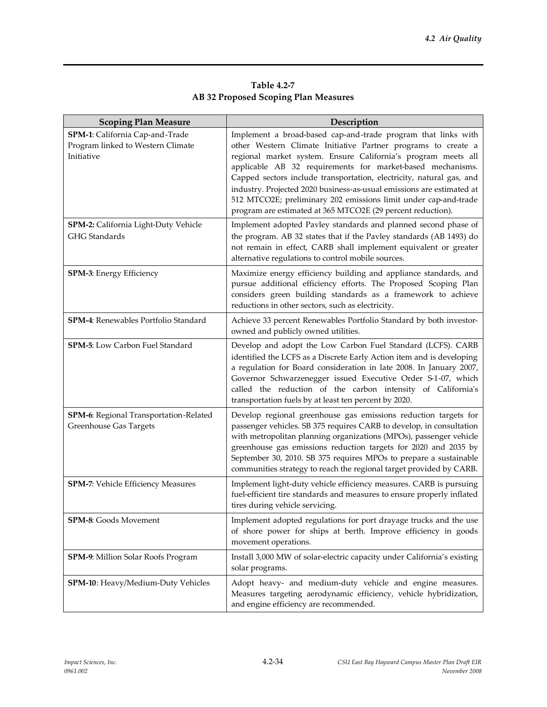|                                             | Table 4.2-7 |  |
|---------------------------------------------|-------------|--|
| <b>AB 32 Proposed Scoping Plan Measures</b> |             |  |

| <b>Scoping Plan Measure</b>                                                                                                                 | Description                                                                                                                                                                                                                                                                                                                                                                                                                                                                                                                                                                                                                                                                               |
|---------------------------------------------------------------------------------------------------------------------------------------------|-------------------------------------------------------------------------------------------------------------------------------------------------------------------------------------------------------------------------------------------------------------------------------------------------------------------------------------------------------------------------------------------------------------------------------------------------------------------------------------------------------------------------------------------------------------------------------------------------------------------------------------------------------------------------------------------|
| SPM-1: California Cap-and-Trade<br>Program linked to Western Climate<br>Initiative<br>SPM-2: California Light-Duty Vehicle<br>GHG Standards | Implement a broad-based cap-and-trade program that links with<br>other Western Climate Initiative Partner programs to create a<br>regional market system. Ensure California's program meets all<br>applicable AB 32 requirements for market-based mechanisms.<br>Capped sectors include transportation, electricity, natural gas, and<br>industry. Projected 2020 business-as-usual emissions are estimated at<br>512 MTCO2E; preliminary 202 emissions limit under cap-and-trade<br>program are estimated at 365 MTCO2E (29 percent reduction).<br>Implement adopted Pavley standards and planned second phase of<br>the program. AB 32 states that if the Pavley standards (AB 1493) do |
|                                                                                                                                             | not remain in effect, CARB shall implement equivalent or greater<br>alternative regulations to control mobile sources.                                                                                                                                                                                                                                                                                                                                                                                                                                                                                                                                                                    |
| SPM-3: Energy Efficiency                                                                                                                    | Maximize energy efficiency building and appliance standards, and<br>pursue additional efficiency efforts. The Proposed Scoping Plan<br>considers green building standards as a framework to achieve<br>reductions in other sectors, such as electricity.                                                                                                                                                                                                                                                                                                                                                                                                                                  |
| SPM-4: Renewables Portfolio Standard                                                                                                        | Achieve 33 percent Renewables Portfolio Standard by both investor-<br>owned and publicly owned utilities.                                                                                                                                                                                                                                                                                                                                                                                                                                                                                                                                                                                 |
| SPM-5: Low Carbon Fuel Standard                                                                                                             | Develop and adopt the Low Carbon Fuel Standard (LCFS). CARB<br>identified the LCFS as a Discrete Early Action item and is developing<br>a regulation for Board consideration in late 2008. In January 2007,<br>Governor Schwarzenegger issued Executive Order S-1-07, which<br>called the reduction of the carbon intensity of California's<br>transportation fuels by at least ten percent by 2020.                                                                                                                                                                                                                                                                                      |
| SPM-6: Regional Transportation-Related<br><b>Greenhouse Gas Targets</b>                                                                     | Develop regional greenhouse gas emissions reduction targets for<br>passenger vehicles. SB 375 requires CARB to develop, in consultation<br>with metropolitan planning organizations (MPOs), passenger vehicle<br>greenhouse gas emissions reduction targets for 2020 and 2035 by<br>September 30, 2010. SB 375 requires MPOs to prepare a sustainable<br>communities strategy to reach the regional target provided by CARB.                                                                                                                                                                                                                                                              |
| SPM-7: Vehicle Efficiency Measures                                                                                                          | Implement light-duty vehicle efficiency measures. CARB is pursuing<br>fuel-efficient tire standards and measures to ensure properly inflated<br>tires during vehicle servicing.                                                                                                                                                                                                                                                                                                                                                                                                                                                                                                           |
| SPM-8: Goods Movement                                                                                                                       | Implement adopted regulations for port drayage trucks and the use<br>of shore power for ships at berth. Improve efficiency in goods<br>movement operations.                                                                                                                                                                                                                                                                                                                                                                                                                                                                                                                               |
| SPM-9: Million Solar Roofs Program                                                                                                          | Install 3,000 MW of solar-electric capacity under California's existing<br>solar programs.                                                                                                                                                                                                                                                                                                                                                                                                                                                                                                                                                                                                |
| SPM-10: Heavy/Medium-Duty Vehicles                                                                                                          | Adopt heavy- and medium-duty vehicle and engine measures.<br>Measures targeting aerodynamic efficiency, vehicle hybridization,<br>and engine efficiency are recommended.                                                                                                                                                                                                                                                                                                                                                                                                                                                                                                                  |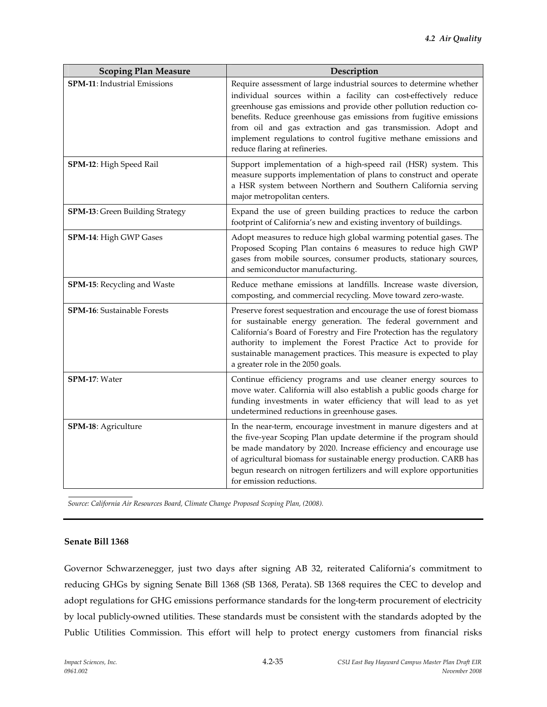| <b>Scoping Plan Measure</b>            | Description                                                                                                                                                                                                                                                                                                                                                                                                                                           |
|----------------------------------------|-------------------------------------------------------------------------------------------------------------------------------------------------------------------------------------------------------------------------------------------------------------------------------------------------------------------------------------------------------------------------------------------------------------------------------------------------------|
| SPM-11: Industrial Emissions           | Require assessment of large industrial sources to determine whether<br>individual sources within a facility can cost-effectively reduce<br>greenhouse gas emissions and provide other pollution reduction co-<br>benefits. Reduce greenhouse gas emissions from fugitive emissions<br>from oil and gas extraction and gas transmission. Adopt and<br>implement regulations to control fugitive methane emissions and<br>reduce flaring at refineries. |
| SPM-12: High Speed Rail                | Support implementation of a high-speed rail (HSR) system. This<br>measure supports implementation of plans to construct and operate<br>a HSR system between Northern and Southern California serving<br>major metropolitan centers.                                                                                                                                                                                                                   |
| <b>SPM-13:</b> Green Building Strategy | Expand the use of green building practices to reduce the carbon<br>footprint of California's new and existing inventory of buildings.                                                                                                                                                                                                                                                                                                                 |
| SPM-14: High GWP Gases                 | Adopt measures to reduce high global warming potential gases. The<br>Proposed Scoping Plan contains 6 measures to reduce high GWP<br>gases from mobile sources, consumer products, stationary sources,<br>and semiconductor manufacturing.                                                                                                                                                                                                            |
| SPM-15: Recycling and Waste            | Reduce methane emissions at landfills. Increase waste diversion,<br>composting, and commercial recycling. Move toward zero-waste.                                                                                                                                                                                                                                                                                                                     |
| <b>SPM-16:</b> Sustainable Forests     | Preserve forest sequestration and encourage the use of forest biomass<br>for sustainable energy generation. The federal government and<br>California's Board of Forestry and Fire Protection has the regulatory<br>authority to implement the Forest Practice Act to provide for<br>sustainable management practices. This measure is expected to play<br>a greater role in the 2050 goals.                                                           |
| SPM-17: Water                          | Continue efficiency programs and use cleaner energy sources to<br>move water. California will also establish a public goods charge for<br>funding investments in water efficiency that will lead to as yet<br>undetermined reductions in greenhouse gases.                                                                                                                                                                                            |
| SPM-18: Agriculture                    | In the near-term, encourage investment in manure digesters and at<br>the five-year Scoping Plan update determine if the program should<br>be made mandatory by 2020. Increase efficiency and encourage use<br>of agricultural biomass for sustainable energy production. CARB has<br>begun research on nitrogen fertilizers and will explore opportunities<br>for emission reductions.                                                                |

*Source: California Air Resources Board, Climate Change Proposed Scoping Plan, (2008).*

#### **Senate Bill 1368**

Governor Schwarzenegger, just two days after signing AB 32, reiterated California's commitment to reducing GHGs by signing Senate Bill 1368 (SB 1368, Perata). SB 1368 requires the CEC to develop and adopt regulations for GHG emissions performance standards for the long-term procurement of electricity by local publicly-owned utilities. These standards must be consistent with the standards adopted by the Public Utilities Commission. This effort will help to protect energy customers from financial risks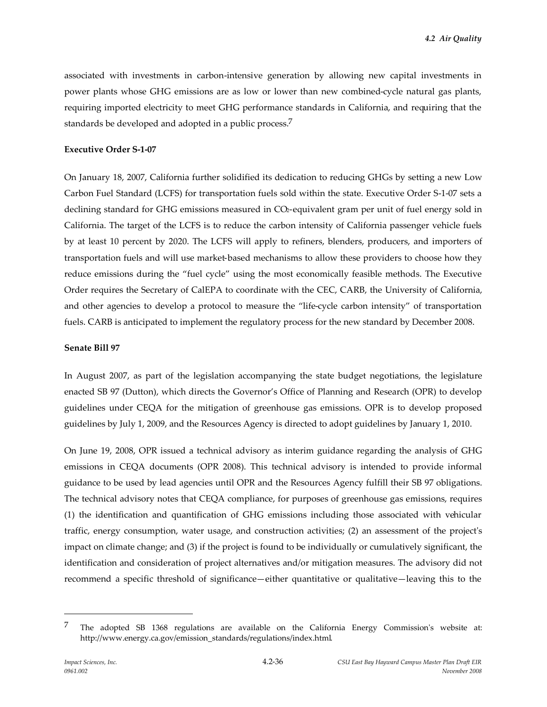associated with investments in carbon-intensive generation by allowing new capital investments in power plants whose GHG emissions are as low or lower than new combined-cycle natural gas plants, requiring imported electricity to meet GHG performance standards in California, and requiring that the standards be developed and adopted in a public process.<sup>7</sup>

#### **Executive Order S-1-07**

On January 18, 2007, California further solidified its dedication to reducing GHGs by setting a new Low Carbon Fuel Standard (LCFS) for transportation fuels sold within the state. Executive Order S-1-07 sets a declining standard for GHG emissions measured in CO<sub>2</sub>-equivalent gram per unit of fuel energy sold in California. The target of the LCFS is to reduce the carbon intensity of California passenger vehicle fuels by at least 10 percent by 2020. The LCFS will apply to refiners, blenders, producers, and importers of transportation fuels and will use market-based mechanisms to allow these providers to choose how they reduce emissions during the "fuel cycle" using the most economically feasible methods. The Executive Order requires the Secretary of CalEPA to coordinate with the CEC, CARB, the University of California, and other agencies to develop a protocol to measure the "life-cycle carbon intensity" of transportation fuels. CARB is anticipated to implement the regulatory process for the new standard by December 2008.

#### **Senate Bill 97**

In August 2007, as part of the legislation accompanying the state budget negotiations, the legislature enacted SB 97 (Dutton), which directs the Governor's Office of Planning and Research (OPR) to develop guidelines under CEQA for the mitigation of greenhouse gas emissions. OPR is to develop proposed guidelines by July 1, 2009, and the Resources Agency is directed to adopt guidelines by January 1, 2010.

On June 19, 2008, OPR issued a technical advisory as interim guidance regarding the analysis of GHG emissions in CEQA documents (OPR 2008). This technical advisory is intended to provide informal guidance to be used by lead agencies until OPR and the Resources Agency fulfill their SB 97 obligations. The technical advisory notes that CEQA compliance, for purposes of greenhouse gas emissions, requires (1) the identification and quantification of GHG emissions including those associated with vehicular traffic, energy consumption, water usage, and construction activities; (2) an assessment of the project's impact on climate change; and (3) if the project is found to be individually or cumulatively significant, the identification and consideration of project alternatives and/or mitigation measures. The advisory did not recommend a specific threshold of significance—either quantitative or qualitative—leaving this to the

<sup>7</sup> The adopted SB 1368 regulations are available on the California Energy Commission's website at: http://www.energy.ca.gov/emission\_standards/regulations/index.html.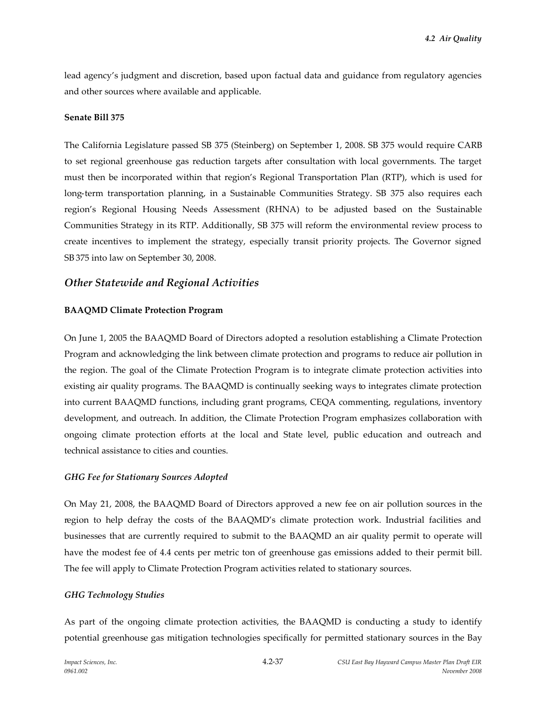lead agency's judgment and discretion, based upon factual data and guidance from regulatory agencies and other sources where available and applicable.

#### **Senate Bill 375**

The California Legislature passed SB 375 (Steinberg) on September 1, 2008. SB 375 would require CARB to set regional greenhouse gas reduction targets after consultation with local governments. The target must then be incorporated within that region's Regional Transportation Plan (RTP), which is used for long-term transportation planning, in a Sustainable Communities Strategy. SB 375 also requires each region's Regional Housing Needs Assessment (RHNA) to be adjusted based on the Sustainable Communities Strategy in its RTP. Additionally, SB 375 will reform the environmental review process to create incentives to implement the strategy, especially transit priority projects. The Governor signed SB 375 into law on September 30, 2008.

# *Other Statewide and Regional Activities*

### **BAAQMD Climate Protection Program**

On June 1, 2005 the BAAQMD Board of Directors adopted a resolution establishing a Climate Protection Program and acknowledging the link between climate protection and programs to reduce air pollution in the region. The goal of the Climate Protection Program is to integrate climate protection activities into existing air quality programs. The BAAQMD is continually seeking ways to integrates climate protection into current BAAQMD functions, including grant programs, CEQA commenting, regulations, inventory development, and outreach. In addition, the Climate Protection Program emphasizes collaboration with ongoing climate protection efforts at the local and State level, public education and outreach and technical assistance to cities and counties.

### *GHG Fee for Stationary Sources Adopted*

On May 21, 2008, the BAAQMD Board of Directors approved a new fee on air pollution sources in the region to help defray the costs of the BAAQMD's climate protection work. Industrial facilities and businesses that are currently required to submit to the BAAQMD an air quality permit to operate will have the modest fee of 4.4 cents per metric ton of greenhouse gas emissions added to their permit bill. The fee will apply to Climate Protection Program activities related to stationary sources.

### *GHG Technology Studies*

As part of the ongoing climate protection activities, the BAAQMD is conducting a study to identify potential greenhouse gas mitigation technologies specifically for permitted stationary sources in the Bay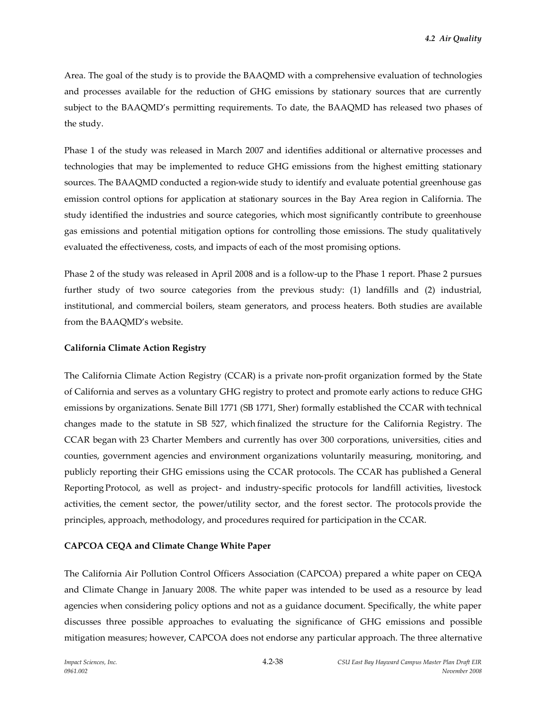Area. The goal of the study is to provide the BAAQMD with a comprehensive evaluation of technologies and processes available for the reduction of GHG emissions by stationary sources that are currently subject to the BAAQMD's permitting requirements. To date, the BAAQMD has released two phases of the study.

Phase 1 of the study was released in March 2007 and identifies additional or alternative processes and technologies that may be implemented to reduce GHG emissions from the highest emitting stationary sources. The BAAQMD conducted a region-wide study to identify and evaluate potential greenhouse gas emission control options for application at stationary sources in the Bay Area region in California. The study identified the industries and source categories, which most significantly contribute to greenhouse gas emissions and potential mitigation options for controlling those emissions. The study qualitatively evaluated the effectiveness, costs, and impacts of each of the most promising options.

Phase 2 of the study was released in April 2008 and is a follow-up to the Phase 1 report. Phase 2 pursues further study of two source categories from the previous study: (1) landfills and (2) industrial, institutional, and commercial boilers, steam generators, and process heaters. Both studies are available from the BAAQMD's website.

#### **California Climate Action Registry**

The California Climate Action Registry (CCAR) is a private non-profit organization formed by the State of California and serves as a voluntary GHG registry to protect and promote early actions to reduce GHG emissions by organizations. Senate Bill 1771 (SB 1771, Sher) formally established the CCAR with technical changes made to the statute in SB 527, which finalized the structure for the California Registry. The CCAR began with 23 Charter Members and currently has over 300 corporations, universities, cities and counties, government agencies and environment organizations voluntarily measuring, monitoring, and publicly reporting their GHG emissions using the CCAR protocols. The CCAR has published a General Reporting Protocol, as well as project- and industry-specific protocols for landfill activities, livestock activities, the cement sector, the power/utility sector, and the forest sector. The protocols provide the principles, approach, methodology, and procedures required for participation in the CCAR.

### **CAPCOA CEQA and Climate Change White Paper**

The California Air Pollution Control Officers Association (CAPCOA) prepared a white paper on CEQA and Climate Change in January 2008. The white paper was intended to be used as a resource by lead agencies when considering policy options and not as a guidance document. Specifically, the white paper discusses three possible approaches to evaluating the significance of GHG emissions and possible mitigation measures; however, CAPCOA does not endorse any particular approach. The three alternative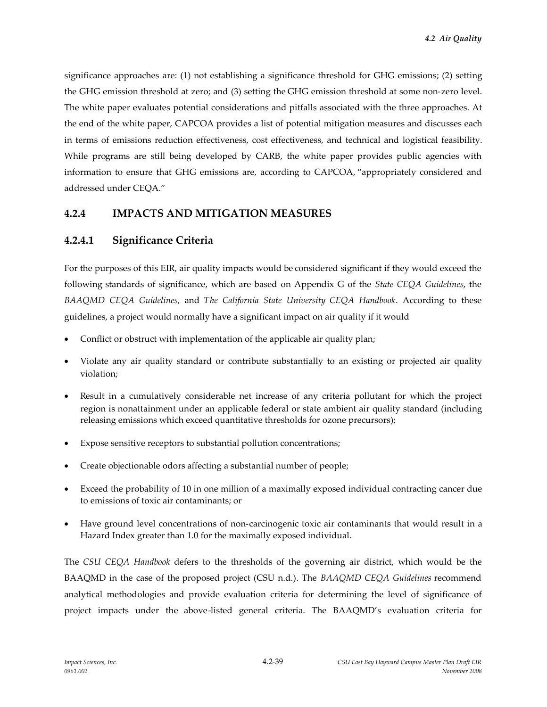significance approaches are: (1) not establishing a significance threshold for GHG emissions; (2) setting the GHG emission threshold at zero; and (3) setting the GHG emission threshold at some non-zero level. The white paper evaluates potential considerations and pitfalls associated with the three approaches. At the end of the white paper, CAPCOA provides a list of potential mitigation measures and discusses each in terms of emissions reduction effectiveness, cost effectiveness, and technical and logistical feasibility. While programs are still being developed by CARB, the white paper provides public agencies with information to ensure that GHG emissions are, according to CAPCOA, "appropriately considered and addressed under CEQA."

# **4.2.4 IMPACTS AND MITIGATION MEASURES**

# **4.2.4.1 Significance Criteria**

For the purposes of this EIR, air quality impacts would be considered significant if they would exceed the following standards of significance, which are based on Appendix G of the *State CEQA Guidelines*, the *BAAQMD CEQA Guidelines*, and *The California State University CEQA Handbook*. According to these guidelines, a project would normally have a significant impact on air quality if it would

- Conflict or obstruct with implementation of the applicable air quality plan;
- Violate any air quality standard or contribute substantially to an existing or projected air quality violation;
- Result in a cumulatively considerable net increase of any criteria pollutant for which the project region is nonattainment under an applicable federal or state ambient air quality standard (including releasing emissions which exceed quantitative thresholds for ozone precursors);
- Expose sensitive receptors to substantial pollution concentrations;
- Create objectionable odors affecting a substantial number of people;
- Exceed the probability of 10 in one million of a maximally exposed individual contracting cancer due to emissions of toxic air contaminants; or
- Have ground level concentrations of non-carcinogenic toxic air contaminants that would result in a Hazard Index greater than 1.0 for the maximally exposed individual.

The *CSU CEQA Handbook* defers to the thresholds of the governing air district, which would be the BAAQMD in the case of the proposed project (CSU n.d.). The *BAAQMD CEQA Guidelines* recommend analytical methodologies and provide evaluation criteria for determining the level of significance of project impacts under the above-listed general criteria. The BAAQMD's evaluation criteria for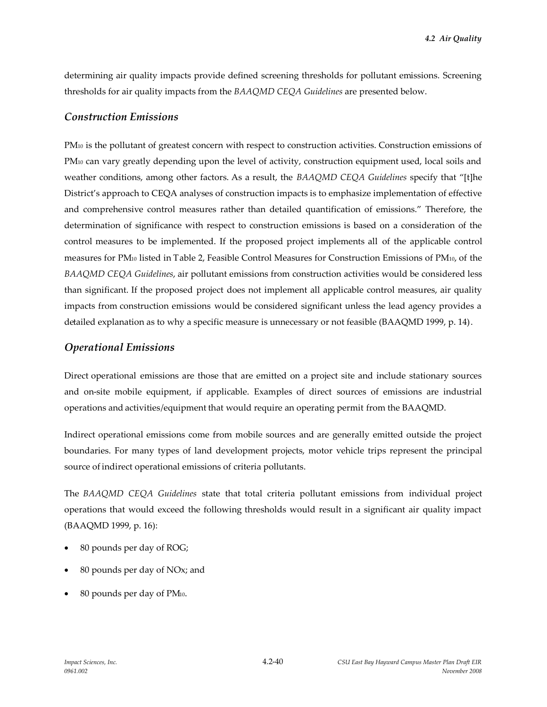determining air quality impacts provide defined screening thresholds for pollutant emissions. Screening thresholds for air quality impacts from the *BAAQMD CEQA Guidelines* are presented below.

### *Construction Emissions*

PM<sub>10</sub> is the pollutant of greatest concern with respect to construction activities. Construction emissions of PM<sub>10</sub> can vary greatly depending upon the level of activity, construction equipment used, local soils and weather conditions, among other factors. As a result, the *BAAQMD CEQA Guidelines* specify that "[t]he District's approach to CEQA analyses of construction impacts is to emphasize implementation of effective and comprehensive control measures rather than detailed quantification of emissions." Therefore, the determination of significance with respect to construction emissions is based on a consideration of the control measures to be implemented. If the proposed project implements all of the applicable control measures for PM<sup>10</sup> listed in Table 2, Feasible Control Measures for Construction Emissions of PM10, of the *BAAQMD CEQA Guidelines*, air pollutant emissions from construction activities would be considered less than significant. If the proposed project does not implement all applicable control measures, air quality impacts from construction emissions would be considered significant unless the lead agency provides a detailed explanation as to why a specific measure is unnecessary or not feasible (BAAQMD 1999, p. 14).

# *Operational Emissions*

Direct operational emissions are those that are emitted on a project site and include stationary sources and on-site mobile equipment, if applicable. Examples of direct sources of emissions are industrial operations and activities/equipment that would require an operating permit from the BAAQMD.

Indirect operational emissions come from mobile sources and are generally emitted outside the project boundaries. For many types of land development projects, motor vehicle trips represent the principal source of indirect operational emissions of criteria pollutants.

The *BAAQMD CEQA Guidelines* state that total criteria pollutant emissions from individual project operations that would exceed the following thresholds would result in a significant air quality impact (BAAQMD 1999, p. 16):

- 80 pounds per day of ROG;
- 80 pounds per day of NOx; and
- 80 pounds per day of PM10.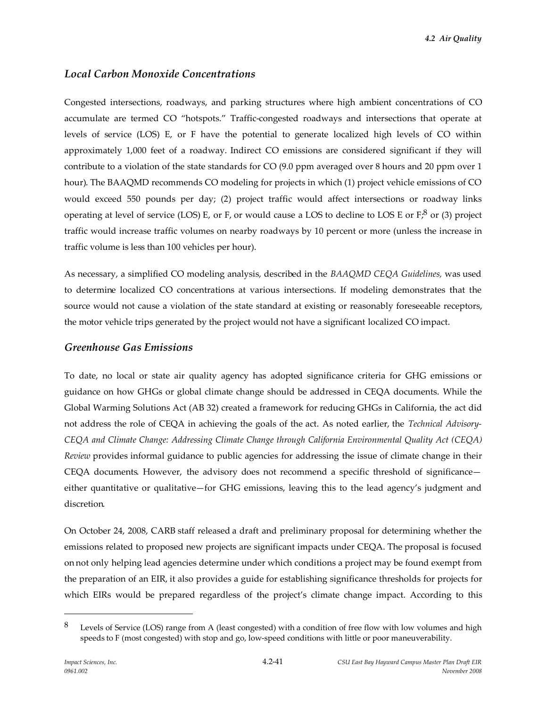# *Local Carbon Monoxide Concentrations*

Congested intersections, roadways, and parking structures where high ambient concentrations of CO accumulate are termed CO "hotspots." Traffic-congested roadways and intersections that operate at levels of service (LOS) E, or F have the potential to generate localized high levels of CO within approximately 1,000 feet of a roadway. Indirect CO emissions are considered significant if they will contribute to a violation of the state standards for CO (9.0 ppm averaged over 8 hours and 20 ppm over 1 hour). The BAAQMD recommends CO modeling for projects in which (1) project vehicle emissions of CO would exceed 550 pounds per day; (2) project traffic would affect intersections or roadway links operating at level of service (LOS) E, or F, or would cause a LOS to decline to LOS E or  $F_i^8$  or (3) project traffic would increase traffic volumes on nearby roadways by 10 percent or more (unless the increase in traffic volume is less than 100 vehicles per hour).

As necessary, a simplified CO modeling analysis, described in the *BAAQMD CEQA Guidelines,* was used to determine localized CO concentrations at various intersections. If modeling demonstrates that the source would not cause a violation of the state standard at existing or reasonably foreseeable receptors, the motor vehicle trips generated by the project would not have a significant localized CO impact.

## *Greenhouse Gas Emissions*

To date, no local or state air quality agency has adopted significance criteria for GHG emissions or guidance on how GHGs or global climate change should be addressed in CEQA documents. While the Global Warming Solutions Act (AB 32) created a framework for reducing GHGs in California, the act did not address the role of CEQA in achieving the goals of the act. As noted earlier, the *Technical Advisory-CEQA and Climate Change: Addressing Climate Change through California Environmental Quality Act (CEQA) Review* provides informal guidance to public agencies for addressing the issue of climate change in their CEQA documents. However, the advisory does not recommend a specific threshold of significance either quantitative or qualitative—for GHG emissions, leaving this to the lead agency's judgment and discretion.

On October 24, 2008, CARB staff released a draft and preliminary proposal for determining whether the emissions related to proposed new projects are significant impacts under CEQA. The proposal is focused on not only helping lead agencies determine under which conditions a project may be found exempt from the preparation of an EIR, it also provides a guide for establishing significance thresholds for projects for which EIRs would be prepared regardless of the project's climate change impact. According to this

<sup>8</sup> Levels of Service (LOS) range from A (least congested) with a condition of free flow with low volumes and high speeds to F (most congested) with stop and go, low-speed conditions with little or poor maneuverability.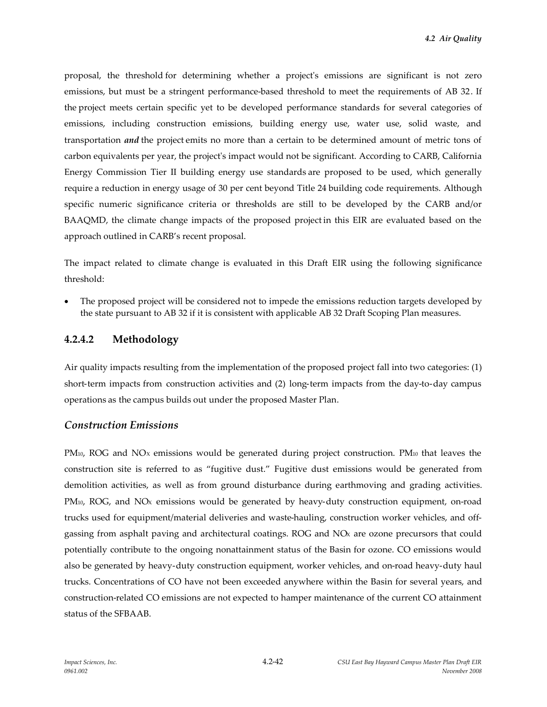proposal, the threshold for determining whether a project's emissions are significant is not zero emissions, but must be a stringent performance-based threshold to meet the requirements of AB 32. If the project meets certain specific yet to be developed performance standards for several categories of emissions, including construction emissions, building energy use, water use, solid waste, and transportation *and* the project emits no more than a certain to be determined amount of metric tons of carbon equivalents per year, the project's impact would not be significant. According to CARB, California Energy Commission Tier II building energy use standards are proposed to be used, which generally require a reduction in energy usage of 30 per cent beyond Title 24 building code requirements. Although specific numeric significance criteria or thresholds are still to be developed by the CARB and/or BAAQMD, the climate change impacts of the proposed project in this EIR are evaluated based on the approach outlined in CARB's recent proposal.

The impact related to climate change is evaluated in this Draft EIR using the following significance threshold:

 The proposed project will be considered not to impede the emissions reduction targets developed by the state pursuant to AB 32 if it is consistent with applicable AB 32 Draft Scoping Plan measures.

# **4.2.4.2 Methodology**

Air quality impacts resulting from the implementation of the proposed project fall into two categories: (1) short-term impacts from construction activities and (2) long-term impacts from the day-to-day campus operations as the campus builds out under the proposed Master Plan.

# *Construction Emissions*

PM<sub>10</sub>, ROG and NO<sub>x</sub> emissions would be generated during project construction. PM<sub>10</sub> that leaves the construction site is referred to as "fugitive dust." Fugitive dust emissions would be generated from demolition activities, as well as from ground disturbance during earthmoving and grading activities. PM<sub>10</sub>, ROG, and NO<sub>x</sub> emissions would be generated by heavy-duty construction equipment, on-road trucks used for equipment/material deliveries and waste-hauling, construction worker vehicles, and offgassing from asphalt paving and architectural coatings. ROG and NO<sup>X</sup> are ozone precursors that could potentially contribute to the ongoing nonattainment status of the Basin for ozone. CO emissions would also be generated by heavy-duty construction equipment, worker vehicles, and on-road heavy-duty haul trucks. Concentrations of CO have not been exceeded anywhere within the Basin for several years, and construction-related CO emissions are not expected to hamper maintenance of the current CO attainment status of the SFBAAB.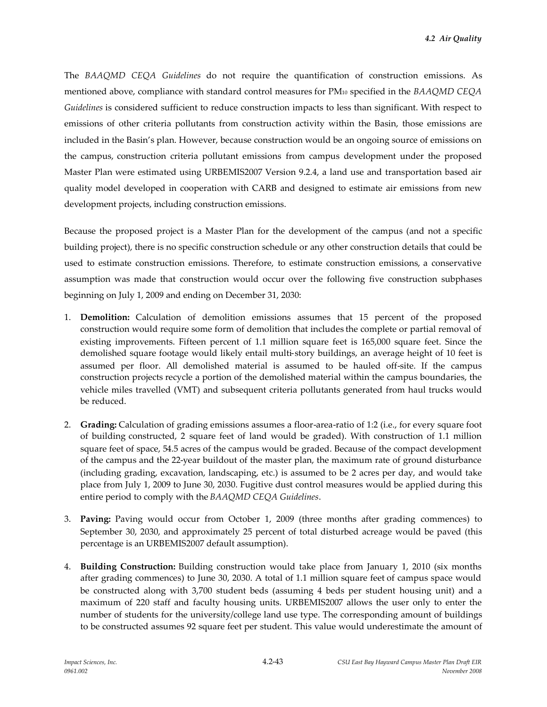The *BAAQMD CEQA Guidelines* do not require the quantification of construction emissions. As mentioned above, compliance with standard control measures for PM<sup>10</sup> specified in the *BAAQMD CEQA Guidelines* is considered sufficient to reduce construction impacts to less than significant. With respect to emissions of other criteria pollutants from construction activity within the Basin, those emissions are included in the Basin's plan. However, because construction would be an ongoing source of emissions on the campus, construction criteria pollutant emissions from campus development under the proposed Master Plan were estimated using URBEMIS2007 Version 9.2.4, a land use and transportation based air quality model developed in cooperation with CARB and designed to estimate air emissions from new development projects, including construction emissions.

Because the proposed project is a Master Plan for the development of the campus (and not a specific building project), there is no specific construction schedule or any other construction details that could be used to estimate construction emissions. Therefore, to estimate construction emissions, a conservative assumption was made that construction would occur over the following five construction subphases beginning on July 1, 2009 and ending on December 31, 2030:

- 1. **Demolition:** Calculation of demolition emissions assumes that 15 percent of the proposed construction would require some form of demolition that includes the complete or partial removal of existing improvements. Fifteen percent of 1.1 million square feet is 165,000 square feet. Since the demolished square footage would likely entail multi-story buildings, an average height of 10 feet is assumed per floor. All demolished material is assumed to be hauled off-site. If the campus construction projects recycle a portion of the demolished material within the campus boundaries, the vehicle miles travelled (VMT) and subsequent criteria pollutants generated from haul trucks would be reduced.
- 2. **Grading:** Calculation of grading emissions assumes a floor-area-ratio of 1:2 (i.e., for every square foot of building constructed, 2 square feet of land would be graded). With construction of 1.1 million square feet of space, 54.5 acres of the campus would be graded. Because of the compact development of the campus and the 22-year buildout of the master plan, the maximum rate of ground disturbance (including grading, excavation, landscaping, etc.) is assumed to be 2 acres per day, and would take place from July 1, 2009 to June 30, 2030. Fugitive dust control measures would be applied during this entire period to comply with the *BAAQMD CEQA Guidelines*.
- 3. **Paving:** Paving would occur from October 1, 2009 (three months after grading commences) to September 30, 2030, and approximately 25 percent of total disturbed acreage would be paved (this percentage is an URBEMIS2007 default assumption).
- 4. **Building Construction:** Building construction would take place from January 1, 2010 (six months after grading commences) to June 30, 2030. A total of 1.1 million square feet of campus space would be constructed along with 3,700 student beds (assuming 4 beds per student housing unit) and a maximum of 220 staff and faculty housing units. URBEMIS2007 allows the user only to enter the number of students for the university/college land use type. The corresponding amount of buildings to be constructed assumes 92 square feet per student. This value would underestimate the amount of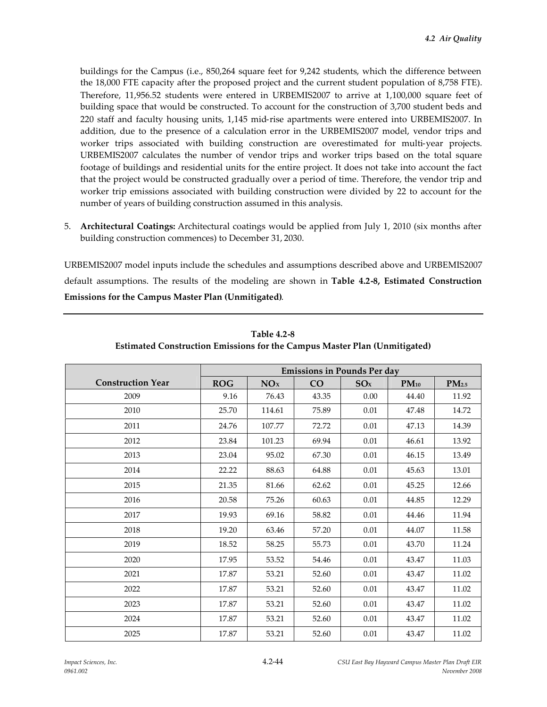buildings for the Campus (i.e., 850,264 square feet for 9,242 students, which the difference between the 18,000 FTE capacity after the proposed project and the current student population of 8,758 FTE). Therefore, 11,956.52 students were entered in URBEMIS2007 to arrive at 1,100,000 square feet of building space that would be constructed. To account for the construction of 3,700 student beds and 220 staff and faculty housing units, 1,145 mid-rise apartments were entered into URBEMIS2007. In addition, due to the presence of a calculation error in the URBEMIS2007 model, vendor trips and worker trips associated with building construction are overestimated for multi-year projects. URBEMIS2007 calculates the number of vendor trips and worker trips based on the total square footage of buildings and residential units for the entire project. It does not take into account the fact that the project would be constructed gradually over a period of time. Therefore, the vendor trip and worker trip emissions associated with building construction were divided by 22 to account for the number of years of building construction assumed in this analysis.

5. **Architectural Coatings:** Architectural coatings would be applied from July 1, 2010 (six months after building construction commences) to December 31, 2030.

URBEMIS2007 model inputs include the schedules and assumptions described above and URBEMIS2007 default assumptions. The results of the modeling are shown in **Table 4.2-8, Estimated Construction Emissions for the Campus Master Plan (Unmitigated)**.

|                          | <b>Emissions in Pounds Per day</b> |        |       |          |           |                   |
|--------------------------|------------------------------------|--------|-------|----------|-----------|-------------------|
| <b>Construction Year</b> | <b>ROG</b>                         | NOx    | CO    | SOx      | $PM_{10}$ | PM <sub>2.5</sub> |
| 2009                     | 9.16                               | 76.43  | 43.35 | 0.00     | 44.40     | 11.92             |
| 2010                     | 25.70                              | 114.61 | 75.89 | $0.01\,$ | 47.48     | 14.72             |
| 2011                     | 24.76                              | 107.77 | 72.72 | 0.01     | 47.13     | 14.39             |
| 2012                     | 23.84                              | 101.23 | 69.94 | 0.01     | 46.61     | 13.92             |
| 2013                     | 23.04                              | 95.02  | 67.30 | 0.01     | 46.15     | 13.49             |
| 2014                     | 22.22                              | 88.63  | 64.88 | $0.01\,$ | 45.63     | 13.01             |
| 2015                     | 21.35                              | 81.66  | 62.62 | $0.01\,$ | 45.25     | 12.66             |
| 2016                     | 20.58                              | 75.26  | 60.63 | $0.01\,$ | 44.85     | 12.29             |
| 2017                     | 19.93                              | 69.16  | 58.82 | $0.01\,$ | 44.46     | 11.94             |
| 2018                     | 19.20                              | 63.46  | 57.20 | 0.01     | 44.07     | 11.58             |
| 2019                     | 18.52                              | 58.25  | 55.73 | 0.01     | 43.70     | 11.24             |
| 2020                     | 17.95                              | 53.52  | 54.46 | $0.01\,$ | 43.47     | 11.03             |
| 2021                     | 17.87                              | 53.21  | 52.60 | 0.01     | 43.47     | 11.02             |
| 2022                     | 17.87                              | 53.21  | 52.60 | 0.01     | 43.47     | 11.02             |
| 2023                     | 17.87                              | 53.21  | 52.60 | $0.01\,$ | 43.47     | 11.02             |
| 2024                     | 17.87                              | 53.21  | 52.60 | 0.01     | 43.47     | 11.02             |
| 2025                     | 17.87                              | 53.21  | 52.60 | 0.01     | 43.47     | 11.02             |

**Table 4.2-8 Estimated Construction Emissions for the Campus Master Plan (Unmitigated)**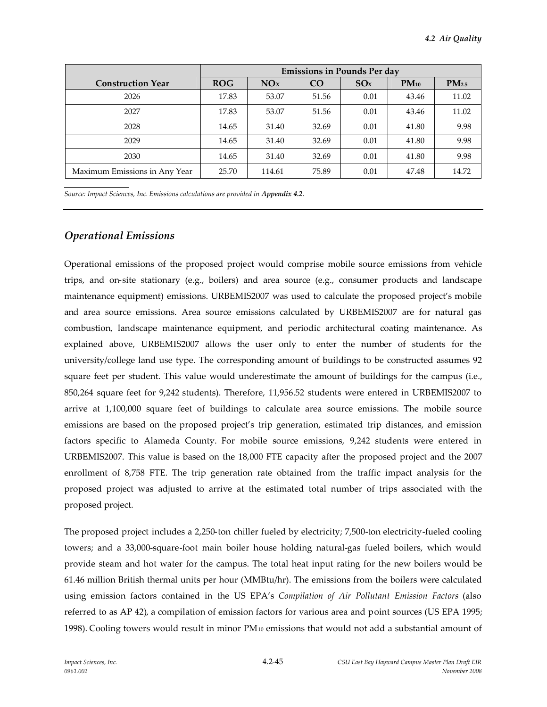|                               | <b>Emissions in Pounds Per day</b> |        |       |      |           |                   |
|-------------------------------|------------------------------------|--------|-------|------|-----------|-------------------|
| <b>Construction Year</b>      | <b>ROG</b>                         | NOx    | CO    | SOx  | $PM_{10}$ | PM <sub>2.5</sub> |
| 2026                          | 17.83                              | 53.07  | 51.56 | 0.01 | 43.46     | 11.02             |
| 2027                          | 17.83                              | 53.07  | 51.56 | 0.01 | 43.46     | 11.02             |
| 2028                          | 14.65                              | 31.40  | 32.69 | 0.01 | 41.80     | 9.98              |
| 2029                          | 14.65                              | 31.40  | 32.69 | 0.01 | 41.80     | 9.98              |
| 2030                          | 14.65                              | 31.40  | 32.69 | 0.01 | 41.80     | 9.98              |
| Maximum Emissions in Any Year | 25.70                              | 114.61 | 75.89 | 0.01 | 47.48     | 14.72             |

*Source: Impact Sciences, Inc. Emissions calculations are provided in Appendix 4.2.*

## *Operational Emissions*

Operational emissions of the proposed project would comprise mobile source emissions from vehicle trips, and on-site stationary (e.g., boilers) and area source (e.g., consumer products and landscape maintenance equipment) emissions. URBEMIS2007 was used to calculate the proposed project's mobile and area source emissions. Area source emissions calculated by URBEMIS2007 are for natural gas combustion, landscape maintenance equipment, and periodic architectural coating maintenance. As explained above, URBEMIS2007 allows the user only to enter the number of students for the university/college land use type. The corresponding amount of buildings to be constructed assumes 92 square feet per student. This value would underestimate the amount of buildings for the campus (i.e., 850,264 square feet for 9,242 students). Therefore, 11,956.52 students were entered in URBEMIS2007 to arrive at 1,100,000 square feet of buildings to calculate area source emissions. The mobile source emissions are based on the proposed project's trip generation, estimated trip distances, and emission factors specific to Alameda County. For mobile source emissions, 9,242 students were entered in URBEMIS2007. This value is based on the 18,000 FTE capacity after the proposed project and the 2007 enrollment of 8,758 FTE. The trip generation rate obtained from the traffic impact analysis for the proposed project was adjusted to arrive at the estimated total number of trips associated with the proposed project.

The proposed project includes a 2,250-ton chiller fueled by electricity; 7,500-ton electricity-fueled cooling towers; and a 33,000-square-foot main boiler house holding natural-gas fueled boilers, which would provide steam and hot water for the campus. The total heat input rating for the new boilers would be 61.46 million British thermal units per hour (MMBtu/hr). The emissions from the boilers were calculated using emission factors contained in the US EPA's *Compilation of Air Pollutant Emission Factors* (also referred to as AP 42), a compilation of emission factors for various area and point sources (US EPA 1995; 1998). Cooling towers would result in minor PM<sup>10</sup> emissions that would not add a substantial amount of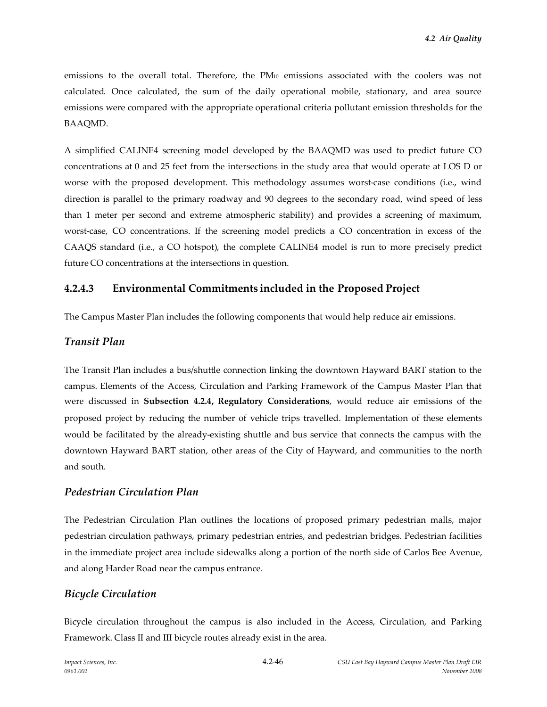emissions to the overall total. Therefore, the PM<sup>10</sup> emissions associated with the coolers was not calculated. Once calculated, the sum of the daily operational mobile, stationary, and area source emissions were compared with the appropriate operational criteria pollutant emission thresholds for the BAAQMD.

A simplified CALINE4 screening model developed by the BAAQMD was used to predict future CO concentrations at 0 and 25 feet from the intersections in the study area that would operate at LOS D or worse with the proposed development. This methodology assumes worst-case conditions (i.e., wind direction is parallel to the primary roadway and 90 degrees to the secondary road, wind speed of less than 1 meter per second and extreme atmospheric stability) and provides a screening of maximum, worst-case, CO concentrations. If the screening model predicts a CO concentration in excess of the CAAQS standard (i.e., a CO hotspot), the complete CALINE4 model is run to more precisely predict future CO concentrations at the intersections in question.

# **4.2.4.3 Environmental Commitments included in the Proposed Project**

The Campus Master Plan includes the following components that would help reduce air emissions.

## *Transit Plan*

The Transit Plan includes a bus/shuttle connection linking the downtown Hayward BART station to the campus. Elements of the Access, Circulation and Parking Framework of the Campus Master Plan that were discussed in **Subsection 4.2.4, Regulatory Considerations**, would reduce air emissions of the proposed project by reducing the number of vehicle trips travelled. Implementation of these elements would be facilitated by the already-existing shuttle and bus service that connects the campus with the downtown Hayward BART station, other areas of the City of Hayward, and communities to the north and south.

### *Pedestrian Circulation Plan*

The Pedestrian Circulation Plan outlines the locations of proposed primary pedestrian malls, major pedestrian circulation pathways, primary pedestrian entries, and pedestrian bridges. Pedestrian facilities in the immediate project area include sidewalks along a portion of the north side of Carlos Bee Avenue, and along Harder Road near the campus entrance.

# *Bicycle Circulation*

Bicycle circulation throughout the campus is also included in the Access, Circulation, and Parking Framework. Class II and III bicycle routes already exist in the area.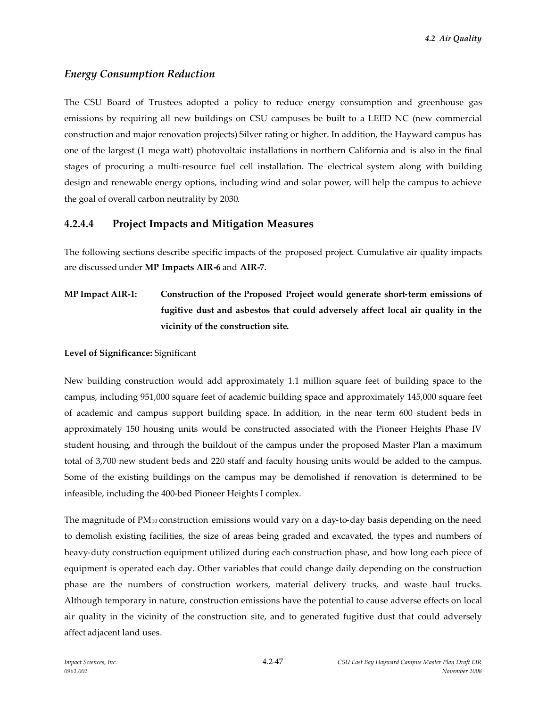# *Energy Consumption Reduction*

The CSU Board of Trustees adopted a policy to reduce energy consumption and greenhouse gas emissions by requiring all new buildings on CSU campuses be built to a LEED NC (new commercial construction and major renovation projects) Silver rating or higher. In addition, the Hayward campus has one of the largest (1 mega watt) photovoltaic installations in northern California and is also in the final stages of procuring a multi-resource fuel cell installation. The electrical system along with building design and renewable energy options, including wind and solar power, will help the campus to achieve the goal of overall carbon neutrality by 2030.

# **4.2.4.4 Project Impacts and Mitigation Measures**

The following sections describe specific impacts of the proposed project. Cumulative air quality impacts are discussed under **MP Impacts AIR-6** and **AIR-7.**

**MP Impact AIR-1: Construction of the Proposed Project would generate short-term emissions of fugitive dust and asbestos that could adversely affect local air quality in the vicinity of the construction site.**

### **Level of Significance:** Significant

New building construction would add approximately 1.1 million square feet of building space to the campus, including 951,000 square feet of academic building space and approximately 145,000 square feet of academic and campus support building space. In addition, in the near term 600 student beds in approximately 150 housing units would be constructed associated with the Pioneer Heights Phase IV student housing, and through the buildout of the campus under the proposed Master Plan a maximum total of 3,700 new student beds and 220 staff and faculty housing units would be added to the campus. Some of the existing buildings on the campus may be demolished if renovation is determined to be infeasible, including the 400-bed Pioneer Heights I complex.

The magnitude of  $PM_{10}$  construction emissions would vary on a day-to-day basis depending on the need to demolish existing facilities, the size of areas being graded and excavated, the types and numbers of heavy-duty construction equipment utilized during each construction phase, and how long each piece of equipment is operated each day. Other variables that could change daily depending on the construction phase are the numbers of construction workers, material delivery trucks, and waste haul trucks. Although temporary in nature, construction emissions have the potential to cause adverse effects on local air quality in the vicinity of the construction site, and to generated fugitive dust that could adversely affect adjacent land uses.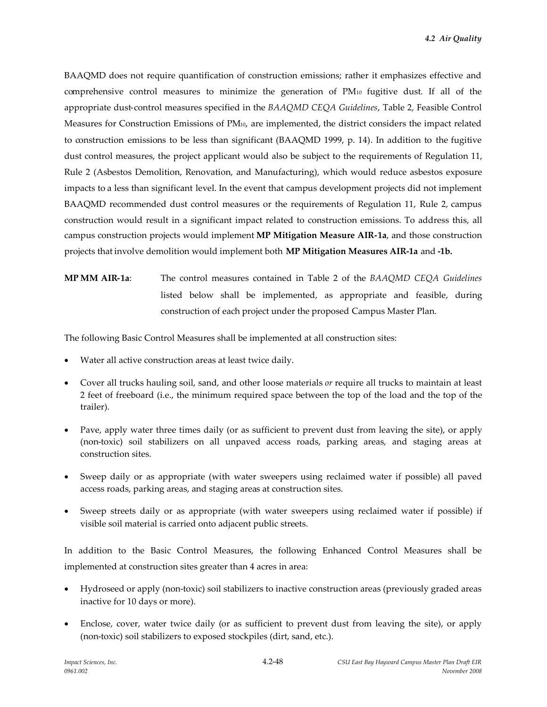BAAQMD does not require quantification of construction emissions; rather it emphasizes effective and comprehensive control measures to minimize the generation of PM<sup>10</sup> fugitive dust. If all of the appropriate dust-control measures specified in the *BAAQMD CEQA Guidelines*, Table 2, Feasible Control Measures for Construction Emissions of PM10, are implemented, the district considers the impact related to construction emissions to be less than significant (BAAQMD 1999, p. 14). In addition to the fugitive dust control measures, the project applicant would also be subject to the requirements of Regulation 11, Rule 2 (Asbestos Demolition, Renovation, and Manufacturing), which would reduce asbestos exposure impacts to a less than significant level. In the event that campus development projects did not implement BAAQMD recommended dust control measures or the requirements of Regulation 11, Rule 2, campus construction would result in a significant impact related to construction emissions. To address this, all campus construction projects would implement **MP Mitigation Measure AIR-1a**, and those construction projects that involve demolition would implement both **MP Mitigation Measures AIR-1a** and **-1b.**

**MP MM AIR-1a**: The control measures contained in Table 2 of the *BAAQMD CEQA Guidelines* listed below shall be implemented, as appropriate and feasible, during construction of each project under the proposed Campus Master Plan.

The following Basic Control Measures shall be implemented at all construction sites:

- Water all active construction areas at least twice daily.
- Cover all trucks hauling soil, sand, and other loose materials *or* require all trucks to maintain at least 2 feet of freeboard (i.e., the minimum required space between the top of the load and the top of the trailer).
- Pave, apply water three times daily (or as sufficient to prevent dust from leaving the site), or apply (non-toxic) soil stabilizers on all unpaved access roads, parking areas, and staging areas at construction sites.
- Sweep daily or as appropriate (with water sweepers using reclaimed water if possible) all paved access roads, parking areas, and staging areas at construction sites.
- Sweep streets daily or as appropriate (with water sweepers using reclaimed water if possible) if visible soil material is carried onto adjacent public streets.

In addition to the Basic Control Measures, the following Enhanced Control Measures shall be implemented at construction sites greater than 4 acres in area:

- Hydroseed or apply (non-toxic) soil stabilizers to inactive construction areas (previously graded areas inactive for 10 days or more).
- Enclose, cover, water twice daily (or as sufficient to prevent dust from leaving the site), or apply (non-toxic) soil stabilizers to exposed stockpiles (dirt, sand, etc.).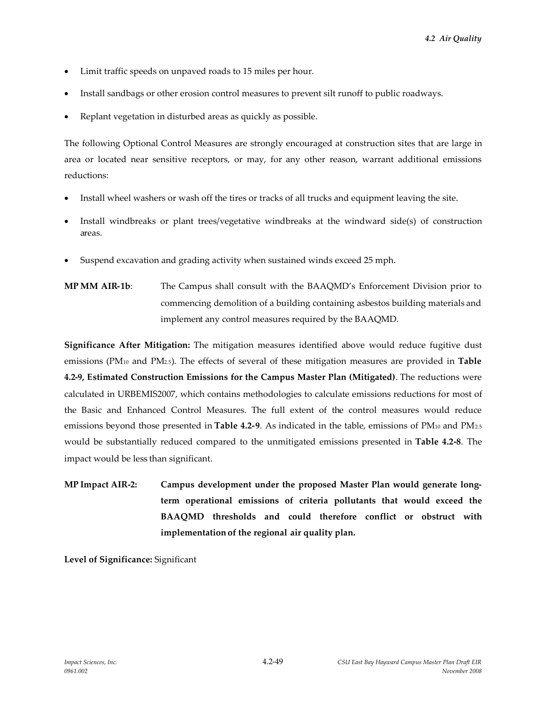- Limit traffic speeds on unpaved roads to 15 miles per hour.
- Install sandbags or other erosion control measures to prevent silt runoff to public roadways.
- Replant vegetation in disturbed areas as quickly as possible.

The following Optional Control Measures are strongly encouraged at construction sites that are large in area or located near sensitive receptors, or may, for any other reason, warrant additional emissions reductions:

- Install wheel washers or wash off the tires or tracks of all trucks and equipment leaving the site.
- Install windbreaks or plant trees/vegetative windbreaks at the windward side(s) of construction areas.
- Suspend excavation and grading activity when sustained winds exceed 25 mph.
- **MP MM AIR-1b**: The Campus shall consult with the BAAQMD's Enforcement Division prior to commencing demolition of a building containing asbestos building materials and implement any control measures required by the BAAQMD.

**Significance After Mitigation:** The mitigation measures identified above would reduce fugitive dust emissions (PM<sup>10</sup> and PM2.5). The effects of several of these mitigation measures are provided in **Table 4.2-9, Estimated Construction Emissions for the Campus Master Plan (Mitigated)**. The reductions were calculated in URBEMIS2007, which contains methodologies to calculate emissions reductions for most of the Basic and Enhanced Control Measures. The full extent of the control measures would reduce emissions beyond those presented in **Table 4.2-9**. As indicated in the table, emissions of PM<sub>10</sub> and PM<sub>2.5</sub> would be substantially reduced compared to the unmitigated emissions presented in **Table 4.2-8**. The impact would be less than significant.

**MP Impact AIR-2: Campus development under the proposed Master Plan would generate longterm operational emissions of criteria pollutants that would exceed the BAAQMD thresholds and could therefore conflict or obstruct with implementation of the regional air quality plan.**

**Level of Significance:** Significant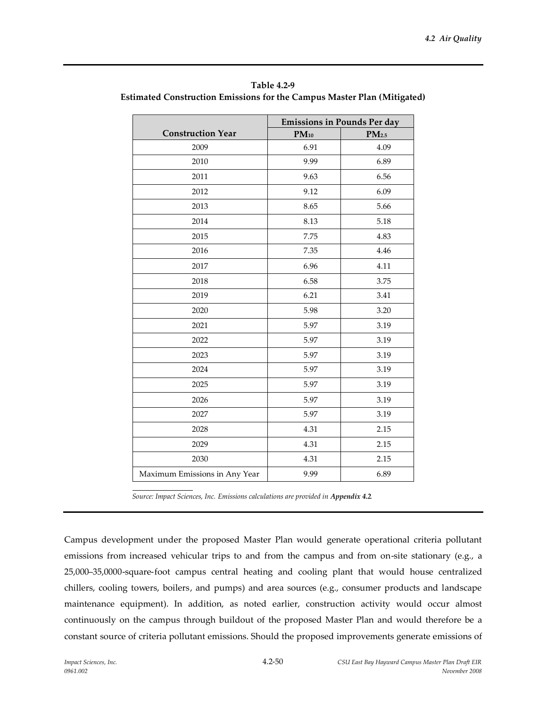| Table 4.2-9                                                             |
|-------------------------------------------------------------------------|
| Estimated Construction Emissions for the Campus Master Plan (Mitigated) |

|                               | <b>Emissions in Pounds Per day</b> |                   |  |  |
|-------------------------------|------------------------------------|-------------------|--|--|
| <b>Construction Year</b>      | $PM_{10}$                          | PM <sub>2.5</sub> |  |  |
| 2009                          | 6.91                               | 4.09              |  |  |
| 2010                          | 9.99                               | 6.89              |  |  |
| 2011                          | 9.63                               | 6.56              |  |  |
| 2012                          | 9.12                               | 6.09              |  |  |
| 2013                          | 8.65                               | 5.66              |  |  |
| 2014                          | 8.13                               | 5.18              |  |  |
| 2015                          | 7.75                               | 4.83              |  |  |
| 2016                          | 7.35                               | 4.46              |  |  |
| 2017                          | 6.96                               | 4.11              |  |  |
| 2018                          | 6.58                               | 3.75              |  |  |
| 2019                          | 6.21                               | 3.41              |  |  |
| 2020                          | 5.98                               | 3.20              |  |  |
| 2021                          | 5.97                               | 3.19              |  |  |
| 2022                          | 5.97                               | 3.19              |  |  |
| 2023                          | 5.97                               | 3.19              |  |  |
| 2024                          | 5.97                               | 3.19              |  |  |
| 2025                          | 5.97                               | 3.19              |  |  |
| 2026                          | 5.97                               | 3.19              |  |  |
| 2027                          | 5.97                               | 3.19              |  |  |
| 2028                          | 4.31                               | 2.15              |  |  |
| 2029                          | 4.31                               | 2.15              |  |  |
| 2030                          | 4.31                               | 2.15              |  |  |
| Maximum Emissions in Any Year | 9.99                               | 6.89              |  |  |

*Source: Impact Sciences, Inc. Emissions calculations are provided in Appendix 4.2.*

Campus development under the proposed Master Plan would generate operational criteria pollutant emissions from increased vehicular trips to and from the campus and from on-site stationary (e.g., a 25,000–35,0000-square-foot campus central heating and cooling plant that would house centralized chillers, cooling towers, boilers, and pumps) and area sources (e.g., consumer products and landscape maintenance equipment). In addition, as noted earlier, construction activity would occur almost continuously on the campus through buildout of the proposed Master Plan and would therefore be a constant source of criteria pollutant emissions. Should the proposed improvements generate emissions of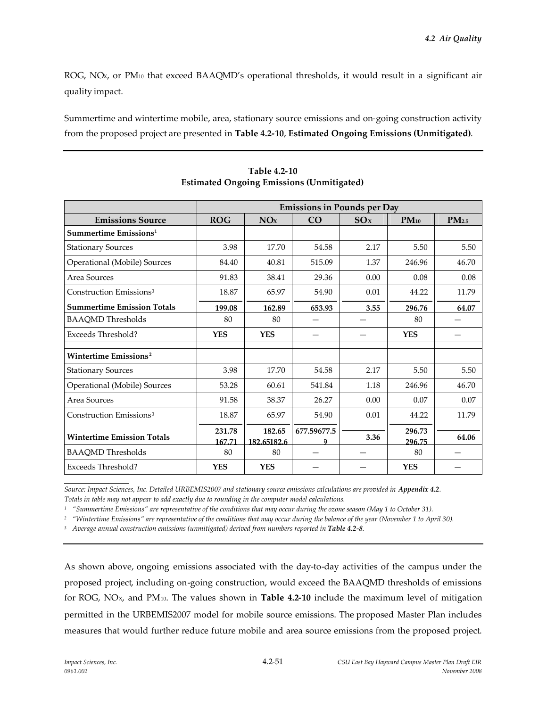ROG, NO<sub>x</sub>, or PM<sub>10</sub> that exceed BAAQMD's operational thresholds, it would result in a significant air quality impact.

Summertime and wintertime mobile, area, stationary source emissions and on-going construction activity from the proposed project are presented in **Table 4.2-10**, **Estimated Ongoing Emissions (Unmitigated)**.

| <b>Emissions in Pounds per Day</b> |                       |                  |      |                  |                   |
|------------------------------------|-----------------------|------------------|------|------------------|-------------------|
| <b>ROG</b>                         | NOx                   | CO               | SOx  | $PM_{10}$        | PM <sub>2.5</sub> |
|                                    |                       |                  |      |                  |                   |
| 3.98                               | 17.70                 | 54.58            | 2.17 | 5.50             | 5.50              |
| 84.40                              | 40.81                 | 515.09           | 1.37 | 246.96           | 46.70             |
| 91.83                              | 38.41                 | 29.36            | 0.00 | 0.08             | 0.08              |
| 18.87                              | 65.97                 | 54.90            | 0.01 | 44.22            | 11.79             |
| 199.08                             | 162.89                | 653.93           | 3.55 | 296.76           | 64.07             |
| 80                                 | 80                    |                  |      | 80               |                   |
| <b>YES</b>                         | <b>YES</b>            |                  |      | <b>YES</b>       |                   |
|                                    |                       |                  |      |                  |                   |
| 3.98                               | 17.70                 | 54.58            | 2.17 | 5.50             | 5.50              |
| 53.28                              | 60.61                 | 541.84           | 1.18 | 246.96           | 46.70             |
| 91.58                              | 38.37                 | 26.27            | 0.00 | 0.07             | 0.07              |
| 18.87                              | 65.97                 | 54.90            | 0.01 | 44.22            | 11.79             |
| 231.78<br>167.71                   | 182.65<br>182.65182.6 | 677.59677.5      | 3.36 | 296.73<br>296.75 | 64.06             |
|                                    |                       |                  |      |                  |                   |
|                                    | 80<br><b>YES</b>      | 80<br><b>YES</b> |      |                  | 80<br><b>YES</b>  |

**Table 4.2-10 Estimated Ongoing Emissions (Unmitigated)**

*Source: Impact Sciences, Inc. Detailed URBEMIS2007 and stationary source emissions calculations are provided in Appendix 4.2. Totals in table may not appear to add exactly due to rounding in the computer model calculations.*

*<sup>1</sup> "Summertime Emissions" are representative of the conditions that may occur during the ozone season (May 1 to October 31).*

*<sup>2</sup> "Wintertime Emissions" are representative of the conditions that may occur during the balance of the year (November 1 to April 30).*

*<sup>3</sup> Average annual construction emissions (unmitigated) derived from numbers reported in Table 4.2-8.*

As shown above, ongoing emissions associated with the day-to-day activities of the campus under the proposed project, including on-going construction, would exceed the BAAQMD thresholds of emissions for ROG, NOX, and PM10. The values shown in **Table 4.2-10** include the maximum level of mitigation permitted in the URBEMIS2007 model for mobile source emissions. The proposed Master Plan includes measures that would further reduce future mobile and area source emissions from the proposed project.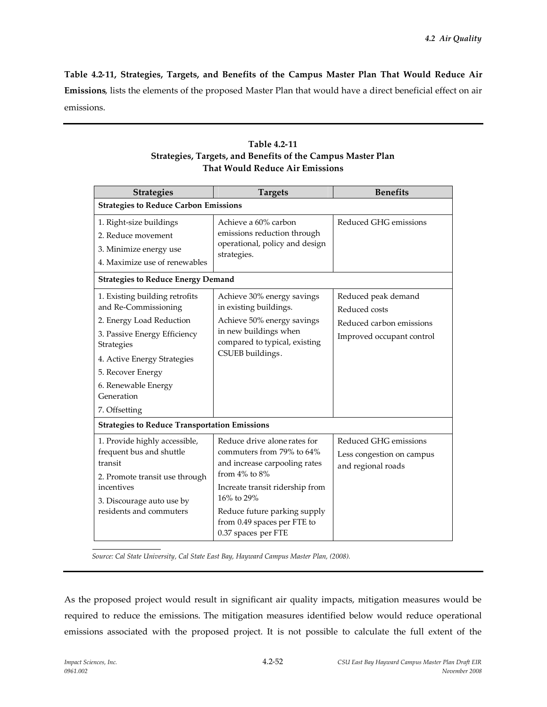**Table 4.2-11, Strategies, Targets, and Benefits of the Campus Master Plan That Would Reduce Air Emissions**, lists the elements of the proposed Master Plan that would have a direct beneficial effect on air emissions.

| Table 4.2-11                                                |
|-------------------------------------------------------------|
| Strategies, Targets, and Benefits of the Campus Master Plan |
| <b>That Would Reduce Air Emissions</b>                      |

| <b>Strategies</b>                                                                                                                                                                                                                          | <b>Targets</b>                                                                                                                                                                                                                                           | <b>Benefits</b>                                                                               |
|--------------------------------------------------------------------------------------------------------------------------------------------------------------------------------------------------------------------------------------------|----------------------------------------------------------------------------------------------------------------------------------------------------------------------------------------------------------------------------------------------------------|-----------------------------------------------------------------------------------------------|
| <b>Strategies to Reduce Carbon Emissions</b>                                                                                                                                                                                               |                                                                                                                                                                                                                                                          |                                                                                               |
| 1. Right-size buildings<br>2. Reduce movement<br>3. Minimize energy use<br>4. Maximize use of renewables                                                                                                                                   | Achieve a 60% carbon<br>emissions reduction through<br>operational, policy and design<br>strategies.                                                                                                                                                     | Reduced GHG emissions                                                                         |
| <b>Strategies to Reduce Energy Demand</b>                                                                                                                                                                                                  |                                                                                                                                                                                                                                                          |                                                                                               |
| 1. Existing building retrofits<br>and Re-Commissioning<br>2. Energy Load Reduction<br>3. Passive Energy Efficiency<br>Strategies<br>4. Active Energy Strategies<br>5. Recover Energy<br>6. Renewable Energy<br>Generation<br>7. Offsetting | Achieve 30% energy savings<br>in existing buildings.<br>Achieve 50% energy savings<br>in new buildings when<br>compared to typical, existing<br>CSUEB buildings.                                                                                         | Reduced peak demand<br>Reduced costs<br>Reduced carbon emissions<br>Improved occupant control |
| <b>Strategies to Reduce Transportation Emissions</b>                                                                                                                                                                                       |                                                                                                                                                                                                                                                          |                                                                                               |
| 1. Provide highly accessible,<br>frequent bus and shuttle<br>transit<br>2. Promote transit use through<br>incentives<br>3. Discourage auto use by<br>residents and commuters                                                               | Reduce drive alone rates for<br>commuters from 79% to 64%<br>and increase carpooling rates<br>from $4\%$ to $8\%$<br>Increate transit ridership from<br>16% to 29%<br>Reduce future parking supply<br>from 0.49 spaces per FTE to<br>0.37 spaces per FTE | Reduced GHG emissions<br>Less congestion on campus<br>and regional roads                      |

*Source: Cal State University, Cal State East Bay, Hayward Campus Master Plan, (2008).*

As the proposed project would result in significant air quality impacts, mitigation measures would be required to reduce the emissions. The mitigation measures identified below would reduce operational emissions associated with the proposed project. It is not possible to calculate the full extent of the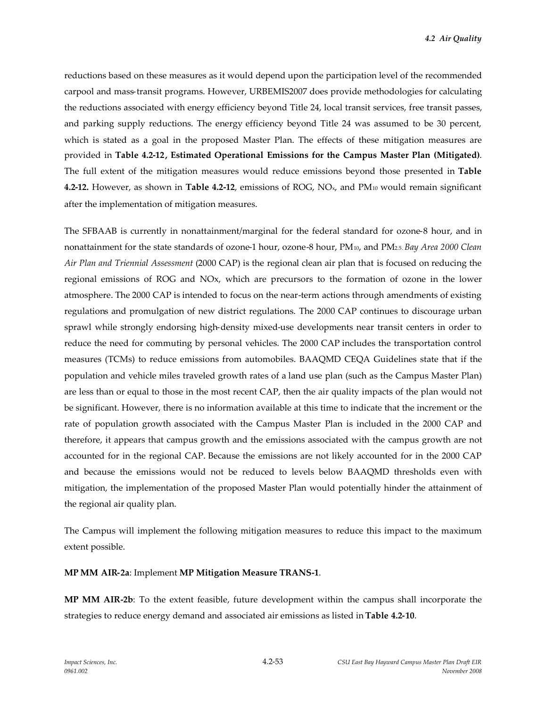reductions based on these measures as it would depend upon the participation level of the recommended carpool and mass-transit programs. However, URBEMIS2007 does provide methodologies for calculating the reductions associated with energy efficiency beyond Title 24, local transit services, free transit passes, and parking supply reductions. The energy efficiency beyond Title 24 was assumed to be 30 percent, which is stated as a goal in the proposed Master Plan. The effects of these mitigation measures are provided in **Table 4.2-12, Estimated Operational Emissions for the Campus Master Plan (Mitigated)**. The full extent of the mitigation measures would reduce emissions beyond those presented in **Table 4.2-12.** However, as shown in **Table 4.2-12**, emissions of ROG, NOx, and PM<sup>10</sup> would remain significant after the implementation of mitigation measures.

The SFBAAB is currently in nonattainment/marginal for the federal standard for ozone-8 hour, and in nonattainment for the state standards of ozone-1 hour, ozone-8 hour, PM10, and PM2.5.*Bay Area 2000 Clean Air Plan and Triennial Assessment* (2000 CAP) is the regional clean air plan that is focused on reducing the regional emissions of ROG and NOx, which are precursors to the formation of ozone in the lower atmosphere. The 2000 CAP is intended to focus on the near-term actions through amendments of existing regulations and promulgation of new district regulations. The 2000 CAP continues to discourage urban sprawl while strongly endorsing high-density mixed-use developments near transit centers in order to reduce the need for commuting by personal vehicles. The 2000 CAP includes the transportation control measures (TCMs) to reduce emissions from automobiles. BAAQMD CEQA Guidelines state that if the population and vehicle miles traveled growth rates of a land use plan (such as the Campus Master Plan) are less than or equal to those in the most recent CAP, then the air quality impacts of the plan would not be significant. However, there is no information available at this time to indicate that the increment or the rate of population growth associated with the Campus Master Plan is included in the 2000 CAP and therefore, it appears that campus growth and the emissions associated with the campus growth are not accounted for in the regional CAP. Because the emissions are not likely accounted for in the 2000 CAP and because the emissions would not be reduced to levels below BAAQMD thresholds even with mitigation, the implementation of the proposed Master Plan would potentially hinder the attainment of the regional air quality plan.

The Campus will implement the following mitigation measures to reduce this impact to the maximum extent possible.

**MP MM AIR-2a**: Implement **MP Mitigation Measure TRANS-1**.

**MP MM AIR-2b**: To the extent feasible, future development within the campus shall incorporate the strategies to reduce energy demand and associated air emissions as listed in **Table 4.2-10**.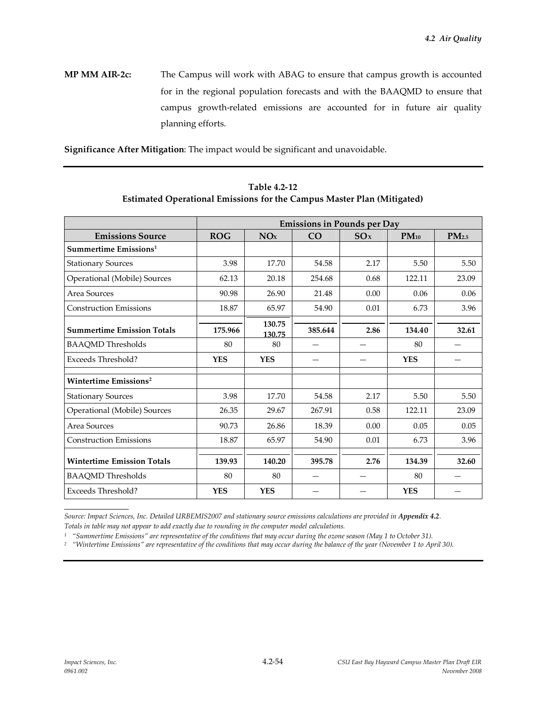**MP MM AIR-2c:** The Campus will work with ABAG to ensure that campus growth is accounted for in the regional population forecasts and with the BAAQMD to ensure that campus growth-related emissions are accounted for in future air quality planning efforts.

**Significance After Mitigation**: The impact would be significant and unavoidable.

|                                   | <b>Emissions in Pounds per Day</b> |                  |         |      |            |                   |
|-----------------------------------|------------------------------------|------------------|---------|------|------------|-------------------|
| <b>Emissions Source</b>           | <b>ROG</b>                         | NOx              | CO      | SOx  | $PM_{10}$  | PM <sub>2.5</sub> |
| Summertime Emissions <sup>1</sup> |                                    |                  |         |      |            |                   |
| <b>Stationary Sources</b>         | 3.98                               | 17.70            | 54.58   | 2.17 | 5.50       | 5.50              |
| Operational (Mobile) Sources      | 62.13                              | 20.18            | 254.68  | 0.68 | 122.11     | 23.09             |
| Area Sources                      | 90.98                              | 26.90            | 21.48   | 0.00 | 0.06       | 0.06              |
| <b>Construction Emissions</b>     | 18.87                              | 65.97            | 54.90   | 0.01 | 6.73       | 3.96              |
| <b>Summertime Emission Totals</b> | 175.966                            | 130.75<br>130.75 | 385.644 | 2.86 | 134.40     | 32.61             |
| <b>BAAQMD</b> Thresholds          | 80                                 | 80               |         |      | 80         |                   |
| Exceeds Threshold?                | <b>YES</b>                         | <b>YES</b>       |         |      | <b>YES</b> |                   |
| Wintertime Emissions <sup>2</sup> |                                    |                  |         |      |            |                   |
| <b>Stationary Sources</b>         | 3.98                               | 17.70            | 54.58   | 2.17 | 5.50       | 5.50              |
| Operational (Mobile) Sources      | 26.35                              | 29.67            | 267.91  | 0.58 | 122.11     | 23.09             |
| Area Sources                      | 90.73                              | 26.86            | 18.39   | 0.00 | 0.05       | 0.05              |
| <b>Construction Emissions</b>     | 18.87                              | 65.97            | 54.90   | 0.01 | 6.73       | 3.96              |
| <b>Wintertime Emission Totals</b> | 139.93                             | 140.20           | 395.78  | 2.76 | 134.39     | 32.60             |
| <b>BAAQMD</b> Thresholds          | 80                                 | 80               |         |      | 80         |                   |
| <b>Exceeds Threshold?</b>         | <b>YES</b>                         | <b>YES</b>       |         |      | <b>YES</b> |                   |

**Table 4.2-12 Estimated Operational Emissions for the Campus Master Plan (Mitigated)**

*Source: Impact Sciences, Inc. Detailed URBEMIS2007 and stationary source emissions calculations are provided in Appendix 4.2. Totals in table may not appear to add exactly due to rounding in the computer model calculations.*

*<sup>1</sup> "Summertime Emissions" are representative of the conditions that may occur during the ozone season (May 1 to October 31).*

*<sup>2</sup> "Wintertime Emissions" are representative of the conditions that may occur during the balance of the year (November 1 to April 30).*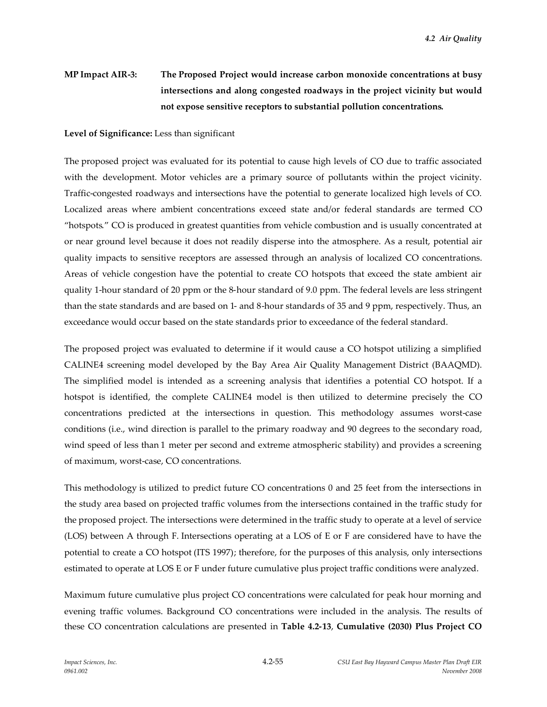# **MP Impact AIR-3: The Proposed Project would increase carbon monoxide concentrations at busy intersections and along congested roadways in the project vicinity but would not expose sensitive receptors to substantial pollution concentrations.**

#### **Level of Significance:** Less than significant

The proposed project was evaluated for its potential to cause high levels of CO due to traffic associated with the development. Motor vehicles are a primary source of pollutants within the project vicinity. Traffic-congested roadways and intersections have the potential to generate localized high levels of CO. Localized areas where ambient concentrations exceed state and/or federal standards are termed CO "hotspots." CO is produced in greatest quantities from vehicle combustion and is usually concentrated at or near ground level because it does not readily disperse into the atmosphere. As a result, potential air quality impacts to sensitive receptors are assessed through an analysis of localized CO concentrations. Areas of vehicle congestion have the potential to create CO hotspots that exceed the state ambient air quality 1-hour standard of 20 ppm or the 8-hour standard of 9.0 ppm. The federal levels are less stringent than the state standards and are based on 1- and 8-hour standards of 35 and 9 ppm, respectively. Thus, an exceedance would occur based on the state standards prior to exceedance of the federal standard.

The proposed project was evaluated to determine if it would cause a CO hotspot utilizing a simplified CALINE4 screening model developed by the Bay Area Air Quality Management District (BAAQMD). The simplified model is intended as a screening analysis that identifies a potential CO hotspot. If a hotspot is identified, the complete CALINE4 model is then utilized to determine precisely the CO concentrations predicted at the intersections in question. This methodology assumes worst-case conditions (i.e., wind direction is parallel to the primary roadway and 90 degrees to the secondary road, wind speed of less than 1 meter per second and extreme atmospheric stability) and provides a screening of maximum, worst-case, CO concentrations.

This methodology is utilized to predict future CO concentrations 0 and 25 feet from the intersections in the study area based on projected traffic volumes from the intersections contained in the traffic study for the proposed project. The intersections were determined in the traffic study to operate at a level of service (LOS) between A through F. Intersections operating at a LOS of E or F are considered have to have the potential to create a CO hotspot (ITS 1997); therefore, for the purposes of this analysis, only intersections estimated to operate at LOS E or F under future cumulative plus project traffic conditions were analyzed.

Maximum future cumulative plus project CO concentrations were calculated for peak hour morning and evening traffic volumes. Background CO concentrations were included in the analysis. The results of these CO concentration calculations are presented in **Table 4.2-13**, **Cumulative (2030) Plus Project CO**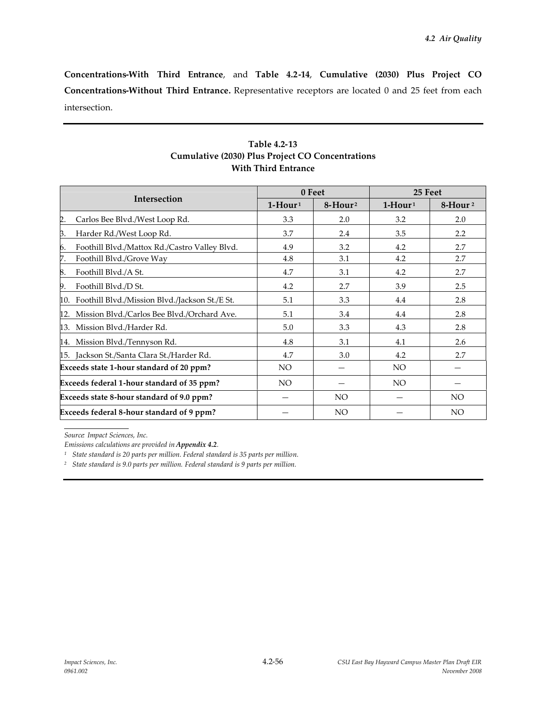**Concentrations-With Third Entrance**, and **Table 4.2-14**, **Cumulative (2030) Plus Project CO Concentrations-Without Third Entrance.** Representative receptors are located 0 and 25 feet from each intersection.

|                                                       |           | 0 Feet                  | 25 Feet   |                     |
|-------------------------------------------------------|-----------|-------------------------|-----------|---------------------|
| Intersection                                          | $1-Hour1$ | $8 -$ Hour <sup>2</sup> | $1-Hour1$ | 8-Hour <sup>2</sup> |
| 2.<br>Carlos Bee Blvd./West Loop Rd.                  | 3.3       | 2.0                     | 3.2       | 2.0                 |
| β.<br>Harder Rd./West Loop Rd.                        | 3.7       | 2.4                     | 3.5       | 2.2                 |
| Foothill Blvd./Mattox Rd./Castro Valley Blvd.<br>6.   | 4.9       | 3.2                     | 4.2       | 2.7                 |
| 7.<br>Foothill Blvd./Grove Way                        | 4.8       | 3.1                     | 4.2       | 2.7                 |
| Foothill Blvd./A St.<br>8.                            | 4.7       | 3.1                     | 4.2       | 2.7                 |
| Foothill Blvd./D St.<br>9.                            | 4.2       | 2.7                     | 3.9       | 2.5                 |
| Foothill Blvd./Mission Blvd./Jackson St./E St.<br>10. | 5.1       | 3.3                     | 4.4       | 2.8                 |
| Mission Blvd./Carlos Bee Blvd./Orchard Ave.<br>12.    | 5.1       | 3.4                     | 4.4       | 2.8                 |
| Mission Blvd./Harder Rd.<br>13.                       | 5.0       | 3.3                     | 4.3       | 2.8                 |
| Mission Blvd./Tennyson Rd.<br>14.                     | 4.8       | 3.1                     | 4.1       | 2.6                 |
| 15. Jackson St./Santa Clara St./Harder Rd.            | 4.7       | 3.0                     | 4.2       | 2.7                 |
| Exceeds state 1-hour standard of 20 ppm?              | NO.       |                         | NO.       |                     |
| Exceeds federal 1-hour standard of 35 ppm?            | NO.       |                         | NO.       |                     |
| Exceeds state 8-hour standard of 9.0 ppm?             |           | <b>NO</b>               |           | NO                  |
| Exceeds federal 8-hour standard of 9 ppm?             |           | NO.                     |           | NO <sub>1</sub>     |

## **Table 4.2-13 Cumulative (2030) Plus Project CO Concentrations With Third Entrance**

*Source: Impact Sciences, Inc.*

*<sup>2</sup> State standard is 9.0 parts per million. Federal standard is 9 parts per million.*

*Emissions calculations are provided in Appendix 4.2.*

*<sup>1</sup> State standard is 20 parts per million. Federal standard is 35 parts per million.*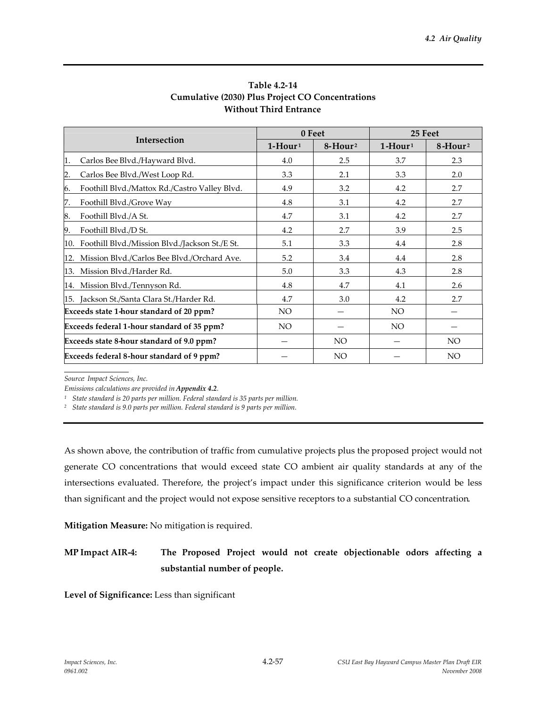|                                                     |                 | 0 Feet                  | 25 Feet                |                     |
|-----------------------------------------------------|-----------------|-------------------------|------------------------|---------------------|
| Intersection                                        | $1-Hour1$       | $8 -$ Hour <sup>2</sup> | $1$ -Hour <sup>1</sup> | 8-Hour <sup>2</sup> |
| Carlos Bee Blvd./Hayward Blvd.<br>1.                | 4.0             | 2.5                     | 3.7                    | 2.3                 |
| 2.<br>Carlos Bee Blvd./West Loop Rd.                | 3.3             | 2.1                     | 3.3                    | 2.0                 |
| Foothill Blvd./Mattox Rd./Castro Valley Blvd.<br>6. | 4.9             | 3.2                     | 4.2                    | 2.7                 |
| Foothill Blvd./Grove Way<br>7.                      | 4.8             | 3.1                     | 4.2                    | 2.7                 |
| 8.<br>Foothill Blvd./A St.                          | 4.7             | 3.1                     | 4.2                    | 2.7                 |
| Foothill Blvd./D St.<br>9.                          | 4.2             | 2.7                     | 3.9                    | 2.5                 |
| 10. Foothill Blvd./Mission Blvd./Jackson St./E St.  | 5.1             | 3.3                     | 4.4                    | 2.8                 |
| Mission Blvd./Carlos Bee Blvd./Orchard Ave.<br>12.  | 5.2             | 3.4                     | 4.4                    | 2.8                 |
| 13. Mission Blvd./Harder Rd.                        | 5.0             | 3.3                     | 4.3                    | 2.8                 |
| 14. Mission Blvd./Tennyson Rd.                      | 4.8             | 4.7                     | 4.1                    | 2.6                 |
| 15. Jackson St./Santa Clara St./Harder Rd.          | 4.7             | 3.0                     | 4.2                    | 2.7                 |
| Exceeds state 1-hour standard of 20 ppm?            | NO.             |                         | NO.                    |                     |
| Exceeds federal 1-hour standard of 35 ppm?          | NO <sub>1</sub> |                         | <b>NO</b>              |                     |
| Exceeds state 8-hour standard of 9.0 ppm?           |                 | NO.                     |                        | NO                  |
| Exceeds federal 8-hour standard of 9 ppm?           |                 | NO.                     |                        | <b>NO</b>           |

### **Table 4.2-14 Cumulative (2030) Plus Project CO Concentrations Without Third Entrance**

*Source: Impact Sciences, Inc.*

*Emissions calculations are provided in Appendix 4.2.*

*<sup>1</sup> State standard is 20 parts per million. Federal standard is 35 parts per million.*

*<sup>2</sup> State standard is 9.0 parts per million. Federal standard is 9 parts per million.*

As shown above, the contribution of traffic from cumulative projects plus the proposed project would not generate CO concentrations that would exceed state CO ambient air quality standards at any of the intersections evaluated. Therefore, the project's impact under this significance criterion would be less than significant and the project would not expose sensitive receptors to a substantial CO concentration.

**Mitigation Measure:** No mitigation is required.

# **MP Impact AIR-4: The Proposed Project would not create objectionable odors affecting a substantial number of people.**

**Level of Significance:** Less than significant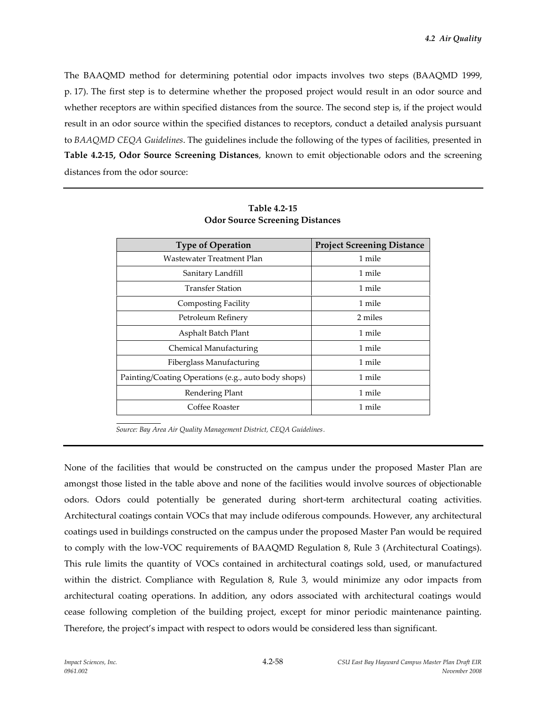The BAAQMD method for determining potential odor impacts involves two steps (BAAQMD 1999, p. 17). The first step is to determine whether the proposed project would result in an odor source and whether receptors are within specified distances from the source. The second step is, if the project would result in an odor source within the specified distances to receptors, conduct a detailed analysis pursuant to *BAAQMD CEQA Guidelines*. The guidelines include the following of the types of facilities, presented in **Table 4.2-15, Odor Source Screening Distances**, known to emit objectionable odors and the screening distances from the odor source:

| <b>Type of Operation</b>                            | <b>Project Screening Distance</b> |
|-----------------------------------------------------|-----------------------------------|
| Wastewater Treatment Plan                           | 1 mile                            |
| Sanitary Landfill                                   | 1 mile                            |
| <b>Transfer Station</b>                             | 1 mile                            |
| Composting Facility                                 | 1 mile                            |
| Petroleum Refinery                                  | 2 miles                           |
| Asphalt Batch Plant                                 | 1 mile                            |
| Chemical Manufacturing                              | 1 mile                            |
| Fiberglass Manufacturing                            | 1 mile                            |
| Painting/Coating Operations (e.g., auto body shops) | 1 mile                            |
| Rendering Plant                                     | 1 mile                            |
| Coffee Roaster                                      | 1 mile                            |

### **Table 4.2-15 Odor Source Screening Distances**

*Source: Bay Area Air Quality Management District, CEQA Guidelines.*

None of the facilities that would be constructed on the campus under the proposed Master Plan are amongst those listed in the table above and none of the facilities would involve sources of objectionable odors. Odors could potentially be generated during short-term architectural coating activities. Architectural coatings contain VOCs that may include odiferous compounds. However, any architectural coatings used in buildings constructed on the campus under the proposed Master Pan would be required to comply with the low-VOC requirements of BAAQMD Regulation 8, Rule 3 (Architectural Coatings). This rule limits the quantity of VOCs contained in architectural coatings sold, used, or manufactured within the district. Compliance with Regulation 8, Rule 3, would minimize any odor impacts from architectural coating operations. In addition, any odors associated with architectural coatings would cease following completion of the building project, except for minor periodic maintenance painting. Therefore, the project's impact with respect to odors would be considered less than significant.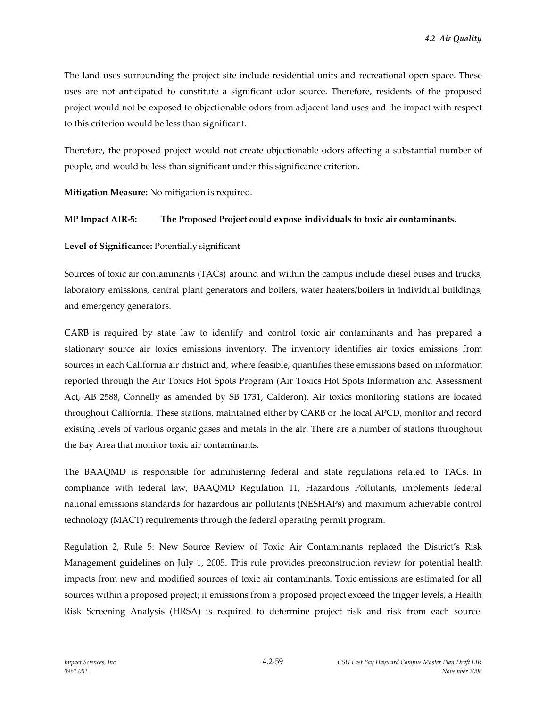The land uses surrounding the project site include residential units and recreational open space. These uses are not anticipated to constitute a significant odor source. Therefore, residents of the proposed project would not be exposed to objectionable odors from adjacent land uses and the impact with respect to this criterion would be less than significant.

Therefore, the proposed project would not create objectionable odors affecting a substantial number of people, and would be less than significant under this significance criterion.

**Mitigation Measure:** No mitigation is required.

### **MP Impact AIR-5: The Proposed Project could expose individuals to toxic air contaminants.**

**Level of Significance:** Potentially significant

Sources of toxic air contaminants (TACs) around and within the campus include diesel buses and trucks, laboratory emissions, central plant generators and boilers, water heaters/boilers in individual buildings, and emergency generators.

CARB is required by state law to identify and control toxic air contaminants and has prepared a stationary source air toxics emissions inventory. The inventory identifies air toxics emissions from sources in each California air district and, where feasible, quantifies these emissions based on information reported through the Air Toxics Hot Spots Program (Air Toxics Hot Spots Information and Assessment Act, AB 2588, Connelly as amended by SB 1731, Calderon). Air toxics monitoring stations are located throughout California. These stations, maintained either by CARB or the local APCD, monitor and record existing levels of various organic gases and metals in the air. There are a number of stations throughout the Bay Area that monitor toxic air contaminants.

The BAAQMD is responsible for administering federal and state regulations related to TACs. In compliance with federal law, BAAQMD Regulation 11, Hazardous Pollutants, implements federal national emissions standards for hazardous air pollutants (NESHAPs) and maximum achievable control technology (MACT) requirements through the federal operating permit program.

Regulation 2, Rule 5: New Source Review of Toxic Air Contaminants replaced the District's Risk Management guidelines on July 1, 2005. This rule provides preconstruction review for potential health impacts from new and modified sources of toxic air contaminants. Toxic emissions are estimated for all sources within a proposed project; if emissions from a proposed project exceed the trigger levels, a Health Risk Screening Analysis (HRSA) is required to determine project risk and risk from each source.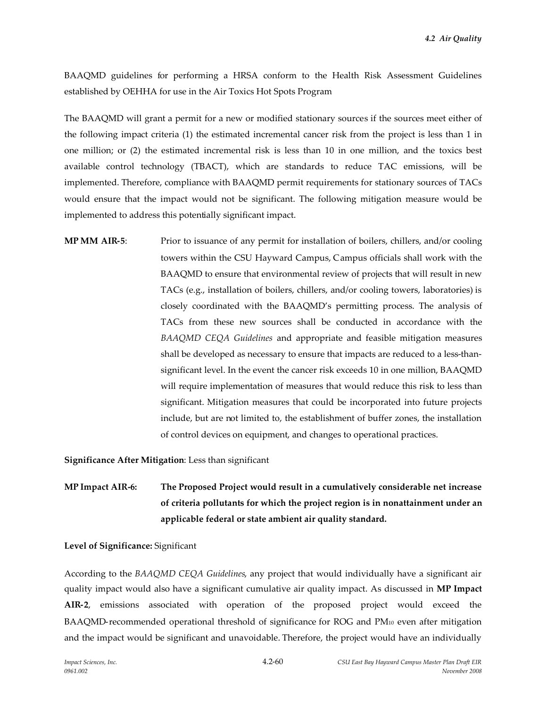BAAQMD guidelines for performing a HRSA conform to the Health Risk Assessment Guidelines established by OEHHA for use in the Air Toxics Hot Spots Program

The BAAQMD will grant a permit for a new or modified stationary sources if the sources meet either of the following impact criteria (1) the estimated incremental cancer risk from the project is less than 1 in one million; or (2) the estimated incremental risk is less than 10 in one million, and the toxics best available control technology (TBACT), which are standards to reduce TAC emissions, will be implemented. Therefore, compliance with BAAQMD permit requirements for stationary sources of TACs would ensure that the impact would not be significant. The following mitigation measure would be implemented to address this potentially significant impact.

**MP MM AIR-5**: Prior to issuance of any permit for installation of boilers, chillers, and/or cooling towers within the CSU Hayward Campus, Campus officials shall work with the BAAQMD to ensure that environmental review of projects that will result in new TACs (e.g., installation of boilers, chillers, and/or cooling towers, laboratories) is closely coordinated with the BAAQMD's permitting process. The analysis of TACs from these new sources shall be conducted in accordance with the *BAAQMD CEQA Guidelines* and appropriate and feasible mitigation measures shall be developed as necessary to ensure that impacts are reduced to a less-thansignificant level. In the event the cancer risk exceeds 10 in one million, BAAQMD will require implementation of measures that would reduce this risk to less than significant. Mitigation measures that could be incorporated into future projects include, but are not limited to, the establishment of buffer zones, the installation of control devices on equipment, and changes to operational practices.

**Significance After Mitigation**: Less than significant

**MP Impact AIR-6: The Proposed Project would result in a cumulatively considerable net increase of criteria pollutants for which the project region is in nonattainment under an applicable federal or state ambient air quality standard.**

#### **Level of Significance:** Significant

According to the *BAAQMD CEQA Guidelines*, any project that would individually have a significant air quality impact would also have a significant cumulative air quality impact. As discussed in **MP Impact AIR-2**, emissions associated with operation of the proposed project would exceed the BAAQMD-recommended operational threshold of significance for ROG and PM<sup>10</sup> even after mitigation and the impact would be significant and unavoidable. Therefore, the project would have an individually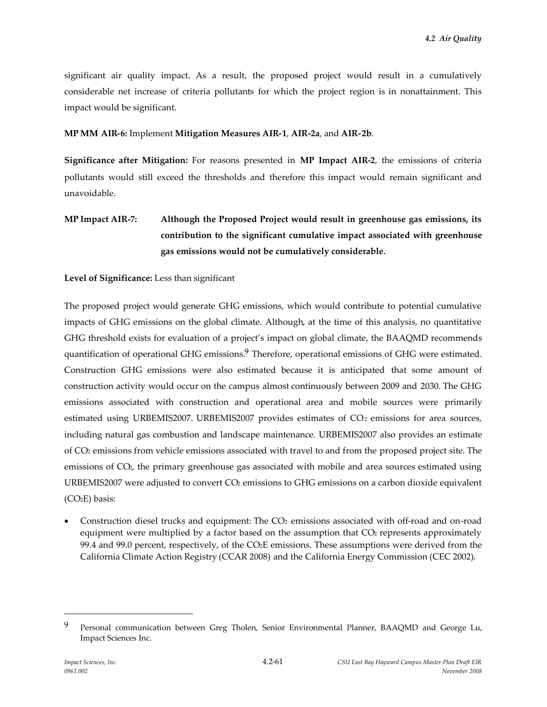significant air quality impact. As a result, the proposed project would result in a cumulatively considerable net increase of criteria pollutants for which the project region is in nonattainment. This impact would be significant.

### **MP MM AIR-6:** Implement **Mitigation Measures AIR-1**, **AIR-2a**, and **AIR-2b**.

**Significance after Mitigation:** For reasons presented in **MP Impact AIR-2**, the emissions of criteria pollutants would still exceed the thresholds and therefore this impact would remain significant and unavoidable.

# **MP Impact AIR-7: Although the Proposed Project would result in greenhouse gas emissions, its contribution to the significant cumulative impact associated with greenhouse gas emissions would not be cumulatively considerable.**

### **Level of Significance:** Less than significant

The proposed project would generate GHG emissions, which would contribute to potential cumulative impacts of GHG emissions on the global climate. Although, at the time of this analysis, no quantitative GHG threshold exists for evaluation of a project's impact on global climate, the BAAQMD recommends quantification of operational GHG emissions.<sup>9</sup> Therefore, operational emissions of GHG were estimated. Construction GHG emissions were also estimated because it is anticipated that some amount of construction activity would occur on the campus almost continuously between 2009 and 2030. The GHG emissions associated with construction and operational area and mobile sources were primarily estimated using URBEMIS2007. URBEMIS2007 provides estimates of  $CO<sub>2</sub>$  emissions for area sources, including natural gas combustion and landscape maintenance. URBEMIS2007 also provides an estimate of CO<sup>2</sup> emissions from vehicle emissions associated with travel to and from the proposed project site. The emissions of CO2, the primary greenhouse gas associated with mobile and area sources estimated using URBEMIS2007 were adjusted to convert  $CO<sub>2</sub>$  emissions to GHG emissions on a carbon dioxide equivalent (CO2E) basis:

 Construction diesel trucks and equipment: The CO<sup>2</sup> emissions associated with off-road and on-road equipment were multiplied by a factor based on the assumption that  $CO<sub>2</sub>$  represents approximately 99.4 and 99.0 percent, respectively, of the CO2E emissions. These assumptions were derived from the California Climate Action Registry (CCAR 2008) and the California Energy Commission (CEC 2002).

<sup>9</sup> Personal communication between Greg Tholen, Senior Environmental Planner, BAAQMD and George Lu, Impact Sciences Inc.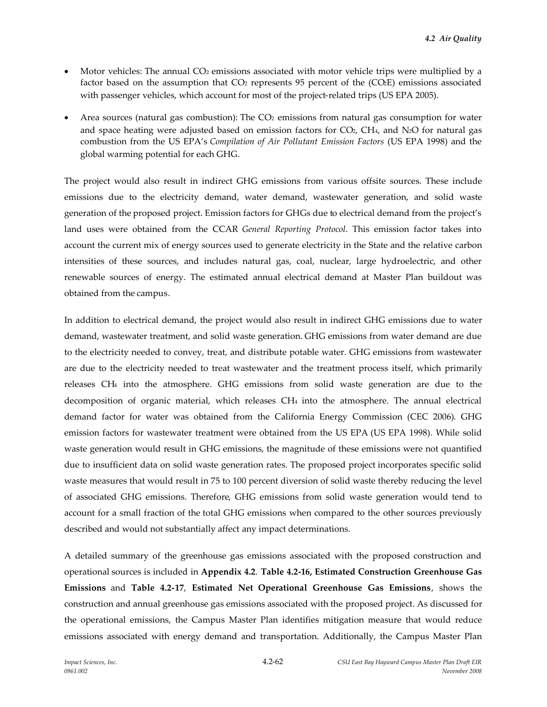- Motor vehicles: The annual CO<sub>2</sub> emissions associated with motor vehicle trips were multiplied by a factor based on the assumption that CO<sub>2</sub> represents 95 percent of the (CO<sub>2</sub>E) emissions associated with passenger vehicles, which account for most of the project-related trips (US EPA 2005).
- Area sources (natural gas combustion): The  $CO<sub>2</sub>$  emissions from natural gas consumption for water and space heating were adjusted based on emission factors for  $CO<sub>2</sub>$ , CH<sub>4</sub>, and N<sub>2</sub>O for natural gas combustion from the US EPA's *Compilation of Air Pollutant Emission Factors* (US EPA 1998) and the global warming potential for each GHG.

The project would also result in indirect GHG emissions from various offsite sources. These include emissions due to the electricity demand, water demand, wastewater generation, and solid waste generation of the proposed project. Emission factors for GHGs due to electrical demand from the project's land uses were obtained from the CCAR *General Reporting Protocol*. This emission factor takes into account the current mix of energy sources used to generate electricity in the State and the relative carbon intensities of these sources, and includes natural gas, coal, nuclear, large hydroelectric, and other renewable sources of energy. The estimated annual electrical demand at Master Plan buildout was obtained from the campus.

In addition to electrical demand, the project would also result in indirect GHG emissions due to water demand, wastewater treatment, and solid waste generation. GHG emissions from water demand are due to the electricity needed to convey, treat, and distribute potable water. GHG emissions from wastewater are due to the electricity needed to treat wastewater and the treatment process itself, which primarily releases CH<sup>4</sup> into the atmosphere. GHG emissions from solid waste generation are due to the decomposition of organic material, which releases CH<sup>4</sup> into the atmosphere. The annual electrical demand factor for water was obtained from the California Energy Commission (CEC 2006). GHG emission factors for wastewater treatment were obtained from the US EPA (US EPA 1998). While solid waste generation would result in GHG emissions, the magnitude of these emissions were not quantified due to insufficient data on solid waste generation rates. The proposed project incorporates specific solid waste measures that would result in 75 to 100 percent diversion of solid waste thereby reducing the level of associated GHG emissions. Therefore, GHG emissions from solid waste generation would tend to account for a small fraction of the total GHG emissions when compared to the other sources previously described and would not substantially affect any impact determinations.

A detailed summary of the greenhouse gas emissions associated with the proposed construction and operational sources is included in **Appendix 4.2**. **Table 4.2-16, Estimated Construction Greenhouse Gas Emissions** and **Table 4.2-17**, **Estimated Net Operational Greenhouse Gas Emissions**, shows the construction and annual greenhouse gas emissions associated with the proposed project. As discussed for the operational emissions, the Campus Master Plan identifies mitigation measure that would reduce emissions associated with energy demand and transportation. Additionally, the Campus Master Plan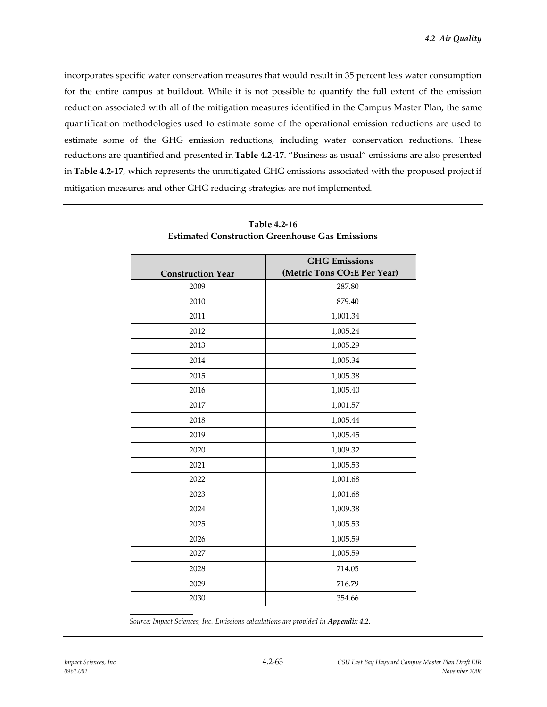incorporates specific water conservation measures that would result in 35 percent less water consumption for the entire campus at buildout. While it is not possible to quantify the full extent of the emission reduction associated with all of the mitigation measures identified in the Campus Master Plan, the same quantification methodologies used to estimate some of the operational emission reductions are used to estimate some of the GHG emission reductions, including water conservation reductions. These reductions are quantified and presented in **Table 4.2-17**. "Business as usual" emissions are also presented in **Table 4.2-17**, which represents the unmitigated GHG emissions associated with the proposed project if mitigation measures and other GHG reducing strategies are not implemented.

|                          | <b>GHG</b> Emissions                     |
|--------------------------|------------------------------------------|
| <b>Construction Year</b> | (Metric Tons CO <sub>2</sub> E Per Year) |
| 2009                     | 287.80                                   |
| 2010                     | 879.40                                   |
| 2011                     | 1,001.34                                 |
| 2012                     | 1,005.24                                 |
| 2013                     | 1,005.29                                 |
| 2014                     | 1,005.34                                 |
| 2015                     | 1,005.38                                 |
| 2016                     | 1,005.40                                 |
| 2017                     | 1,001.57                                 |
| 2018                     | 1,005.44                                 |
| 2019                     | 1,005.45                                 |
| 2020                     | 1,009.32                                 |
| 2021                     | 1,005.53                                 |
| 2022                     | 1,001.68                                 |
| 2023                     | 1,001.68                                 |
| 2024                     | 1,009.38                                 |
| 2025                     | 1,005.53                                 |
| 2026                     | 1,005.59                                 |
| 2027                     | 1,005.59                                 |
| 2028                     | 714.05                                   |
| 2029                     | 716.79                                   |
| 2030                     | 354.66                                   |

**Table 4.2-16 Estimated Construction Greenhouse Gas Emissions**

*Source: Impact Sciences, Inc. Emissions calculations are provided in Appendix 4.2.*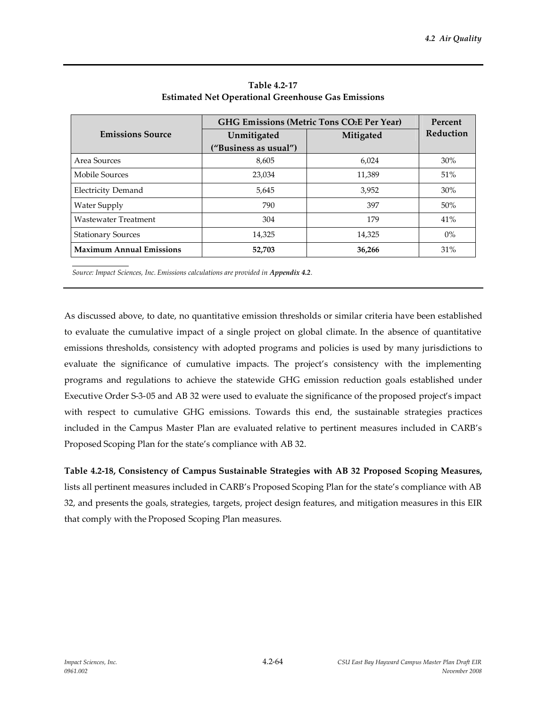|                                 | GHG Emissions (Metric Tons CO2E Per Year) | Percent   |           |
|---------------------------------|-------------------------------------------|-----------|-----------|
| <b>Emissions Source</b>         | Unmitigated                               | Mitigated | Reduction |
|                                 | ("Business as usual")                     |           |           |
| Area Sources                    | 8,605                                     | 6,024     | $30\%$    |
| Mobile Sources                  | 23,034                                    | 11,389    | 51%       |
| <b>Electricity Demand</b>       | 5,645                                     | 3,952     | 30%       |
| Water Supply                    | 790                                       | 397       | 50%       |
| Wastewater Treatment            | 304                                       | 179       | 41%       |
| <b>Stationary Sources</b>       | 14,325                                    | 14,325    | $0\%$     |
| <b>Maximum Annual Emissions</b> | 52,703                                    | 36,266    | 31%       |

**Table 4.2-17 Estimated Net Operational Greenhouse Gas Emissions**

*Source: Impact Sciences, Inc. Emissions calculations are provided in Appendix 4.2.*

As discussed above, to date, no quantitative emission thresholds or similar criteria have been established to evaluate the cumulative impact of a single project on global climate. In the absence of quantitative emissions thresholds, consistency with adopted programs and policies is used by many jurisdictions to evaluate the significance of cumulative impacts. The project's consistency with the implementing programs and regulations to achieve the statewide GHG emission reduction goals established under Executive Order S-3-05 and AB 32 were used to evaluate the significance of the proposed project's impact with respect to cumulative GHG emissions. Towards this end, the sustainable strategies practices included in the Campus Master Plan are evaluated relative to pertinent measures included in CARB's Proposed Scoping Plan for the state's compliance with AB 32.

**Table 4.2-18, Consistency of Campus Sustainable Strategies with AB 32 Proposed Scoping Measures,** lists all pertinent measures included in CARB's Proposed Scoping Plan for the state's compliance with AB 32, and presents the goals, strategies, targets, project design features, and mitigation measures in this EIR that comply with the Proposed Scoping Plan measures.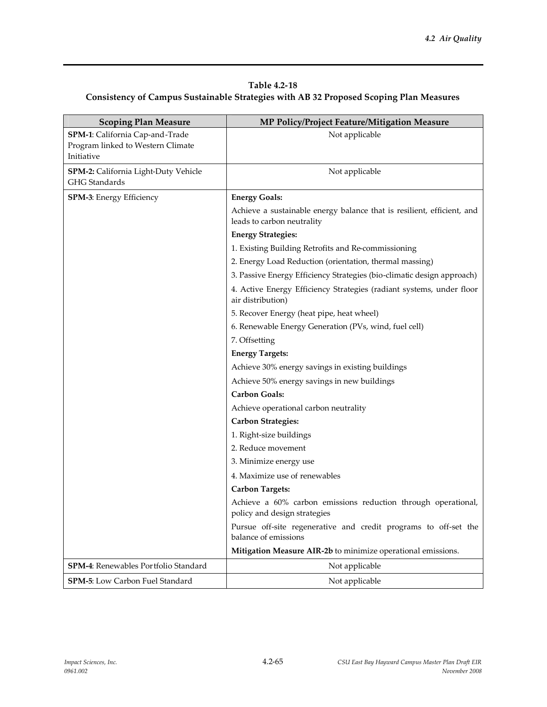## **Table 4.2-18 Consistency of Campus Sustainable Strategies with AB 32 Proposed Scoping Plan Measures**

| <b>Scoping Plan Measure</b>                                                        | MP Policy/Project Feature/Mitigation Measure                                                         |
|------------------------------------------------------------------------------------|------------------------------------------------------------------------------------------------------|
| SPM-1: California Cap-and-Trade<br>Program linked to Western Climate<br>Initiative | Not applicable                                                                                       |
|                                                                                    |                                                                                                      |
| SPM-2: California Light-Duty Vehicle<br>GHG Standards                              | Not applicable                                                                                       |
| <b>SPM-3: Energy Efficiency</b>                                                    | <b>Energy Goals:</b>                                                                                 |
|                                                                                    | Achieve a sustainable energy balance that is resilient, efficient, and<br>leads to carbon neutrality |
|                                                                                    | <b>Energy Strategies:</b>                                                                            |
|                                                                                    | 1. Existing Building Retrofits and Re-commissioning                                                  |
|                                                                                    | 2. Energy Load Reduction (orientation, thermal massing)                                              |
|                                                                                    | 3. Passive Energy Efficiency Strategies (bio-climatic design approach)                               |
|                                                                                    | 4. Active Energy Efficiency Strategies (radiant systems, under floor<br>air distribution)            |
|                                                                                    | 5. Recover Energy (heat pipe, heat wheel)                                                            |
|                                                                                    | 6. Renewable Energy Generation (PVs, wind, fuel cell)                                                |
|                                                                                    | 7. Offsetting                                                                                        |
|                                                                                    | <b>Energy Targets:</b>                                                                               |
|                                                                                    | Achieve 30% energy savings in existing buildings                                                     |
|                                                                                    | Achieve 50% energy savings in new buildings                                                          |
|                                                                                    | <b>Carbon Goals:</b>                                                                                 |
|                                                                                    | Achieve operational carbon neutrality                                                                |
|                                                                                    | <b>Carbon Strategies:</b>                                                                            |
|                                                                                    | 1. Right-size buildings                                                                              |
|                                                                                    | 2. Reduce movement                                                                                   |
|                                                                                    | 3. Minimize energy use                                                                               |
|                                                                                    | 4. Maximize use of renewables                                                                        |
|                                                                                    | <b>Carbon Targets:</b>                                                                               |
|                                                                                    | Achieve a 60% carbon emissions reduction through operational,<br>policy and design strategies        |
|                                                                                    | Pursue off-site regenerative and credit programs to off-set the<br>balance of emissions              |
|                                                                                    | Mitigation Measure AIR-2b to minimize operational emissions.                                         |
| <b>SPM-4:</b> Renewables Portfolio Standard                                        | Not applicable                                                                                       |
| SPM-5: Low Carbon Fuel Standard                                                    | Not applicable                                                                                       |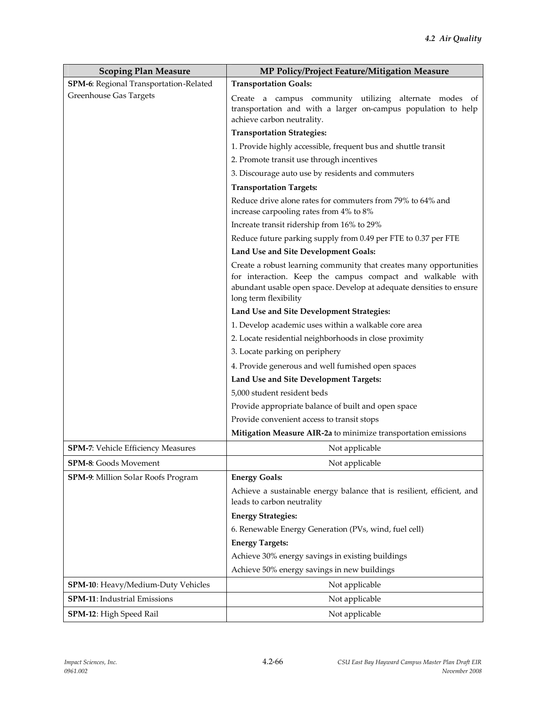| <b>Scoping Plan Measure</b>            | MP Policy/Project Feature/Mitigation Measure                                                                                                                                                                                     |
|----------------------------------------|----------------------------------------------------------------------------------------------------------------------------------------------------------------------------------------------------------------------------------|
| SPM-6: Regional Transportation-Related | <b>Transportation Goals:</b>                                                                                                                                                                                                     |
| <b>Greenhouse Gas Targets</b>          | Create a campus community utilizing alternate modes<br>of<br>transportation and with a larger on-campus population to help<br>achieve carbon neutrality.                                                                         |
|                                        | <b>Transportation Strategies:</b>                                                                                                                                                                                                |
|                                        | 1. Provide highly accessible, frequent bus and shuttle transit                                                                                                                                                                   |
|                                        | 2. Promote transit use through incentives                                                                                                                                                                                        |
|                                        | 3. Discourage auto use by residents and commuters                                                                                                                                                                                |
|                                        | <b>Transportation Targets:</b>                                                                                                                                                                                                   |
|                                        | Reduce drive alone rates for commuters from 79% to 64% and<br>increase carpooling rates from 4% to 8%                                                                                                                            |
|                                        | Increate transit ridership from 16% to 29%                                                                                                                                                                                       |
|                                        | Reduce future parking supply from 0.49 per FTE to 0.37 per FTE                                                                                                                                                                   |
|                                        | Land Use and Site Development Goals:                                                                                                                                                                                             |
|                                        | Create a robust learning community that creates many opportunities<br>for interaction. Keep the campus compact and walkable with<br>abundant usable open space. Develop at adequate densities to ensure<br>long term flexibility |
|                                        | Land Use and Site Development Strategies:                                                                                                                                                                                        |
|                                        | 1. Develop academic uses within a walkable core area                                                                                                                                                                             |
|                                        | 2. Locate residential neighborhoods in close proximity                                                                                                                                                                           |
|                                        | 3. Locate parking on periphery                                                                                                                                                                                                   |
|                                        | 4. Provide generous and well furnished open spaces                                                                                                                                                                               |
|                                        | Land Use and Site Development Targets:                                                                                                                                                                                           |
|                                        | 5,000 student resident beds                                                                                                                                                                                                      |
|                                        | Provide appropriate balance of built and open space                                                                                                                                                                              |
|                                        | Provide convenient access to transit stops                                                                                                                                                                                       |
|                                        | Mitigation Measure AIR-2a to minimize transportation emissions                                                                                                                                                                   |
| SPM-7: Vehicle Efficiency Measures     | Not applicable                                                                                                                                                                                                                   |
| <b>SPM-8:</b> Goods Movement           | Not applicable                                                                                                                                                                                                                   |
| SPM-9: Million Solar Roofs Program     | <b>Energy Goals:</b>                                                                                                                                                                                                             |
|                                        | Achieve a sustainable energy balance that is resilient, efficient, and<br>leads to carbon neutrality                                                                                                                             |
|                                        | <b>Energy Strategies:</b>                                                                                                                                                                                                        |
|                                        | 6. Renewable Energy Generation (PVs, wind, fuel cell)                                                                                                                                                                            |
|                                        | <b>Energy Targets:</b>                                                                                                                                                                                                           |
|                                        | Achieve 30% energy savings in existing buildings                                                                                                                                                                                 |
|                                        | Achieve 50% energy savings in new buildings                                                                                                                                                                                      |
| SPM-10: Heavy/Medium-Duty Vehicles     | Not applicable                                                                                                                                                                                                                   |
| SPM-11: Industrial Emissions           | Not applicable                                                                                                                                                                                                                   |
| SPM-12: High Speed Rail                | Not applicable                                                                                                                                                                                                                   |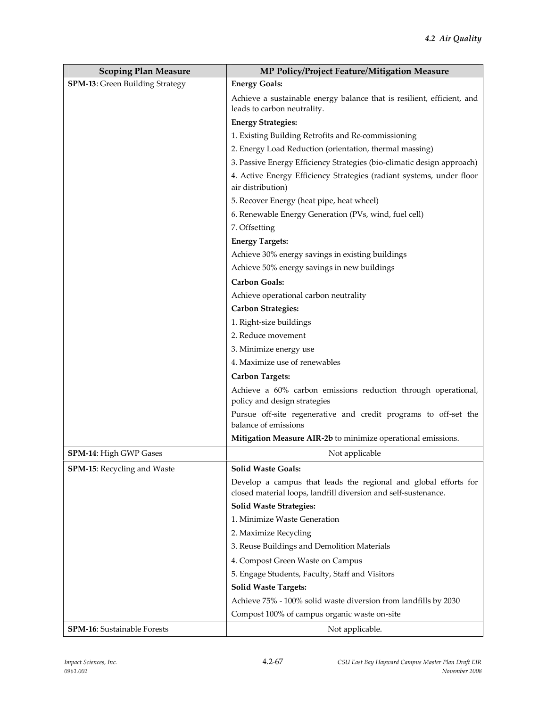| <b>Scoping Plan Measure</b>            | MP Policy/Project Feature/Mitigation Measure                                                                                      |
|----------------------------------------|-----------------------------------------------------------------------------------------------------------------------------------|
| <b>SPM-13:</b> Green Building Strategy | <b>Energy Goals:</b>                                                                                                              |
|                                        | Achieve a sustainable energy balance that is resilient, efficient, and<br>leads to carbon neutrality.                             |
|                                        | <b>Energy Strategies:</b>                                                                                                         |
|                                        | 1. Existing Building Retrofits and Re-commissioning                                                                               |
|                                        | 2. Energy Load Reduction (orientation, thermal massing)                                                                           |
|                                        | 3. Passive Energy Efficiency Strategies (bio-climatic design approach)                                                            |
|                                        | 4. Active Energy Efficiency Strategies (radiant systems, under floor<br>air distribution)                                         |
|                                        | 5. Recover Energy (heat pipe, heat wheel)                                                                                         |
|                                        | 6. Renewable Energy Generation (PVs, wind, fuel cell)                                                                             |
|                                        | 7. Offsetting                                                                                                                     |
|                                        | <b>Energy Targets:</b>                                                                                                            |
|                                        | Achieve 30% energy savings in existing buildings                                                                                  |
|                                        | Achieve 50% energy savings in new buildings                                                                                       |
|                                        | <b>Carbon Goals:</b>                                                                                                              |
|                                        | Achieve operational carbon neutrality                                                                                             |
|                                        | <b>Carbon Strategies:</b>                                                                                                         |
|                                        | 1. Right-size buildings                                                                                                           |
|                                        | 2. Reduce movement                                                                                                                |
|                                        | 3. Minimize energy use                                                                                                            |
|                                        | 4. Maximize use of renewables                                                                                                     |
|                                        | <b>Carbon Targets:</b>                                                                                                            |
|                                        | Achieve a 60% carbon emissions reduction through operational,<br>policy and design strategies                                     |
|                                        | Pursue off-site regenerative and credit programs to off-set the<br>balance of emissions                                           |
|                                        | Mitigation Measure AIR-2b to minimize operational emissions.                                                                      |
| SPM-14: High GWP Gases                 | Not applicable                                                                                                                    |
| <b>SPM-15:</b> Recycling and Waste     | <b>Solid Waste Goals:</b>                                                                                                         |
|                                        | Develop a campus that leads the regional and global efforts for<br>closed material loops, landfill diversion and self-sustenance. |
|                                        | <b>Solid Waste Strategies:</b>                                                                                                    |
|                                        | 1. Minimize Waste Generation                                                                                                      |
|                                        | 2. Maximize Recycling                                                                                                             |
|                                        | 3. Reuse Buildings and Demolition Materials                                                                                       |
|                                        | 4. Compost Green Waste on Campus                                                                                                  |
|                                        | 5. Engage Students, Faculty, Staff and Visitors                                                                                   |
|                                        | <b>Solid Waste Targets:</b>                                                                                                       |
|                                        | Achieve 75% - 100% solid waste diversion from landfills by 2030                                                                   |
|                                        | Compost 100% of campus organic waste on-site                                                                                      |
| <b>SPM-16:</b> Sustainable Forests     | Not applicable.                                                                                                                   |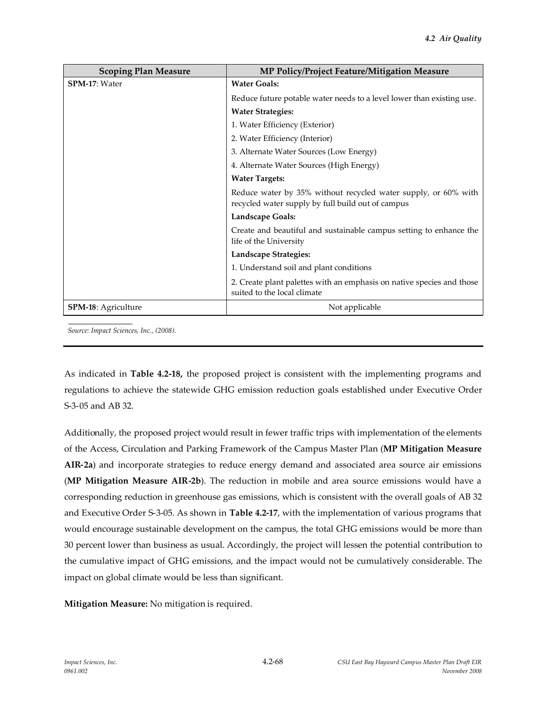| <b>Scoping Plan Measure</b> | MP Policy/Project Feature/Mitigation Measure                                                                        |
|-----------------------------|---------------------------------------------------------------------------------------------------------------------|
| SPM-17: Water               | <b>Water Goals:</b>                                                                                                 |
|                             | Reduce future potable water needs to a level lower than existing use.                                               |
|                             | <b>Water Strategies:</b>                                                                                            |
|                             | 1. Water Efficiency (Exterior)                                                                                      |
|                             | 2. Water Efficiency (Interior)                                                                                      |
|                             | 3. Alternate Water Sources (Low Energy)                                                                             |
|                             | 4. Alternate Water Sources (High Energy)                                                                            |
|                             | <b>Water Targets:</b>                                                                                               |
|                             | Reduce water by 35% without recycled water supply, or 60% with<br>recycled water supply by full build out of campus |
|                             | <b>Landscape Goals:</b>                                                                                             |
|                             | Create and beautiful and sustainable campus setting to enhance the<br>life of the University                        |
|                             | Landscape Strategies:                                                                                               |
|                             | 1. Understand soil and plant conditions                                                                             |
|                             | 2. Create plant palettes with an emphasis on native species and those<br>suited to the local climate                |
| <b>SPM-18:</b> Agriculture  | Not applicable                                                                                                      |

*Source: Impact Sciences, Inc., (2008).*

As indicated in **Table 4.2-18,** the proposed project is consistent with the implementing programs and regulations to achieve the statewide GHG emission reduction goals established under Executive Order S-3-05 and AB 32.

Additionally, the proposed project would result in fewer traffic trips with implementation of the elements of the Access, Circulation and Parking Framework of the Campus Master Plan (**MP Mitigation Measure AIR-2a**) and incorporate strategies to reduce energy demand and associated area source air emissions (**MP Mitigation Measure AIR-2b**). The reduction in mobile and area source emissions would have a corresponding reduction in greenhouse gas emissions, which is consistent with the overall goals of AB 32 and Executive Order S-3-05. As shown in **Table 4.2-17**, with the implementation of various programs that would encourage sustainable development on the campus, the total GHG emissions would be more than 30 percent lower than business as usual. Accordingly, the project will lessen the potential contribution to the cumulative impact of GHG emissions, and the impact would not be cumulatively considerable. The impact on global climate would be less than significant.

**Mitigation Measure:** No mitigation is required.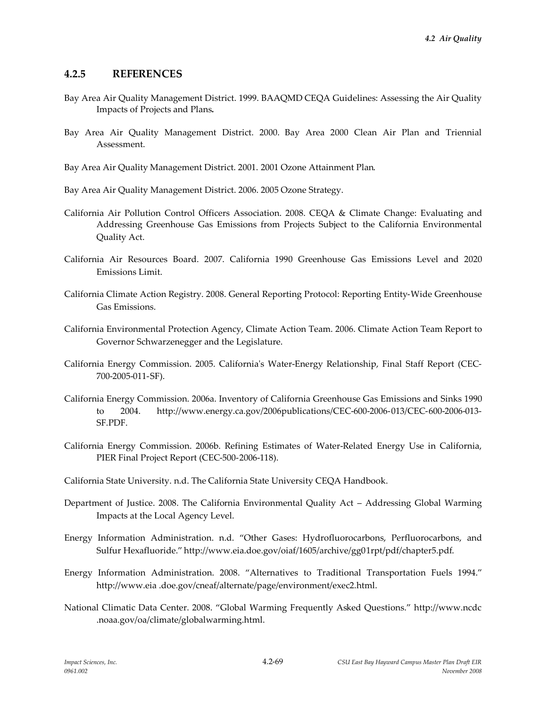# **4.2.5 REFERENCES**

- Bay Area Air Quality Management District. 1999. BAAQMD CEQA Guidelines: Assessing the Air Quality Impacts of Projects and Plans**.**
- Bay Area Air Quality Management District. 2000. Bay Area 2000 Clean Air Plan and Triennial Assessment.

- California Air Pollution Control Officers Association. 2008. CEQA & Climate Change: Evaluating and Addressing Greenhouse Gas Emissions from Projects Subject to the California Environmental Quality Act.
- California Air Resources Board. 2007. California 1990 Greenhouse Gas Emissions Level and 2020 Emissions Limit.
- California Climate Action Registry. 2008. General Reporting Protocol: Reporting Entity-Wide Greenhouse Gas Emissions.
- California Environmental Protection Agency, Climate Action Team. 2006. Climate Action Team Report to Governor Schwarzenegger and the Legislature.
- California Energy Commission. 2005. California's Water-Energy Relationship, Final Staff Report (CEC-700-2005-011-SF).
- California Energy Commission. 2006a. Inventory of California Greenhouse Gas Emissions and Sinks 1990 to 2004. http://www.energy.ca.gov/2006publications/CEC-600-2006-013/CEC-600-2006-013- SF.PDF.
- California Energy Commission. 2006b. Refining Estimates of Water-Related Energy Use in California, PIER Final Project Report (CEC-500-2006-118).
- California State University. n.d. The California State University CEQA Handbook.
- Department of Justice. 2008. The California Environmental Quality Act Addressing Global Warming Impacts at the Local Agency Level.
- Energy Information Administration. n.d. "Other Gases: Hydrofluorocarbons, Perfluorocarbons, and Sulfur Hexafluoride." http://www.eia.doe.gov/oiaf/1605/archive/gg01rpt/pdf/chapter5.pdf.
- Energy Information Administration. 2008. "Alternatives to Traditional Transportation Fuels 1994." http://www.eia .doe.gov/cneaf/alternate/page/environment/exec2.html.
- National Climatic Data Center. 2008. "Global Warming Frequently Asked Questions." http://www.ncdc .noaa.gov/oa/climate/globalwarming.html.

Bay Area Air Quality Management District. 2001. 2001 Ozone Attainment Plan.

Bay Area Air Quality Management District. 2006. 2005 Ozone Strategy.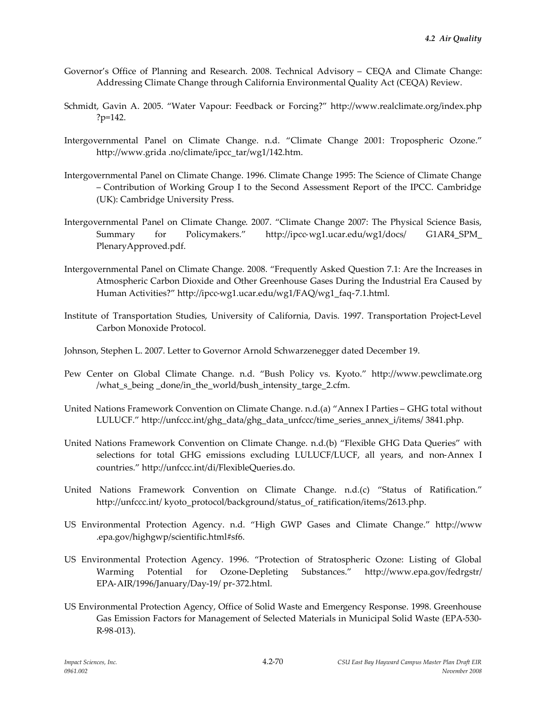- Governor's Office of Planning and Research. 2008. Technical Advisory CEQA and Climate Change: Addressing Climate Change through California Environmental Quality Act (CEQA) Review.
- Schmidt, Gavin A. 2005. "Water Vapour: Feedback or Forcing?" http://www.realclimate.org/index.php ?p=142.
- Intergovernmental Panel on Climate Change. n.d. "Climate Change 2001: Tropospheric Ozone." http://www.grida .no/climate/ipcc\_tar/wg1/142.htm.
- Intergovernmental Panel on Climate Change. 1996. Climate Change 1995: The Science of Climate Change – Contribution of Working Group I to the Second Assessment Report of the IPCC. Cambridge (UK): Cambridge University Press.
- Intergovernmental Panel on Climate Change. 2007. "Climate Change 2007: The Physical Science Basis, Summary for Policymakers." http://ipcc-wg1.ucar.edu/wg1/docs/ G1AR4\_SPM\_ PlenaryApproved.pdf.
- Intergovernmental Panel on Climate Change. 2008. "Frequently Asked Question 7.1: Are the Increases in Atmospheric Carbon Dioxide and Other Greenhouse Gases During the Industrial Era Caused by Human Activities?" http://ipcc-wg1.ucar.edu/wg1/FAQ/wg1\_faq-7.1.html.
- Institute of Transportation Studies, University of California, Davis. 1997. Transportation Project-Level Carbon Monoxide Protocol.
- Johnson, Stephen L. 2007. Letter to Governor Arnold Schwarzenegger dated December 19.
- Pew Center on Global Climate Change. n.d. "Bush Policy vs. Kyoto." http://www.pewclimate.org /what\_s\_being \_done/in\_the\_world/bush\_intensity\_targe\_2.cfm.
- United Nations Framework Convention on Climate Change. n.d.(a) "Annex I Parties GHG total without LULUCF." http://unfccc.int/ghg\_data/ghg\_data\_unfccc/time\_series\_annex\_i/items/ 3841.php.
- United Nations Framework Convention on Climate Change. n.d.(b) "Flexible GHG Data Queries" with selections for total GHG emissions excluding LULUCF/LUCF, all years, and non-Annex I countries." http://unfccc.int/di/FlexibleQueries.do.
- United Nations Framework Convention on Climate Change. n.d.(c) "Status of Ratification." http://unfccc.int/ kyoto\_protocol/background/status\_of\_ratification/items/2613.php.
- US Environmental Protection Agency. n.d. "High GWP Gases and Climate Change." http://www .epa.gov/highgwp/scientific.html#sf6.
- US Environmental Protection Agency. 1996. "Protection of Stratospheric Ozone: Listing of Global Warming Potential for Ozone-Depleting Substances." http://www.epa.gov/fedrgstr/ EPA-AIR/1996/January/Day-19/ pr-372.html.
- US Environmental Protection Agency, Office of Solid Waste and Emergency Response. 1998. Greenhouse Gas Emission Factors for Management of Selected Materials in Municipal Solid Waste (EPA-530- R-98-013).